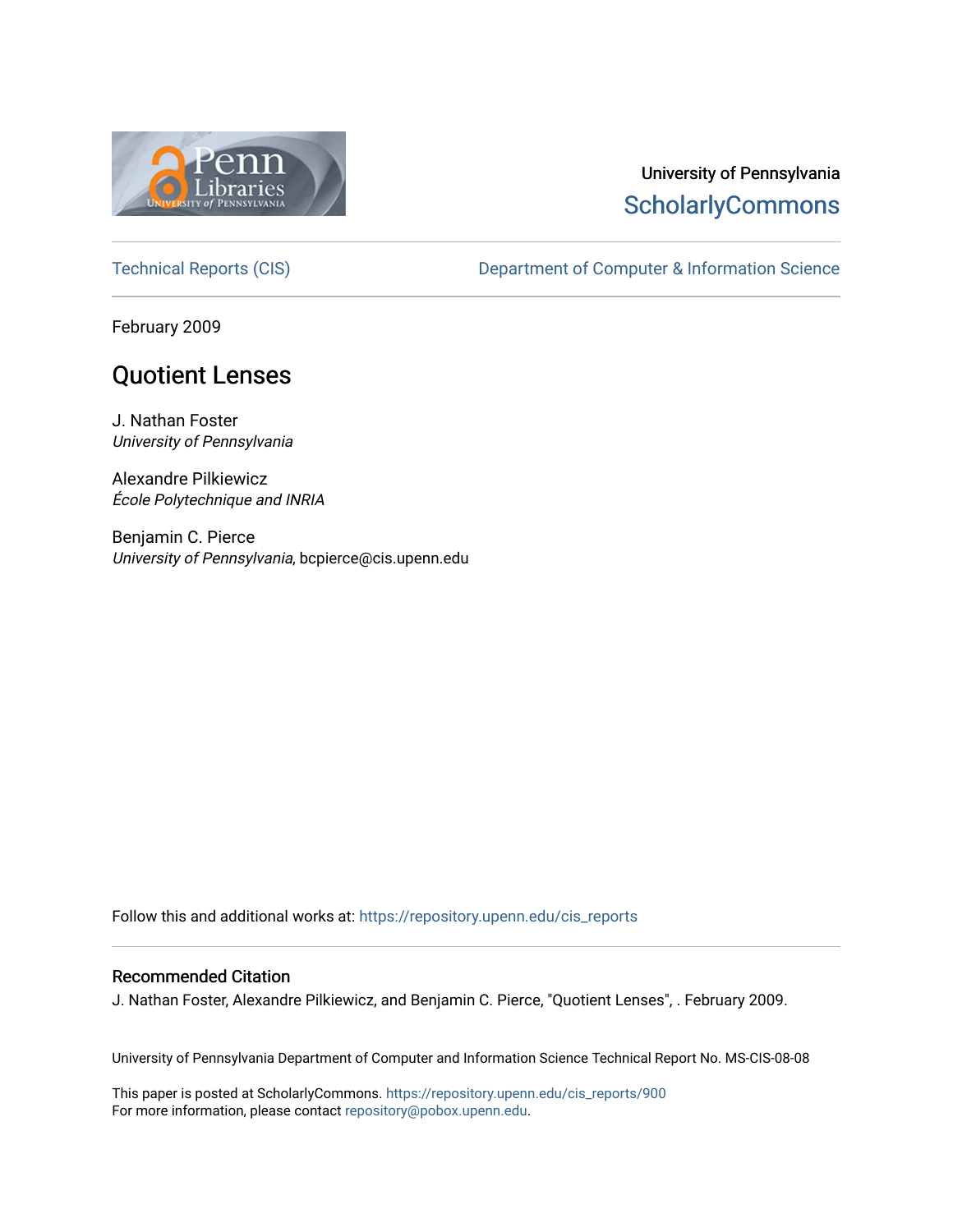

## University of Pennsylvania **ScholarlyCommons**

[Technical Reports \(CIS\)](https://repository.upenn.edu/cis_reports) Department of Computer & Information Science

February 2009

# Quotient Lenses

J. Nathan Foster University of Pennsylvania

Alexandre Pilkiewicz École Polytechnique and INRIA

Benjamin C. Pierce University of Pennsylvania, bcpierce@cis.upenn.edu

Follow this and additional works at: [https://repository.upenn.edu/cis\\_reports](https://repository.upenn.edu/cis_reports?utm_source=repository.upenn.edu%2Fcis_reports%2F900&utm_medium=PDF&utm_campaign=PDFCoverPages) 

#### Recommended Citation

J. Nathan Foster, Alexandre Pilkiewicz, and Benjamin C. Pierce, "Quotient Lenses", . February 2009.

University of Pennsylvania Department of Computer and Information Science Technical Report No. MS-CIS-08-08

This paper is posted at ScholarlyCommons. [https://repository.upenn.edu/cis\\_reports/900](https://repository.upenn.edu/cis_reports/900) For more information, please contact [repository@pobox.upenn.edu.](mailto:repository@pobox.upenn.edu)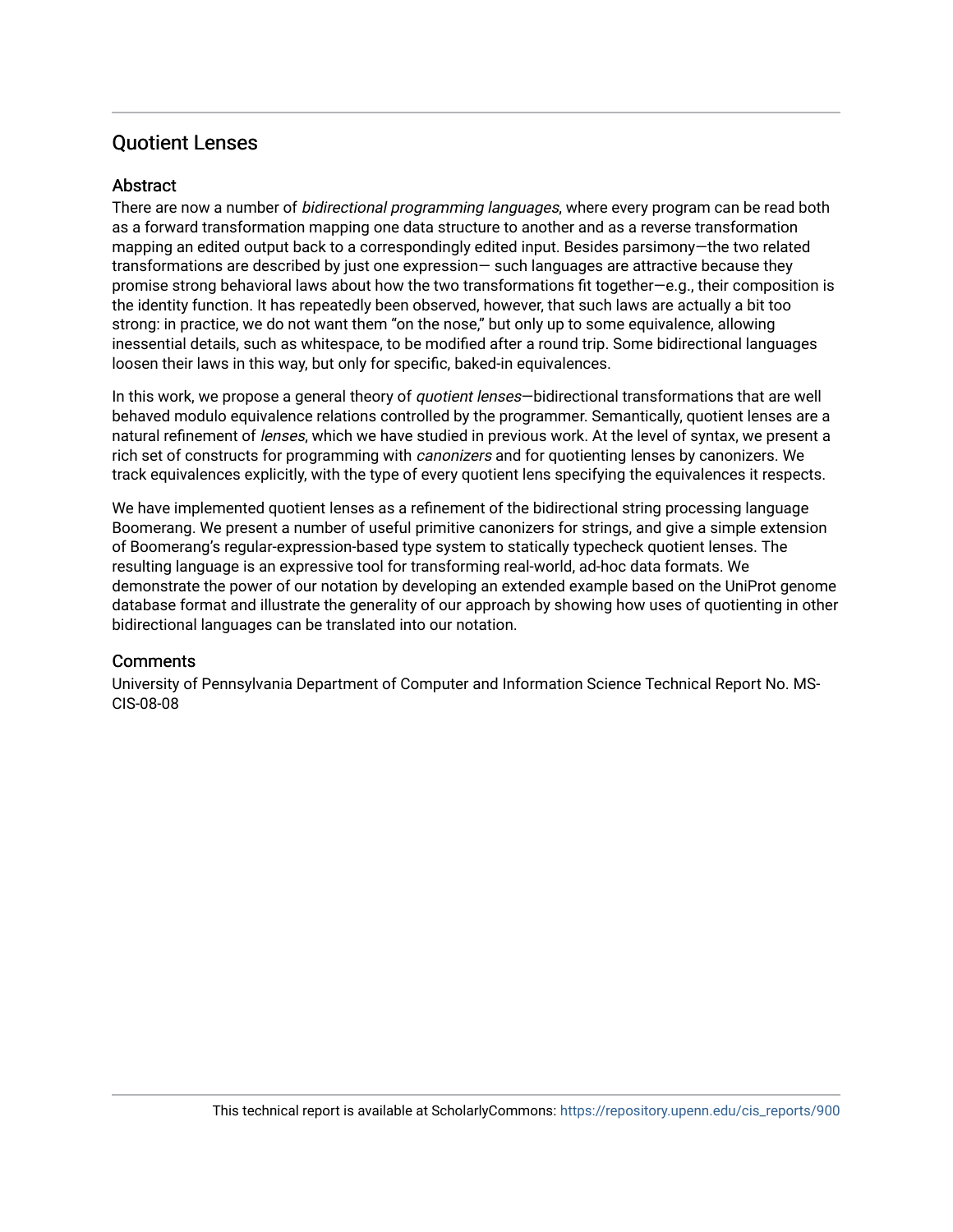## Quotient Lenses

## **Abstract**

There are now a number of *bidirectional programming languages*, where every program can be read both as a forward transformation mapping one data structure to another and as a reverse transformation mapping an edited output back to a correspondingly edited input. Besides parsimony—the two related transformations are described by just one expression— such languages are attractive because they promise strong behavioral laws about how the two transformations fit together—e.g., their composition is the identity function. It has repeatedly been observed, however, that such laws are actually a bit too strong: in practice, we do not want them "on the nose," but only up to some equivalence, allowing inessential details, such as whitespace, to be modified after a round trip. Some bidirectional languages loosen their laws in this way, but only for specific, baked-in equivalences.

In this work, we propose a general theory of *quotient lenses*—bidirectional transformations that are well behaved modulo equivalence relations controlled by the programmer. Semantically, quotient lenses are a natural refinement of lenses, which we have studied in previous work. At the level of syntax, we present a rich set of constructs for programming with *canonizers* and for quotienting lenses by canonizers. We track equivalences explicitly, with the type of every quotient lens specifying the equivalences it respects.

We have implemented quotient lenses as a refinement of the bidirectional string processing language Boomerang. We present a number of useful primitive canonizers for strings, and give a simple extension of Boomerang's regular-expression-based type system to statically typecheck quotient lenses. The resulting language is an expressive tool for transforming real-world, ad-hoc data formats. We demonstrate the power of our notation by developing an extended example based on the UniProt genome database format and illustrate the generality of our approach by showing how uses of quotienting in other bidirectional languages can be translated into our notation.

## **Comments**

University of Pennsylvania Department of Computer and Information Science Technical Report No. MS-CIS-08-08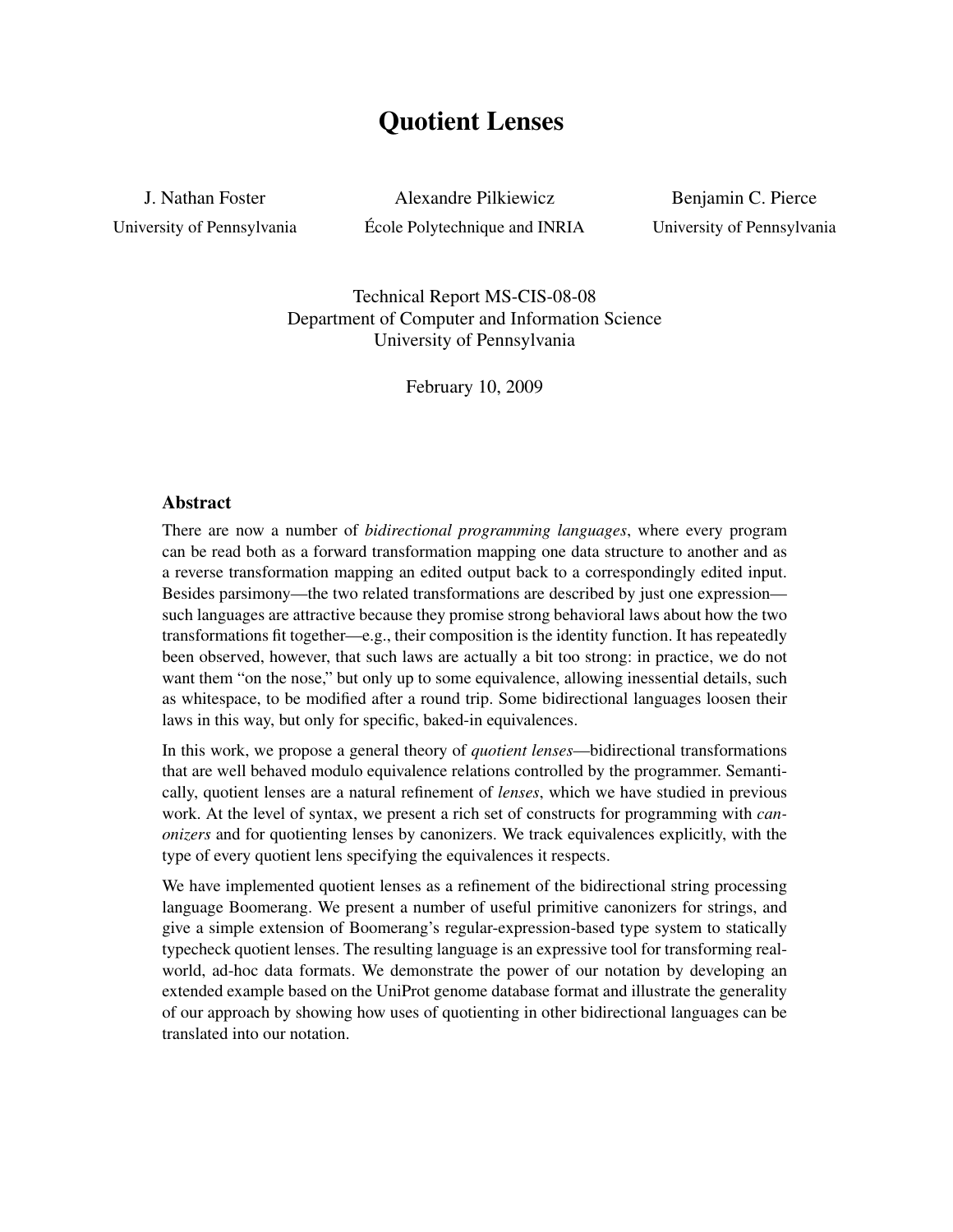## Quotient Lenses

J. Nathan Foster

University of Pennsylvania

Alexandre Pilkiewicz

Ecole Polytechnique and INRIA ´

Benjamin C. Pierce University of Pennsylvania

Technical Report MS-CIS-08-08 Department of Computer and Information Science University of Pennsylvania

February 10, 2009

## Abstract

There are now a number of *bidirectional programming languages*, where every program can be read both as a forward transformation mapping one data structure to another and as a reverse transformation mapping an edited output back to a correspondingly edited input. Besides parsimony—the two related transformations are described by just one expression such languages are attractive because they promise strong behavioral laws about how the two transformations fit together—e.g., their composition is the identity function. It has repeatedly been observed, however, that such laws are actually a bit too strong: in practice, we do not want them "on the nose," but only up to some equivalence, allowing inessential details, such as whitespace, to be modified after a round trip. Some bidirectional languages loosen their laws in this way, but only for specific, baked-in equivalences.

In this work, we propose a general theory of *quotient lenses*—bidirectional transformations that are well behaved modulo equivalence relations controlled by the programmer. Semantically, quotient lenses are a natural refinement of *lenses*, which we have studied in previous work. At the level of syntax, we present a rich set of constructs for programming with *canonizers* and for quotienting lenses by canonizers. We track equivalences explicitly, with the type of every quotient lens specifying the equivalences it respects.

We have implemented quotient lenses as a refinement of the bidirectional string processing language Boomerang. We present a number of useful primitive canonizers for strings, and give a simple extension of Boomerang's regular-expression-based type system to statically typecheck quotient lenses. The resulting language is an expressive tool for transforming realworld, ad-hoc data formats. We demonstrate the power of our notation by developing an extended example based on the UniProt genome database format and illustrate the generality of our approach by showing how uses of quotienting in other bidirectional languages can be translated into our notation.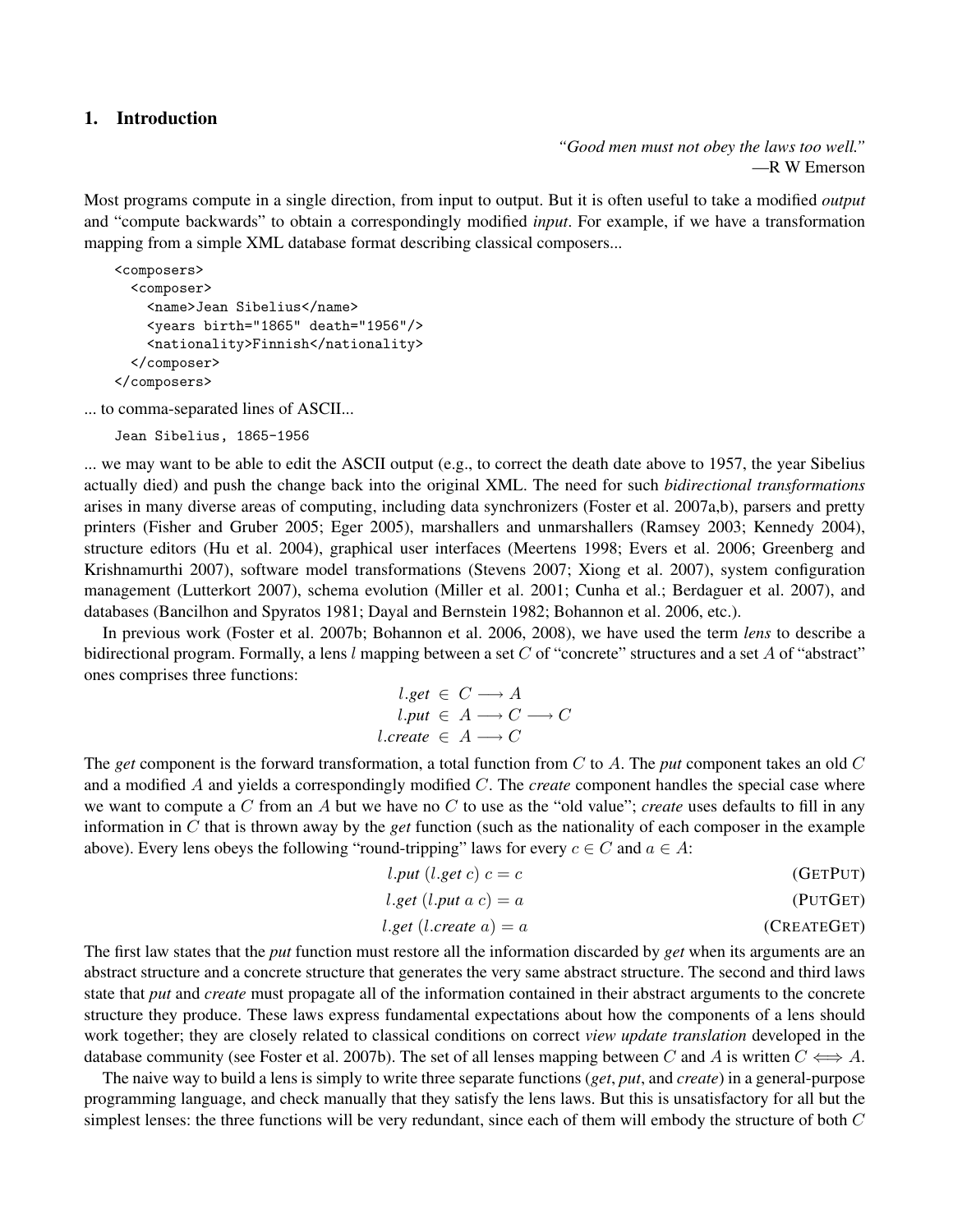## 1. Introduction

*"Good men must not obey the laws too well."* —R W Emerson

Most programs compute in a single direction, from input to output. But it is often useful to take a modified *output* and "compute backwards" to obtain a correspondingly modified *input*. For example, if we have a transformation mapping from a simple XML database format describing classical composers...

```
<composers>
 <composer>
    <name>Jean Sibelius</name>
    <years birth="1865" death="1956"/>
    <nationality>Finnish</nationality>
 </composer>
</composers>
```
... to comma-separated lines of ASCII...

```
Jean Sibelius, 1865-1956
```
... we may want to be able to edit the ASCII output (e.g., to correct the death date above to 1957, the year Sibelius actually died) and push the change back into the original XML. The need for such *bidirectional transformations* arises in many diverse areas of computing, including data synchronizers (Foster et al. 2007a,b), parsers and pretty printers (Fisher and Gruber 2005; Eger 2005), marshallers and unmarshallers (Ramsey 2003; Kennedy 2004), structure editors (Hu et al. 2004), graphical user interfaces (Meertens 1998; Evers et al. 2006; Greenberg and Krishnamurthi 2007), software model transformations (Stevens 2007; Xiong et al. 2007), system configuration management (Lutterkort 2007), schema evolution (Miller et al. 2001; Cunha et al.; Berdaguer et al. 2007), and databases (Bancilhon and Spyratos 1981; Dayal and Bernstein 1982; Bohannon et al. 2006, etc.).

In previous work (Foster et al. 2007b; Bohannon et al. 2006, 2008), we have used the term *lens* to describe a bidirectional program. Formally, a lens  $l$  mapping between a set  $C$  of "concrete" structures and a set  $A$  of "abstract" ones comprises three functions:

$$
l.get \in C \longrightarrow A
$$
  

$$
l.put \in A \longrightarrow C \longrightarrow C
$$
  

$$
l.create \in A \longrightarrow C
$$

The *get* component is the forward transformation, a total function from C to A. The *put* component takes an old C and a modified A and yields a correspondingly modified C. The *create* component handles the special case where we want to compute a C from an A but we have no C to use as the "old value"; *create* uses defaults to fill in any information in C that is thrown away by the *get* function (such as the nationality of each composer in the example above). Every lens obeys the following "round-tripping" laws for every  $c \in C$  and  $a \in A$ :

$$
l.put (l.get c) c = c
$$
 (GETPUT)

$$
l.get (l.put a c) = a
$$
 (PUTGET)

$$
l.get (l.create a) = a
$$
 (CREATEGET)

The first law states that the *put* function must restore all the information discarded by *get* when its arguments are an abstract structure and a concrete structure that generates the very same abstract structure. The second and third laws state that *put* and *create* must propagate all of the information contained in their abstract arguments to the concrete structure they produce. These laws express fundamental expectations about how the components of a lens should work together; they are closely related to classical conditions on correct *view update translation* developed in the database community (see Foster et al. 2007b). The set of all lenses mapping between C and A is written  $C \Longleftrightarrow A$ .

The naive way to build a lens is simply to write three separate functions (*get*, *put*, and *create*) in a general-purpose programming language, and check manually that they satisfy the lens laws. But this is unsatisfactory for all but the simplest lenses: the three functions will be very redundant, since each of them will embody the structure of both  $C$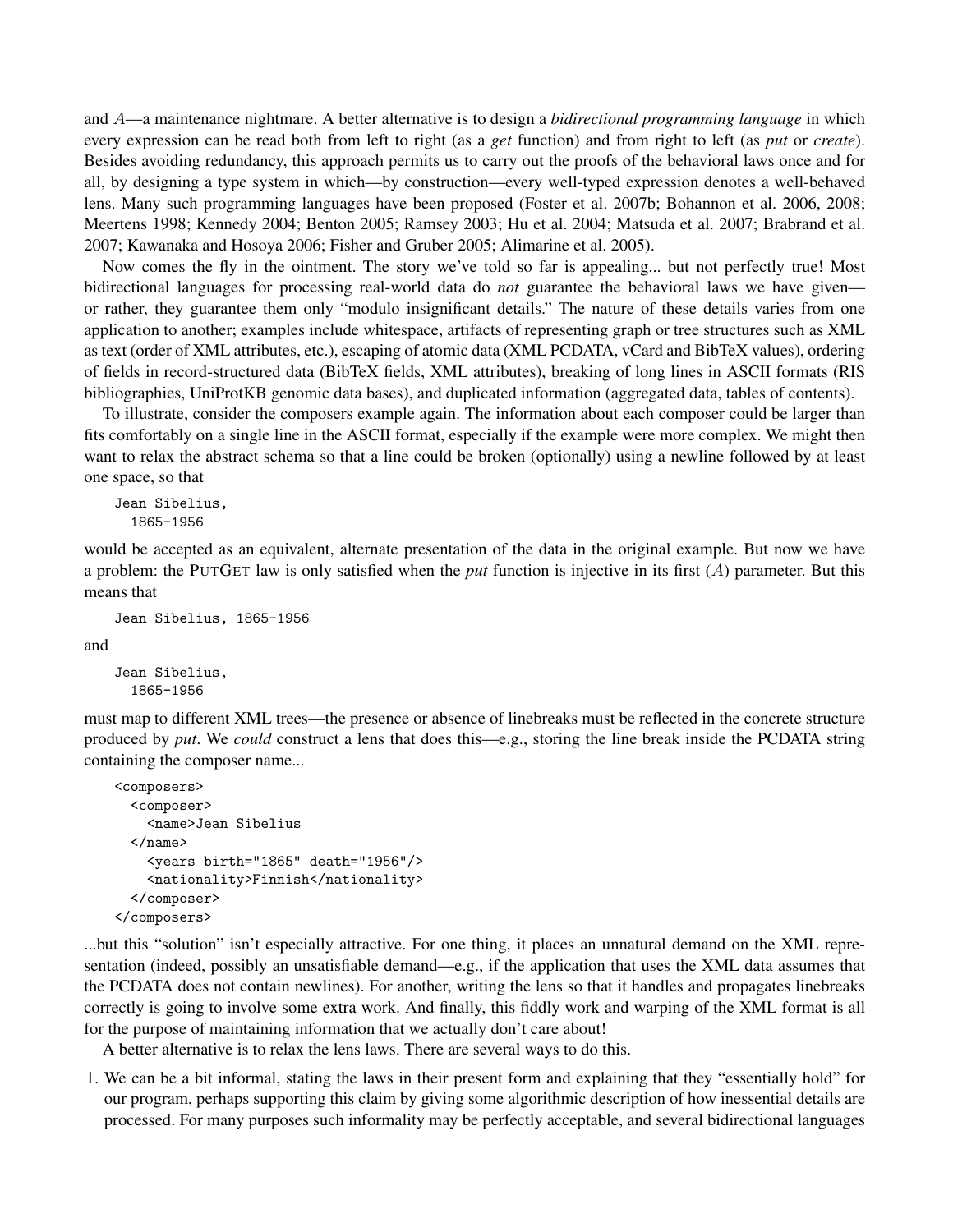and A—a maintenance nightmare. A better alternative is to design a *bidirectional programming language* in which every expression can be read both from left to right (as a *get* function) and from right to left (as *put* or *create*). Besides avoiding redundancy, this approach permits us to carry out the proofs of the behavioral laws once and for all, by designing a type system in which—by construction—every well-typed expression denotes a well-behaved lens. Many such programming languages have been proposed (Foster et al. 2007b; Bohannon et al. 2006, 2008; Meertens 1998; Kennedy 2004; Benton 2005; Ramsey 2003; Hu et al. 2004; Matsuda et al. 2007; Brabrand et al. 2007; Kawanaka and Hosoya 2006; Fisher and Gruber 2005; Alimarine et al. 2005).

Now comes the fly in the ointment. The story we've told so far is appealing... but not perfectly true! Most bidirectional languages for processing real-world data do *not* guarantee the behavioral laws we have given or rather, they guarantee them only "modulo insignificant details." The nature of these details varies from one application to another; examples include whitespace, artifacts of representing graph or tree structures such as XML as text (order of XML attributes, etc.), escaping of atomic data (XML PCDATA, vCard and BibTeX values), ordering of fields in record-structured data (BibTeX fields, XML attributes), breaking of long lines in ASCII formats (RIS bibliographies, UniProtKB genomic data bases), and duplicated information (aggregated data, tables of contents).

To illustrate, consider the composers example again. The information about each composer could be larger than fits comfortably on a single line in the ASCII format, especially if the example were more complex. We might then want to relax the abstract schema so that a line could be broken (optionally) using a newline followed by at least one space, so that

```
Jean Sibelius,
 1865-1956
```
would be accepted as an equivalent, alternate presentation of the data in the original example. But now we have a problem: the PUTGET law is only satisfied when the *put* function is injective in its first (A) parameter. But this means that

```
Jean Sibelius, 1865-1956
```
and

```
Jean Sibelius,
  1865-1956
```
must map to different XML trees—the presence or absence of linebreaks must be reflected in the concrete structure produced by *put*. We *could* construct a lens that does this—e.g., storing the line break inside the PCDATA string containing the composer name...

```
<composers>
 <composer>
    <name>Jean Sibelius
  </name>
    <years birth="1865" death="1956"/>
    <nationality>Finnish</nationality>
 </composer>
</composers>
```
...but this "solution" isn't especially attractive. For one thing, it places an unnatural demand on the XML representation (indeed, possibly an unsatisfiable demand—e.g., if the application that uses the XML data assumes that the PCDATA does not contain newlines). For another, writing the lens so that it handles and propagates linebreaks correctly is going to involve some extra work. And finally, this fiddly work and warping of the XML format is all for the purpose of maintaining information that we actually don't care about!

A better alternative is to relax the lens laws. There are several ways to do this.

1. We can be a bit informal, stating the laws in their present form and explaining that they "essentially hold" for our program, perhaps supporting this claim by giving some algorithmic description of how inessential details are processed. For many purposes such informality may be perfectly acceptable, and several bidirectional languages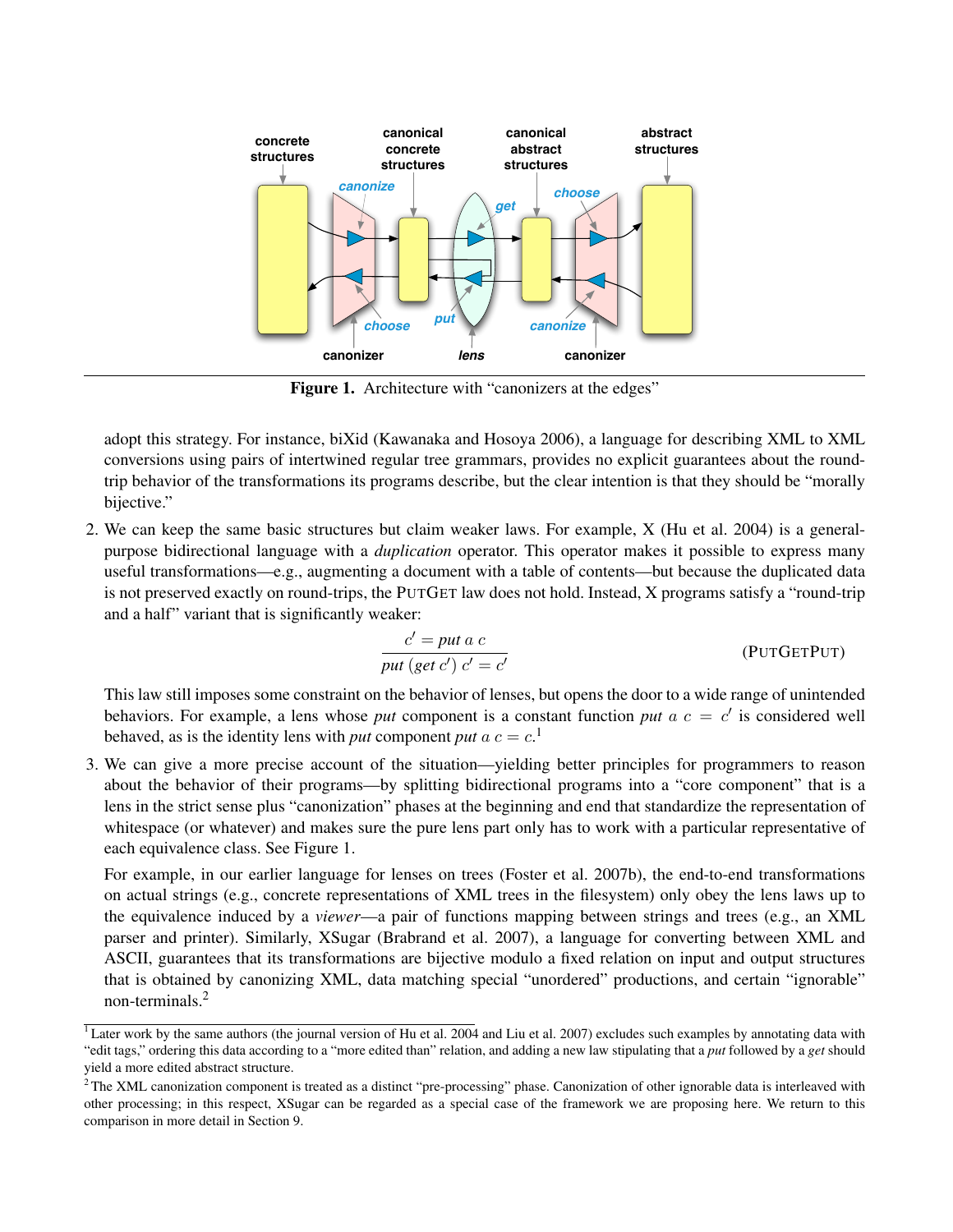

Figure 1. Architecture with "canonizers at the edges"

adopt this strategy. For instance, biXid (Kawanaka and Hosoya 2006), a language for describing XML to XML conversions using pairs of intertwined regular tree grammars, provides no explicit guarantees about the roundtrip behavior of the transformations its programs describe, but the clear intention is that they should be "morally bijective."

2. We can keep the same basic structures but claim weaker laws. For example, X (Hu et al. 2004) is a generalpurpose bidirectional language with a *duplication* operator. This operator makes it possible to express many useful transformations—e.g., augmenting a document with a table of contents—but because the duplicated data is not preserved exactly on round-trips, the PUTGET law does not hold. Instead, X programs satisfy a "round-trip and a half" variant that is significantly weaker:

$$
c' = put a c
$$
  
put (get c') c' = c' (PUTGETPUT)

This law still imposes some constraint on the behavior of lenses, but opens the door to a wide range of unintended behaviors. For example, a lens whose *put* component is a constant function *put*  $a c = c'$  is considered well behaved, as is the identity lens with *put* component *put*  $a c = c$ <sup>1</sup>.

3. We can give a more precise account of the situation—yielding better principles for programmers to reason about the behavior of their programs—by splitting bidirectional programs into a "core component" that is a lens in the strict sense plus "canonization" phases at the beginning and end that standardize the representation of whitespace (or whatever) and makes sure the pure lens part only has to work with a particular representative of each equivalence class. See Figure 1.

For example, in our earlier language for lenses on trees (Foster et al. 2007b), the end-to-end transformations on actual strings (e.g., concrete representations of XML trees in the filesystem) only obey the lens laws up to the equivalence induced by a *viewer*—a pair of functions mapping between strings and trees (e.g., an XML parser and printer). Similarly, XSugar (Brabrand et al. 2007), a language for converting between XML and ASCII, guarantees that its transformations are bijective modulo a fixed relation on input and output structures that is obtained by canonizing XML, data matching special "unordered" productions, and certain "ignorable" non-terminals.<sup>2</sup>

<sup>&</sup>lt;sup>1</sup> Later work by the same authors (the journal version of Hu et al. 2004 and Liu et al. 2007) excludes such examples by annotating data with "edit tags," ordering this data according to a "more edited than" relation, and adding a new law stipulating that a *put* followed by a *get* should yield a more edited abstract structure.

 $2$ The XML canonization component is treated as a distinct "pre-processing" phase. Canonization of other ignorable data is interleaved with other processing; in this respect, XSugar can be regarded as a special case of the framework we are proposing here. We return to this comparison in more detail in Section 9.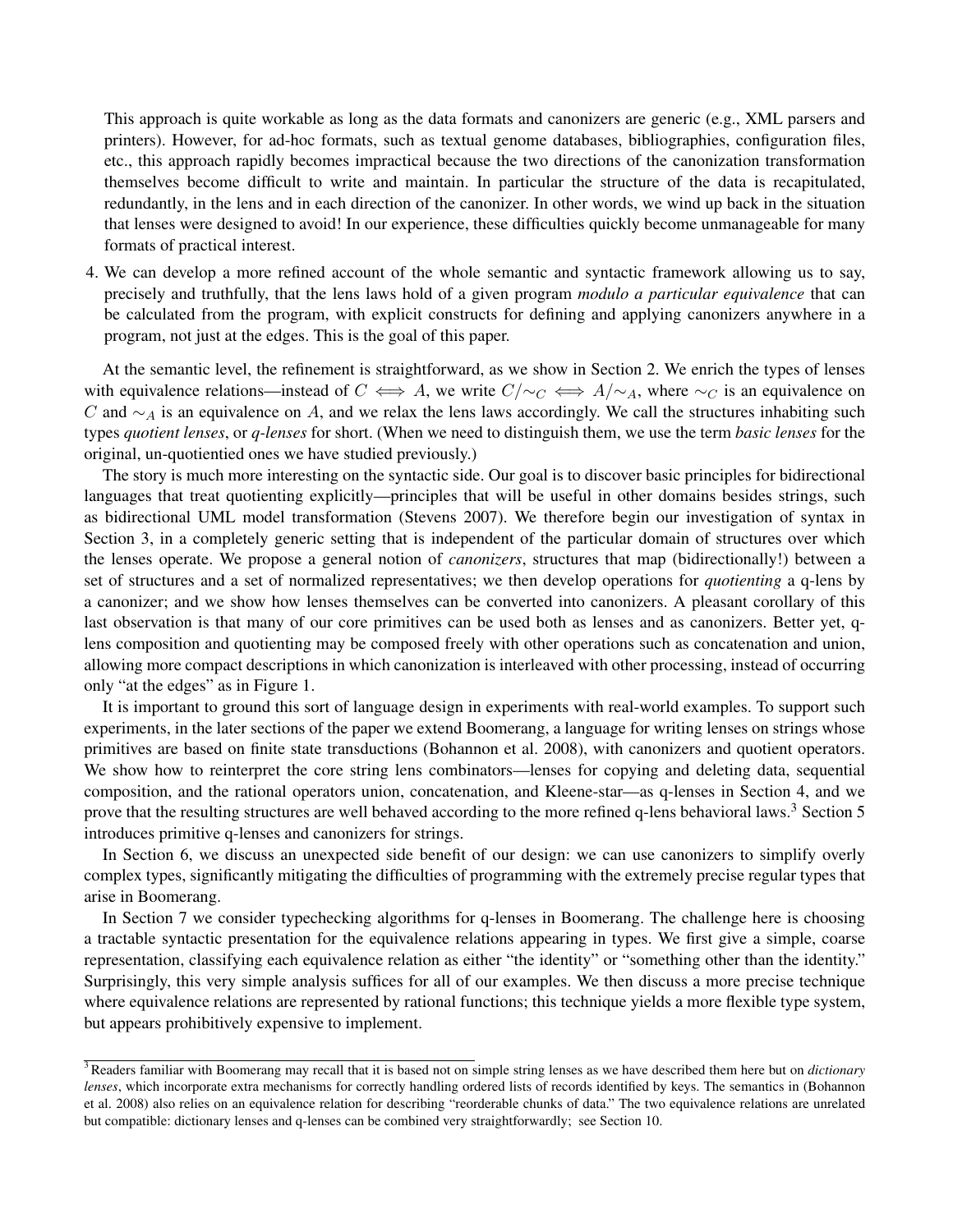This approach is quite workable as long as the data formats and canonizers are generic (e.g., XML parsers and printers). However, for ad-hoc formats, such as textual genome databases, bibliographies, configuration files, etc., this approach rapidly becomes impractical because the two directions of the canonization transformation themselves become difficult to write and maintain. In particular the structure of the data is recapitulated, redundantly, in the lens and in each direction of the canonizer. In other words, we wind up back in the situation that lenses were designed to avoid! In our experience, these difficulties quickly become unmanageable for many formats of practical interest.

4. We can develop a more refined account of the whole semantic and syntactic framework allowing us to say, precisely and truthfully, that the lens laws hold of a given program *modulo a particular equivalence* that can be calculated from the program, with explicit constructs for defining and applying canonizers anywhere in a program, not just at the edges. This is the goal of this paper.

At the semantic level, the refinement is straightforward, as we show in Section 2. We enrich the types of lenses with equivalence relations—instead of  $C \iff A$ , we write  $C/\sim_C \iff A/\sim_A$ , where  $\sim_C$  is an equivalence on C and  $\sim_A$  is an equivalence on A, and we relax the lens laws accordingly. We call the structures inhabiting such types *quotient lenses*, or *q-lenses* for short. (When we need to distinguish them, we use the term *basic lenses* for the original, un-quotientied ones we have studied previously.)

The story is much more interesting on the syntactic side. Our goal is to discover basic principles for bidirectional languages that treat quotienting explicitly—principles that will be useful in other domains besides strings, such as bidirectional UML model transformation (Stevens 2007). We therefore begin our investigation of syntax in Section 3, in a completely generic setting that is independent of the particular domain of structures over which the lenses operate. We propose a general notion of *canonizers*, structures that map (bidirectionally!) between a set of structures and a set of normalized representatives; we then develop operations for *quotienting* a q-lens by a canonizer; and we show how lenses themselves can be converted into canonizers. A pleasant corollary of this last observation is that many of our core primitives can be used both as lenses and as canonizers. Better yet, qlens composition and quotienting may be composed freely with other operations such as concatenation and union, allowing more compact descriptions in which canonization is interleaved with other processing, instead of occurring only "at the edges" as in Figure 1.

It is important to ground this sort of language design in experiments with real-world examples. To support such experiments, in the later sections of the paper we extend Boomerang, a language for writing lenses on strings whose primitives are based on finite state transductions (Bohannon et al. 2008), with canonizers and quotient operators. We show how to reinterpret the core string lens combinators—lenses for copying and deleting data, sequential composition, and the rational operators union, concatenation, and Kleene-star—as q-lenses in Section 4, and we prove that the resulting structures are well behaved according to the more refined q-lens behavioral laws.<sup>3</sup> Section 5 introduces primitive q-lenses and canonizers for strings.

In Section 6, we discuss an unexpected side benefit of our design: we can use canonizers to simplify overly complex types, significantly mitigating the difficulties of programming with the extremely precise regular types that arise in Boomerang.

In Section 7 we consider typechecking algorithms for q-lenses in Boomerang. The challenge here is choosing a tractable syntactic presentation for the equivalence relations appearing in types. We first give a simple, coarse representation, classifying each equivalence relation as either "the identity" or "something other than the identity." Surprisingly, this very simple analysis suffices for all of our examples. We then discuss a more precise technique where equivalence relations are represented by rational functions; this technique yields a more flexible type system, but appears prohibitively expensive to implement.

<sup>&</sup>lt;sup>3</sup> Readers familiar with Boomerang may recall that it is based not on simple string lenses as we have described them here but on *dictionary lenses*, which incorporate extra mechanisms for correctly handling ordered lists of records identified by keys. The semantics in (Bohannon et al. 2008) also relies on an equivalence relation for describing "reorderable chunks of data." The two equivalence relations are unrelated but compatible: dictionary lenses and q-lenses can be combined very straightforwardly; see Section 10.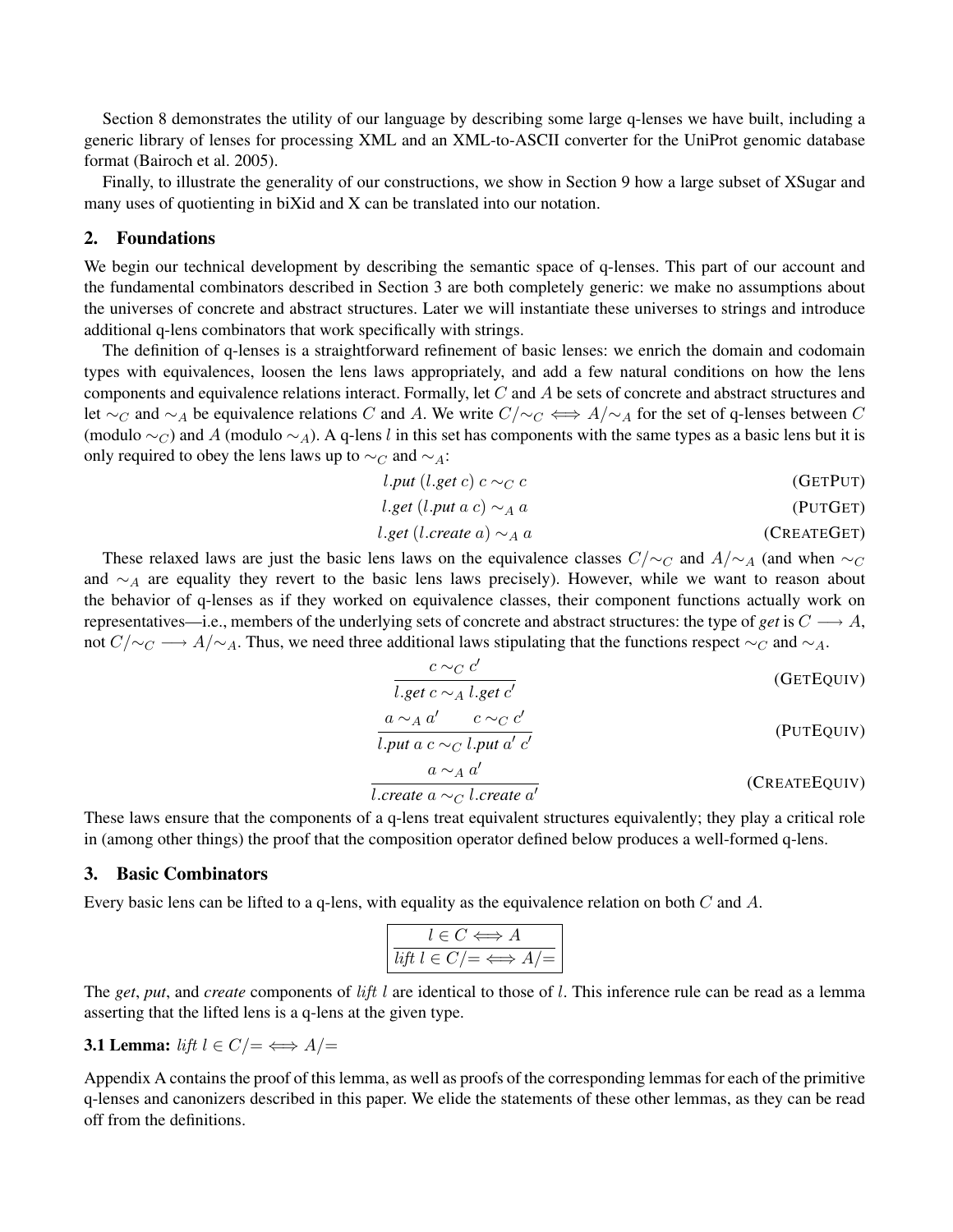Section 8 demonstrates the utility of our language by describing some large q-lenses we have built, including a generic library of lenses for processing XML and an XML-to-ASCII converter for the UniProt genomic database format (Bairoch et al. 2005).

Finally, to illustrate the generality of our constructions, we show in Section 9 how a large subset of XSugar and many uses of quotienting in biXid and X can be translated into our notation.

#### 2. Foundations

We begin our technical development by describing the semantic space of q-lenses. This part of our account and the fundamental combinators described in Section 3 are both completely generic: we make no assumptions about the universes of concrete and abstract structures. Later we will instantiate these universes to strings and introduce additional q-lens combinators that work specifically with strings.

The definition of q-lenses is a straightforward refinement of basic lenses: we enrich the domain and codomain types with equivalences, loosen the lens laws appropriately, and add a few natural conditions on how the lens components and equivalence relations interact. Formally, let C and A be sets of concrete and abstract structures and let ∼<sub>C</sub> and ∼<sub>A</sub> be equivalence relations C and A. We write  $C/\sim_C \iff A/\sim_A$  for the set of q-lenses between C (modulo  $\sim_C$ ) and A (modulo  $\sim_A$ ). A q-lens l in this set has components with the same types as a basic lens but it is only required to obey the lens laws up to  $\sim_C$  and  $\sim_A$ :

$$
l.put (l.get c) c \sim_C c \tag{GETPut}
$$

$$
l.get (l.put a c) \sim_A a \tag{PUTGET}
$$

$$
l.get (l.create a) \sim_A a \tag{CREATEGET}
$$

These relaxed laws are just the basic lens laws on the equivalence classes  $C/\sim_C$  and  $A/\sim_A$  (and when  $\sim_C$ and  $∼_A$  are equality they revert to the basic lens laws precisely). However, while we want to reason about the behavior of q-lenses as if they worked on equivalence classes, their component functions actually work on representatives—i.e., members of the underlying sets of concrete and abstract structures: the type of *get* is  $C \longrightarrow A$ , not  $C/\sim_C \longrightarrow A/\sim_A$ . Thus, we need three additional laws stipulating that the functions respect  $\sim_C$  and  $\sim_A$ .

$$
\frac{c \sim_C c'}{l.get \ c \sim_A l.get \ c'}
$$
 (GETEQUIV)

$$
\frac{a \sim_A a'}{l.put a c \sim_C l.put a' c'}
$$
 (PUTEQUIV)  

$$
\frac{a \sim_A a'}{l.put a' c'}
$$
 (PUTEQUIV)

$$
l.create \ a \sim_C l.create \ a'
$$

These laws ensure that the components of a q-lens treat equivalent structures equivalently; they play a critical role in (among other things) the proof that the composition operator defined below produces a well-formed q-lens.

## 3. Basic Combinators

Every basic lens can be lifted to a q-lens, with equality as the equivalence relation on both C and A.

$$
\left|\frac{l \in C \Longleftrightarrow A}{\text{lift } l \in C \text{/} = \Longleftrightarrow A \text{/} =}\right|
$$

The *get*, *put*, and *create* components of lift l are identical to those of l. This inference rule can be read as a lemma asserting that the lifted lens is a q-lens at the given type.

3.1 Lemma: *lift* 
$$
l \in C / \Rightarrow A / \Rightarrow
$$

Appendix A contains the proof of this lemma, as well as proofs of the corresponding lemmas for each of the primitive q-lenses and canonizers described in this paper. We elide the statements of these other lemmas, as they can be read off from the definitions.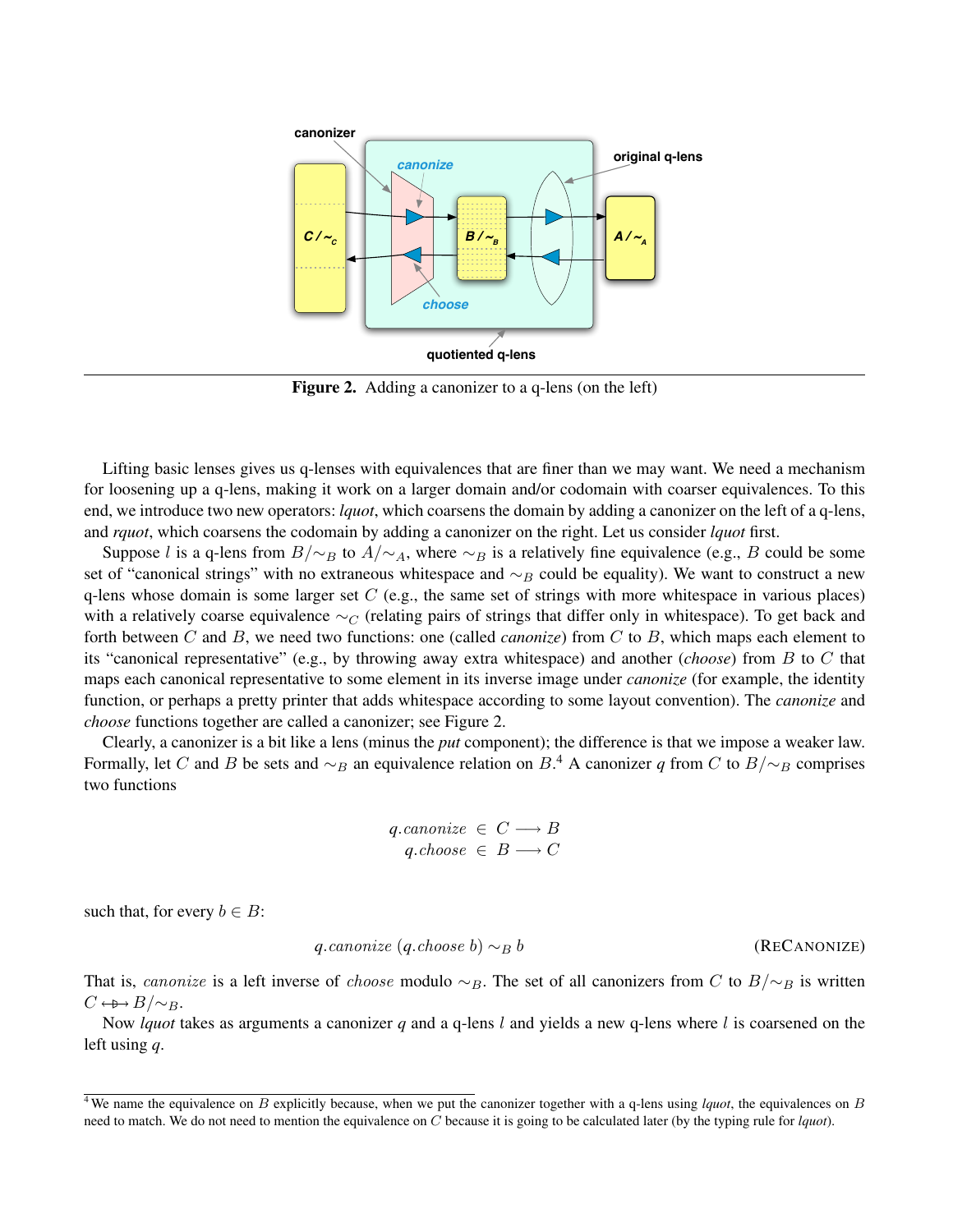

Figure 2. Adding a canonizer to a q-lens (on the left)

Lifting basic lenses gives us q-lenses with equivalences that are finer than we may want. We need a mechanism for loosening up a q-lens, making it work on a larger domain and/or codomain with coarser equivalences. To this end, we introduce two new operators: *lquot*, which coarsens the domain by adding a canonizer on the left of a q-lens, and *rquot*, which coarsens the codomain by adding a canonizer on the right. Let us consider *lquot* first.

Suppose l is a q-lens from  $B/\sim_B$  to  $A/\sim_A$ , where  $\sim_B$  is a relatively fine equivalence (e.g., B could be some set of "canonical strings" with no extraneous whitespace and  $\sim_B$  could be equality). We want to construct a new q-lens whose domain is some larger set  $C$  (e.g., the same set of strings with more whitespace in various places) with a relatively coarse equivalence  $\sim_C$  (relating pairs of strings that differ only in whitespace). To get back and forth between C and B, we need two functions: one (called *canonize*) from C to B, which maps each element to its "canonical representative" (e.g., by throwing away extra whitespace) and another (*choose*) from B to C that maps each canonical representative to some element in its inverse image under *canonize* (for example, the identity function, or perhaps a pretty printer that adds whitespace according to some layout convention). The *canonize* and *choose* functions together are called a canonizer; see Figure 2.

Clearly, a canonizer is a bit like a lens (minus the *put* component); the difference is that we impose a weaker law. Formally, let C and B be sets and  $\sim_B$  an equivalence relation on B.<sup>4</sup> A canonizer q from C to B/ $\sim_B$  comprises two functions

$$
q.\text{canonical} \in C \longrightarrow B
$$

$$
q.\text{choose} \in B \longrightarrow C
$$

such that, for every  $b \in B$ :

$$
q. can onize (q. choose b) \sim_B b \tag{RECANONIZE}
$$

That is, canonize is a left inverse of choose modulo  $\sim_B$ . The set of all canonizers from C to B/ $\sim_B$  is written  $C \leftrightarrow B/\sim_B$ .

Now *lquot* takes as arguments a canonizer *q* and a q-lens *l* and yields a new q-lens where *l* is coarsened on the left using *q*.

 $\overline{4}$ We name the equivalence on B explicitly because, when we put the canonizer together with a q-lens using *lquot*, the equivalences on B need to match. We do not need to mention the equivalence on C because it is going to be calculated later (by the typing rule for *lquot*).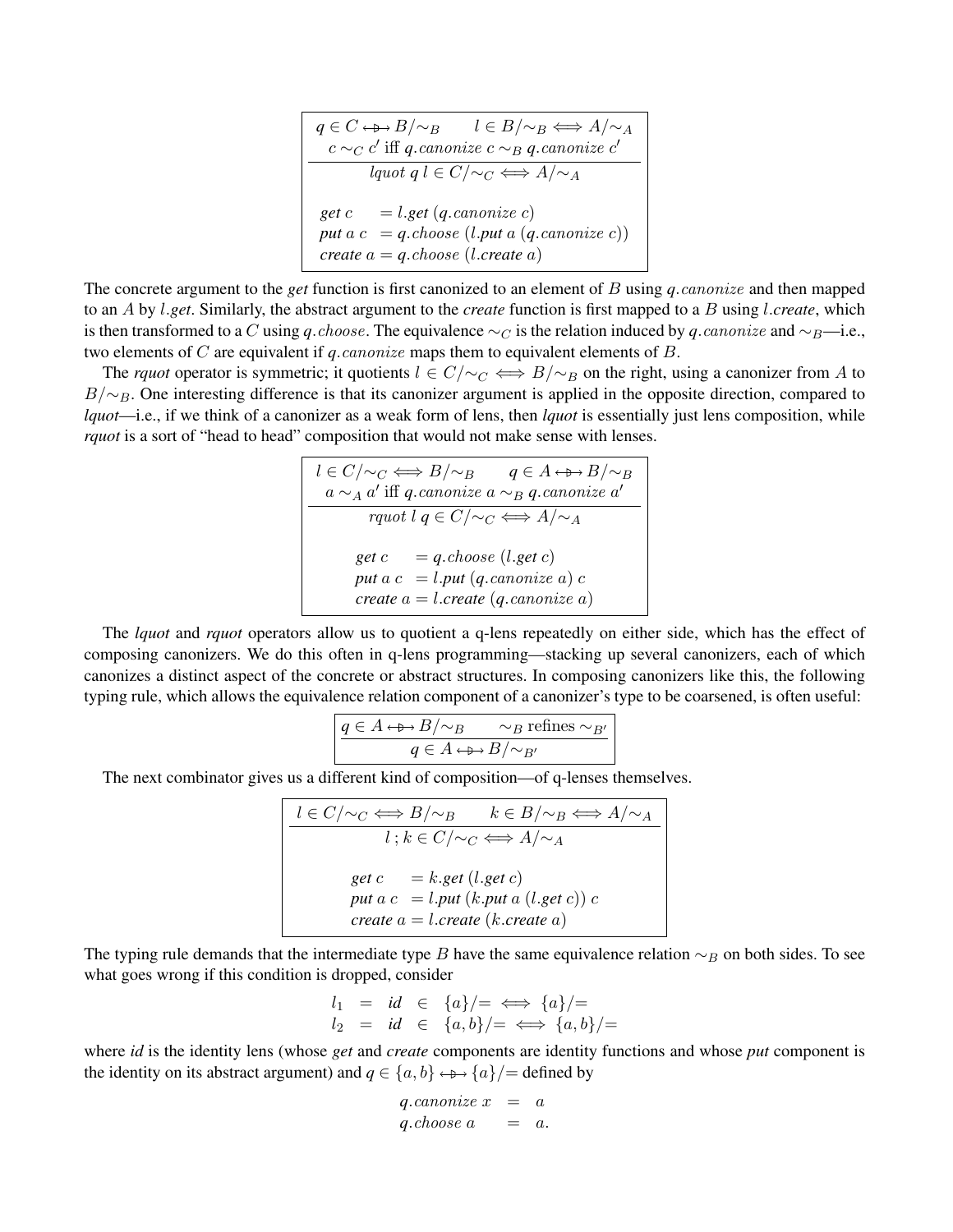$$
q \in C \leftrightarrow B/\sim_B \qquad l \in B/\sim_B \iff A/\sim_A
$$
  
\n
$$
\frac{c \sim_C c' \text{ iff } q.\text{canonical } c \sim_B q.\text{canonical } c'}{\text{Iquot } q \mid l \in C/\sim_C \iff A/\sim_A}
$$
  
\nget  $c = l.\text{get } (q.\text{canonical } c)$   
\nput  $a \mid c = q.\text{choose } (l.\text{put } a \mid (q.\text{canonical } c))$   
\ncreate  $a = q.\text{choose } (l.\text{create } a)$ 

The concrete argument to the *get* function is first canonized to an element of B using *q*.canonize and then mapped to an A by l.*get*. Similarly, the abstract argument to the *create* function is first mapped to a B using l.*create*, which is then transformed to a C using q.choose. The equivalence  $\sim_C$  is the relation induced by q.canonize and  $\sim_B$ —i.e., two elements of C are equivalent if *q*.canonize maps them to equivalent elements of B.

The *rquot* operator is symmetric; it quotients  $l \in C/\sim_C \iff B/\sim_B$  on the right, using a canonizer from A to  $B/\sim_B$ . One interesting difference is that its canonizer argument is applied in the opposite direction, compared to *lquot*—i.e., if we think of a canonizer as a weak form of lens, then *lquot* is essentially just lens composition, while *rquot* is a sort of "head to head" composition that would not make sense with lenses.

> $l \in C/\mathord{\sim}_C \Longleftrightarrow B/\mathord{\sim}_B \qquad q \in A \leftrightarrow B/\mathord{\sim}_B$  $a \sim_A a'$  iff *q*.canonize  $a \sim_B q$ .canonize  $a'$ *rquot l*  $q \in C/\mathord{\sim}_C \Longleftrightarrow A/\mathord{\sim}_A$ *get*  $c = q$ .choose (l.get c) *put*  $ac = l$ *.put*  $(q$ *.canonize a) c create*  $a = l$ *.create*  $(q$ *.canonize*  $a)$

The *lquot* and *rquot* operators allow us to quotient a q-lens repeatedly on either side, which has the effect of composing canonizers. We do this often in q-lens programming—stacking up several canonizers, each of which canonizes a distinct aspect of the concrete or abstract structures. In composing canonizers like this, the following typing rule, which allows the equivalence relation component of a canonizer's type to be coarsened, is often useful:

| $q \in A \leftrightarrow B/\sim_B$    | $\sim_B$ refines $\sim_{B'}$ |  |  |  |
|---------------------------------------|------------------------------|--|--|--|
| $q \in A \leftrightarrow B/\sim_{B'}$ |                              |  |  |  |

The next combinator gives us a different kind of composition—of q-lenses themselves.

$$
\frac{l \in C/\sim_C \iff B/\sim_B \qquad k \in B/\sim_B \iff A/\sim_A}{l \; ; \; k \in C/\sim_C \iff A/\sim_A}
$$
  
get  $c = k.get (l.get c)$   
put  $a c = l.put (k.put a (l.get c)) c$   
create  $a = l.create (k.create a)$ 

The typing rule demands that the intermediate type B have the same equivalence relation  $\sim_B$  on both sides. To see what goes wrong if this condition is dropped, consider

$$
l_1 = id \in \{a\}/\text{implies} \{a\}/\text{implies}
$$
  

$$
l_2 = id \in \{a,b\}/\text{implies} \{a,b\}/\text{implies}
$$

where *id* is the identity lens (whose *get* and *create* components are identity functions and whose *put* component is the identity on its abstract argument) and  $q \in \{a, b\} \leftrightarrow \{a\}/=$  defined by

$$
\begin{array}{rcl}\n q.\textit{canonical} & x & = & a \\
 q.\textit{choose } a & = & a.\n \end{array}
$$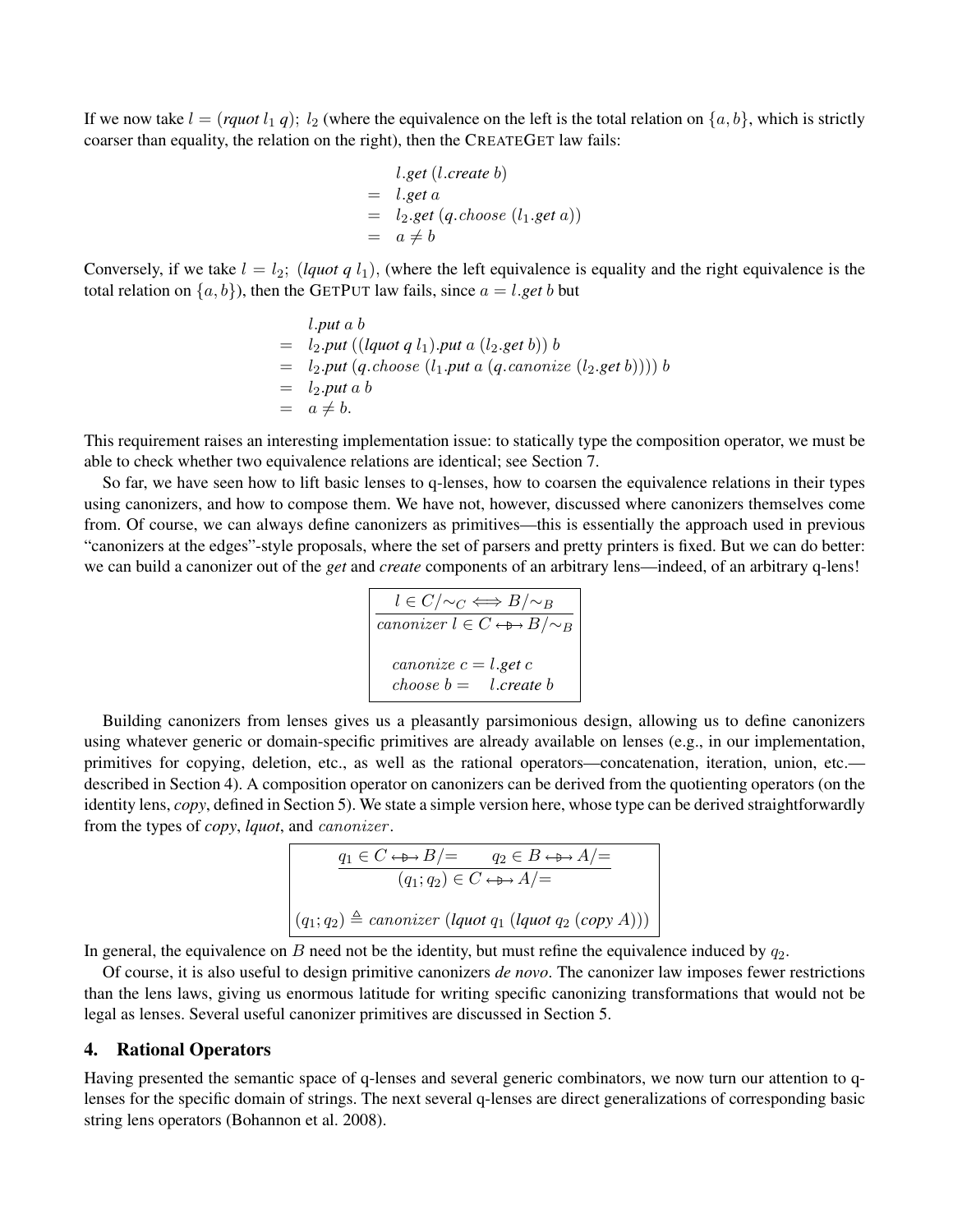If we now take  $l = (rquotl_1 q); l_2$  (where the equivalence on the left is the total relation on  $\{a, b\}$ , which is strictly coarser than equality, the relation on the right), then the CREATEGET law fails:

$$
l.get (l.create b)
$$
  
=  $l.get a$   
=  $l_2.get (q.close (l_1.get a))$   
=  $a \neq b$ 

Conversely, if we take  $l = l_2$ ; (*lquot q l*<sub>1</sub>), (where the left equivalence is equality and the right equivalence is the total relation on  $\{a, b\}$ ), then the GETPUT law fails, since  $a = l.get b$  but

$$
l. put a b
$$
  
=  $l_2. put ((lquot q l_1). put a (l_2.get b)) b$   
=  $l_2. put (q. choose (l_1. put a (q. canonize (l_2.get b)))) b$   
=  $l_2. put a b$   
=  $a \neq b$ .

This requirement raises an interesting implementation issue: to statically type the composition operator, we must be able to check whether two equivalence relations are identical; see Section 7.

So far, we have seen how to lift basic lenses to q-lenses, how to coarsen the equivalence relations in their types using canonizers, and how to compose them. We have not, however, discussed where canonizers themselves come from. Of course, we can always define canonizers as primitives—this is essentially the approach used in previous "canonizers at the edges"-style proposals, where the set of parsers and pretty printers is fixed. But we can do better: we can build a canonizer out of the *get* and *create* components of an arbitrary lens—indeed, of an arbitrary q-lens!

$$
\frac{l \in C/\sim_C \iff B/\sim_B}{\text{canonical } l \in C \iff B/\sim_B}
$$
\n
$$
\text{canonical } c = l.\text{get } c
$$
\n
$$
\text{choose } b = l.\text{create } b
$$

Building canonizers from lenses gives us a pleasantly parsimonious design, allowing us to define canonizers using whatever generic or domain-specific primitives are already available on lenses (e.g., in our implementation, primitives for copying, deletion, etc., as well as the rational operators—concatenation, iteration, union, etc. described in Section 4). A composition operator on canonizers can be derived from the quotienting operators (on the identity lens, *copy*, defined in Section 5). We state a simple version here, whose type can be derived straightforwardly from the types of *copy*, *lquot*, and canonizer .

$$
\frac{q_1 \in C \leftrightarrow B \mid}{(q_1; q_2) \in C \leftrightarrow A \mid} =
$$
\n
$$
(q_1; q_2) \triangleq \text{canonical} \left( \text{quot } q_1 \text{ (equot } q_2 \text{ (copy } A \text{))} \right)
$$

In general, the equivalence on B need not be the identity, but must refine the equivalence induced by  $q_2$ .

Of course, it is also useful to design primitive canonizers *de novo*. The canonizer law imposes fewer restrictions than the lens laws, giving us enormous latitude for writing specific canonizing transformations that would not be legal as lenses. Several useful canonizer primitives are discussed in Section 5.

#### 4. Rational Operators

Having presented the semantic space of q-lenses and several generic combinators, we now turn our attention to qlenses for the specific domain of strings. The next several q-lenses are direct generalizations of corresponding basic string lens operators (Bohannon et al. 2008).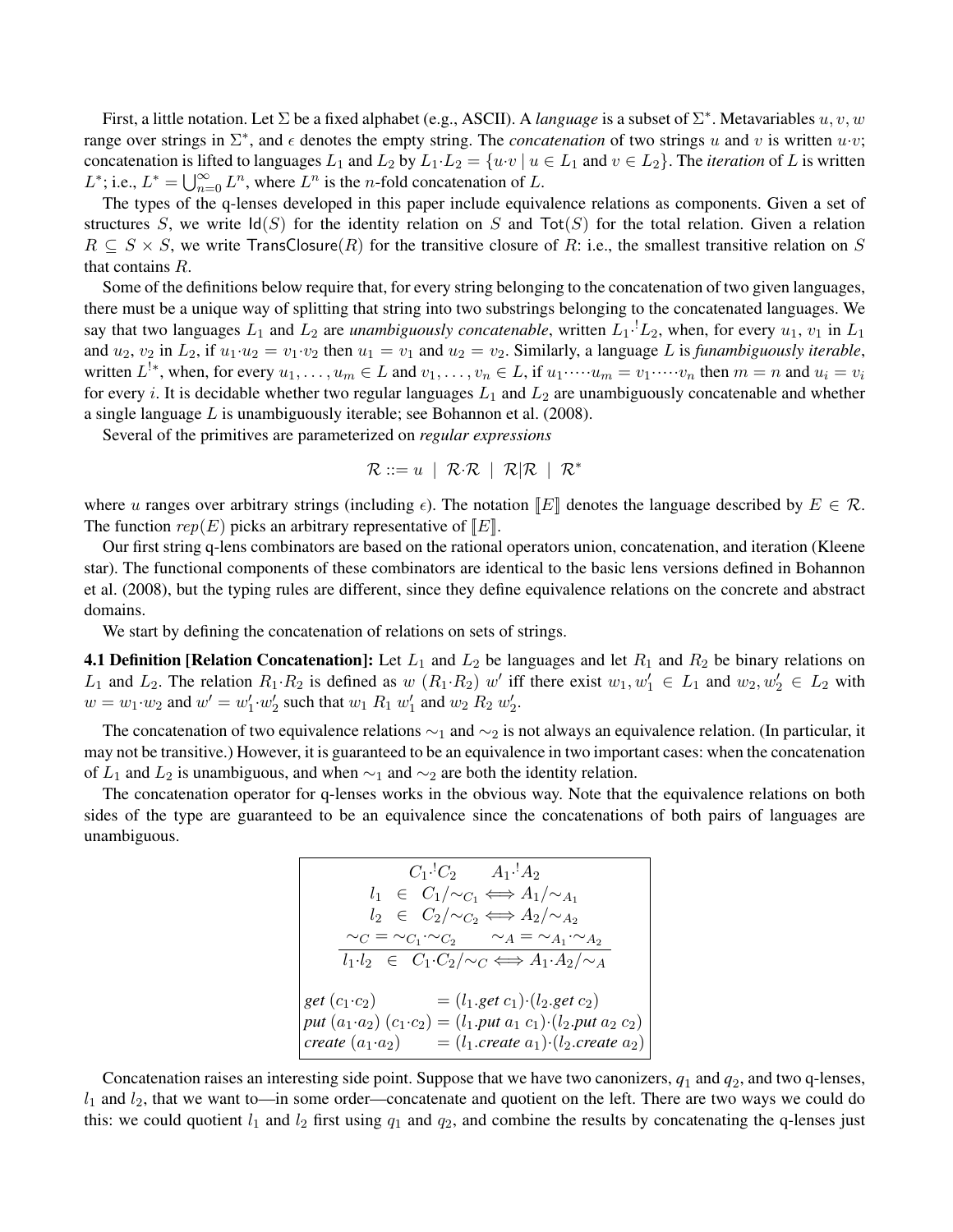First, a little notation. Let  $\Sigma$  be a fixed alphabet (e.g., ASCII). A *language* is a subset of  $\Sigma^*$ . Metavariables  $u, v, w$ range over strings in  $\Sigma^*$ , and  $\epsilon$  denotes the empty string. The *concatenation* of two strings u and v is written  $u \cdot v$ ; concatenation is lifted to languages  $L_1$  and  $L_2$  by  $L_1 \cdot L_2 = \{u \cdot v \mid u \in L_1 \text{ and } v \in L_2\}$ . The *iteration* of L is written L<sup>\*</sup>; i.e.,  $L^* = \bigcup_{n=0}^{\infty} L^n$ , where  $L^n$  is the *n*-fold concatenation of L.

The types of the q-lenses developed in this paper include equivalence relations as components. Given a set of structures S, we write  $\text{Id}(S)$  for the identity relation on S and Tot(S) for the total relation. Given a relation  $R \subseteq S \times S$ , we write TransClosure(R) for the transitive closure of R: i.e., the smallest transitive relation on S that contains R.

Some of the definitions below require that, for every string belonging to the concatenation of two given languages, there must be a unique way of splitting that string into two substrings belonging to the concatenated languages. We say that two languages  $L_1$  and  $L_2$  are *unambiguously concatenable*, written  $L_1$ <sup> $l$ </sup> $L_2$ , when, for every  $u_1$ ,  $v_1$  in  $L_1$ and  $u_2$ ,  $v_2$  in  $L_2$ , if  $u_1 \cdot u_2 = v_1 \cdot v_2$  then  $u_1 = v_1$  and  $u_2 = v_2$ . Similarly, a language L is *funambiguously iterable*, written  $L^{1*}$ , when, for every  $u_1, \ldots, u_m \in L$  and  $v_1, \ldots, v_n \in L$ , if  $u_1 \cdots u_m = v_1 \cdots v_n$  then  $m = n$  and  $u_i = v_i$ for every *i*. It is decidable whether two regular languages  $L_1$  and  $L_2$  are unambiguously concatenable and whether a single language  $L$  is unambiguously iterable; see Bohannon et al. (2008).

Several of the primitives are parameterized on *regular expressions*

$$
\mathcal{R} ::= u \mid \mathcal{R} \cdot \mathcal{R} \mid \mathcal{R} | \mathcal{R} \mid \mathcal{R}^*
$$

where u ranges over arbitrary strings (including  $\epsilon$ ). The notation [E]] denotes the language described by  $E \in \mathcal{R}$ . The function  $rep(E)$  picks an arbitrary representative of  $||E||$ .

Our first string q-lens combinators are based on the rational operators union, concatenation, and iteration (Kleene star). The functional components of these combinators are identical to the basic lens versions defined in Bohannon et al. (2008), but the typing rules are different, since they define equivalence relations on the concrete and abstract domains.

We start by defining the concatenation of relations on sets of strings.

**4.1 Definition [Relation Concatenation]:** Let  $L_1$  and  $L_2$  be languages and let  $R_1$  and  $R_2$  be binary relations on  $L_1$  and  $L_2$ . The relation  $R_1 \cdot R_2$  is defined as  $w(R_1 \cdot R_2)$  w' iff there exist  $w_1, w'_1 \in L_1$  and  $w_2, w'_2 \in L_2$  with  $w = w_1 \cdot w_2$  and  $w' = w'_1 \cdot w'_2$  such that  $w_1 R_1 w'_1$  and  $w_2 R_2 w'_2$ .

The concatenation of two equivalence relations  $\sim_1$  and  $\sim_2$  is not always an equivalence relation. (In particular, it may not be transitive.) However, it is guaranteed to be an equivalence in two important cases: when the concatenation of  $L_1$  and  $L_2$  is unambiguous, and when  $\sim_1$  and  $\sim_2$  are both the identity relation.

The concatenation operator for q-lenses works in the obvious way. Note that the equivalence relations on both sides of the type are guaranteed to be an equivalence since the concatenations of both pairs of languages are unambiguous.

$$
C_1 \cdot C_2 \qquad A_1 \cdot A_2
$$
\n
$$
l_1 \in C_1/\sim_{C_1} \iff A_1/\sim_{A_1}
$$
\n
$$
l_2 \in C_2/\sim_{C_2} \iff A_2/\sim_{A_2}
$$
\n
$$
\sim_C = \sim_{C_1} \sim_{C_2} \qquad \sim_A = \sim_{A_1} \sim_{A_2}
$$
\n
$$
\overline{l_1 \cdot l_2} \in C_1 \cdot C_2/\sim_C \iff A_1 \cdot A_2/\sim_A
$$
\n
$$
get (c_1 \cdot c_2) = (l_1.get c_1) \cdot (l_2.get c_2)
$$
\n
$$
put (a_1 \cdot a_2) (c_1 \cdot c_2) = (l_1.put a_1 c_1) \cdot (l_2.put a_2 c_2)
$$
\n
$$
create (a_1 \cdot a_2) = (l_1.create a_1) \cdot (l_2.create a_2)
$$

Concatenation raises an interesting side point. Suppose that we have two canonizers,  $q_1$  and  $q_2$ , and two q-lenses,  $l_1$  and  $l_2$ , that we want to—in some order—concatenate and quotient on the left. There are two ways we could do this: we could quotient  $l_1$  and  $l_2$  first using  $q_1$  and  $q_2$ , and combine the results by concatenating the q-lenses just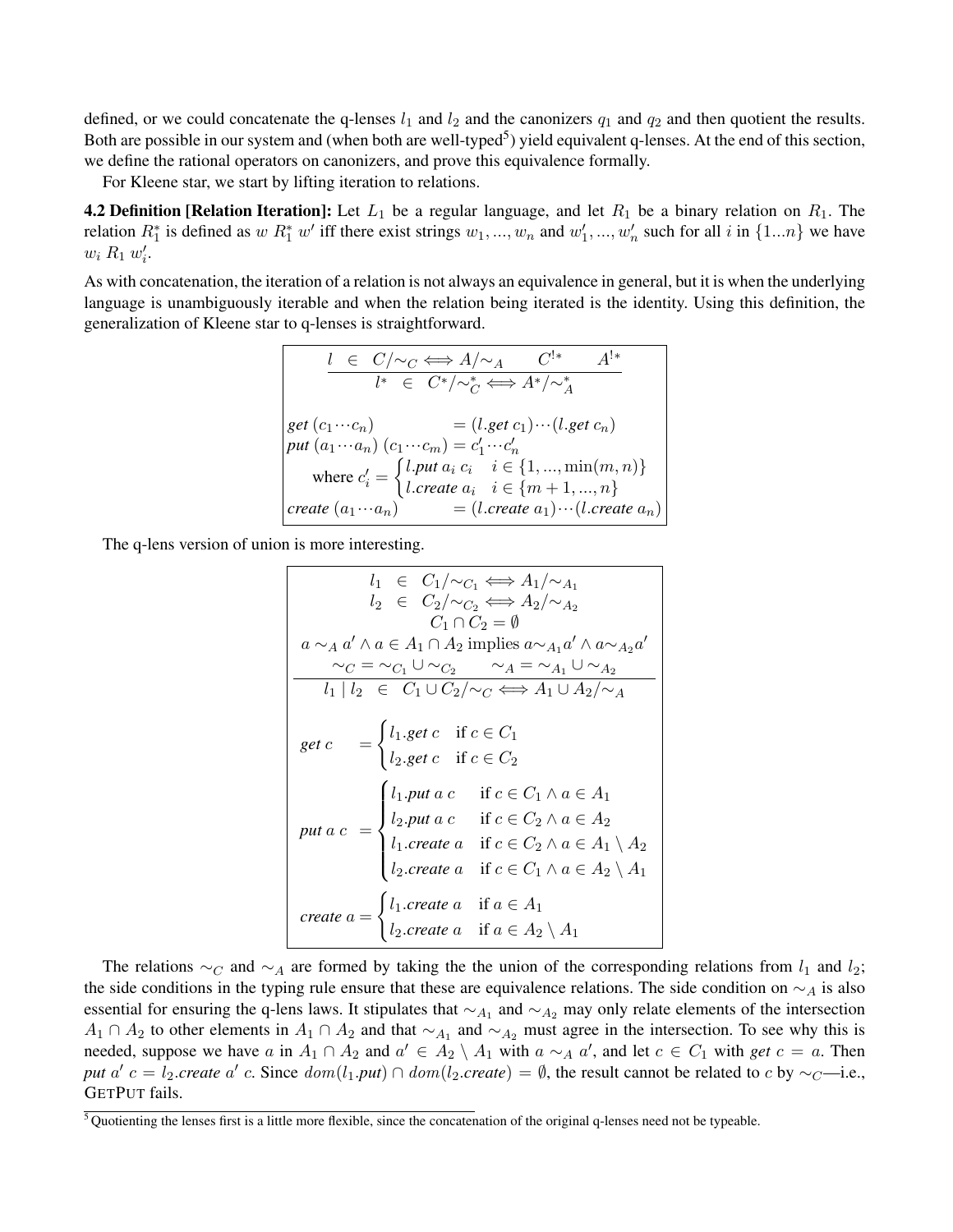defined, or we could concatenate the q-lenses  $l_1$  and  $l_2$  and the canonizers  $q_1$  and  $q_2$  and then quotient the results. Both are possible in our system and (when both are well-typed<sup>5</sup>) yield equivalent q-lenses. At the end of this section, we define the rational operators on canonizers, and prove this equivalence formally.

For Kleene star, we start by lifting iteration to relations.

**4.2 Definition [Relation Iteration]:** Let  $L_1$  be a regular language, and let  $R_1$  be a binary relation on  $R_1$ . The relation  $R_1^*$  is defined as  $w R_1^* w'$  iff there exist strings  $w_1, ..., w_n$  and  $w'_1, ..., w'_n$  such for all i in  $\{1...n\}$  we have  $w_i R_1 w'_i.$ 

As with concatenation, the iteration of a relation is not always an equivalence in general, but it is when the underlying language is unambiguously iterable and when the relation being iterated is the identity. Using this definition, the generalization of Kleene star to q-lenses is straightforward.

$$
\begin{array}{|l|l|} \hline l &\in & C/\sim_C \Longleftrightarrow A/\sim_A & C^{!*} & A^{!*} \\ \hline l^* &\in & C^*/\sim_C^* \Longleftrightarrow A^*/\sim_A^* \\ \hline \end{array}
$$
\n
$$
\begin{array}{l} get\ (c_1 \cdots c_n) & = (l.get\ c_1) \cdots (l.get\ c_n) \\ put\ (a_1 \cdots a_n)\ (c_1 \cdots c_m) = c'_1 \cdots c'_n \\ where\ c'_i = \begin{cases} l.put\ a_i\ c_i & i \in \{1, \ldots, \min(m, n)\} \\ l.create\ a_i & i \in \{m+1, \ldots, n\} \\ createst\ a_1 \cdots a_n \end{cases} \\ create\ (a_1 \cdots a_n) = (l.create\ a_1) \cdots (l.create\ a_n) \end{array}
$$

The q-lens version of union is more interesting.

$$
l_1 \in C_1/\sim_{C_1} \iff A_1/\sim_{A_1}
$$
  
\n
$$
l_2 \in C_2/\sim_{C_2} \iff A_2/\sim_{A_2}
$$
  
\n
$$
C_1 \cap C_2 = \emptyset
$$
  
\n
$$
a \sim_A a' \land a \in A_1 \cap A_2 \text{ implies } a \sim_{A_1} a' \land a \sim_{A_2} a'
$$
  
\n
$$
\sim_C = \sim_{C_1} \cup \sim_{C_2} \quad \sim_A = \sim_{A_1} \cup \sim_{A_2}
$$
  
\n
$$
l_1 | l_2 \in C_1 \cup C_2/\sim_C \iff A_1 \cup A_2/\sim_A
$$
  
\nget  $c = \begin{cases} l_1.get \, c & \text{if } c \in C_1 \\ l_2.get \, c & \text{if } c \in C_2 \end{cases}$   
\nput  $a \, c = \begin{cases} l_1.put \, a \, c & \text{if } c \in C_1 \land a \in A_1 \\ l_2.put \, a & \text{if } c \in C_2 \land a \in A_2 \\ l_1.create \, a & \text{if } c \in C_2 \land a \in A_1 \setminus A_2 \\ l_2.create \, a & \text{if } c \in C_1 \land a \in A_2 \setminus A_1 \end{cases}$   
\ncreate  $a = \begin{cases} l_1.create \, a & \text{if } a \in A_1 \\ l_2.create \, a & \text{if } a \in A_2 \setminus A_1 \end{cases}$ 

The relations  $\sim_C$  and  $\sim_A$  are formed by taking the the union of the corresponding relations from  $l_1$  and  $l_2$ ; the side conditions in the typing rule ensure that these are equivalence relations. The side condition on  $\sim_A$  is also essential for ensuring the q-lens laws. It stipulates that  $\sim_{A_1}$  and  $\sim_{A_2}$  may only relate elements of the intersection  $A_1 \cap A_2$  to other elements in  $A_1 \cap A_2$  and that  $\sim_{A_1}$  and  $\sim_{A_2}$  must agree in the intersection. To see why this is needed, suppose we have a in  $A_1 \cap A_2$  and  $a' \in A_2 \setminus A_1$  with  $a \sim_A a'$ , and let  $c \in C_1$  with  $get \ c = a$ . Then *put*  $a' c = l_2$ .*create*  $a' c$ . Since  $dom(l_1.put) \cap dom(l_2.create) = \emptyset$ , the result cannot be related to c by ∼c—i.e., GETPUT fails.

 $5$  Quotienting the lenses first is a little more flexible, since the concatenation of the original q-lenses need not be typeable.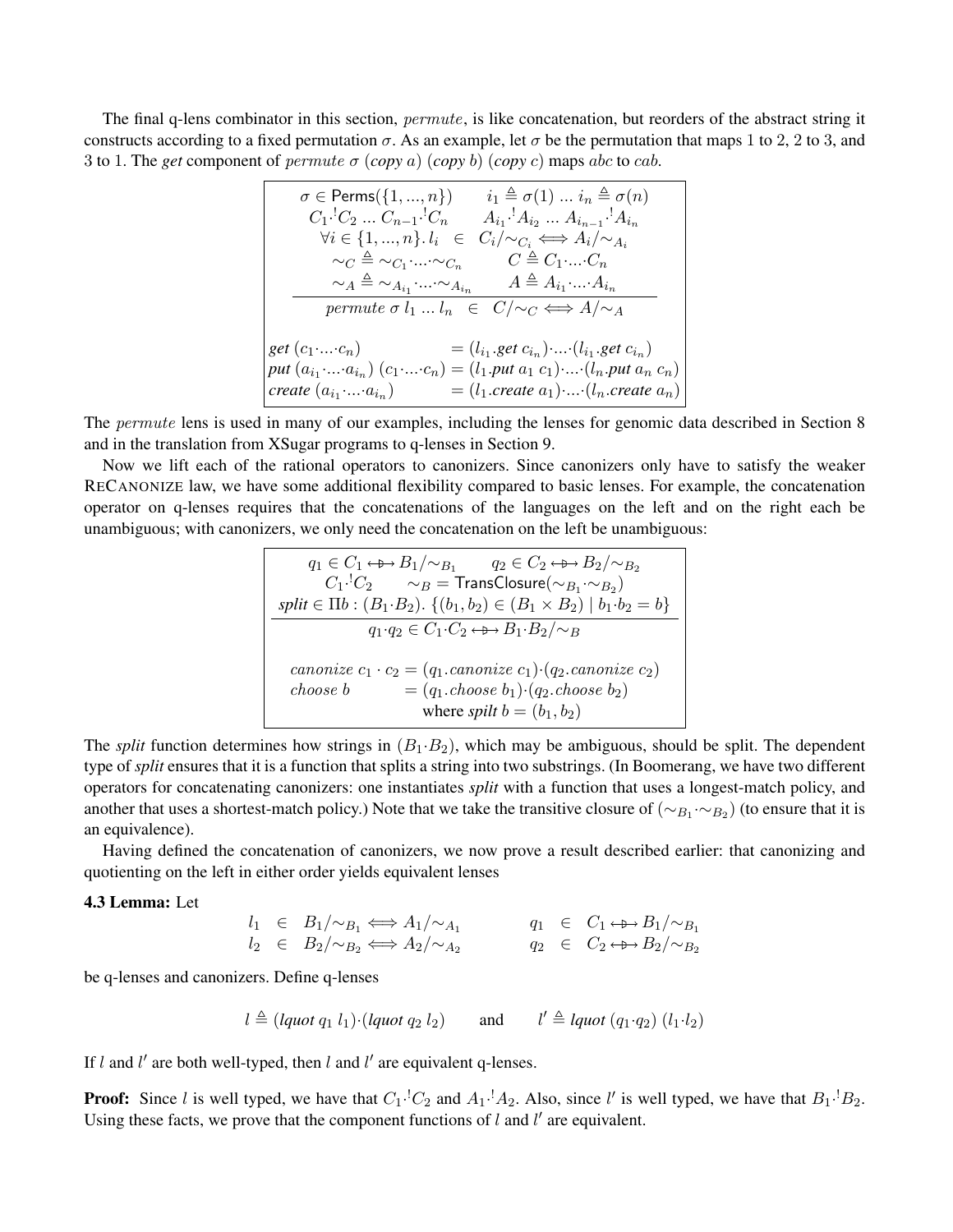The final q-lens combinator in this section, *permute*, is like concatenation, but reorders of the abstract string it constructs according to a fixed permutation  $\sigma$ . As an example, let  $\sigma$  be the permutation that maps 1 to 2, 2 to 3, and 3 to 1. The *get* component of *permute*  $\sigma$  (*copy* a) (*copy* b) (*copy* c) maps abc to cab.

$$
\sigma \in \text{Perms}(\{1, ..., n\}) \qquad i_1 \triangleq \sigma(1) \dots i_n \triangleq \sigma(n)
$$
\n
$$
C_1 \cdot C_2 \dots C_{n-1} \cdot C_n \qquad A_{i_1} \cdot A_{i_2} \dots A_{i_{n-1}} \cdot A_{i_n}
$$
\n
$$
\forall i \in \{1, ..., n\}. \quad l_i \in C_i/\sim_{C_i} \iff A_i/\sim_{A_i}
$$
\n
$$
\sim_C \triangleq \sim_{C_1} \dots \sim_{C_n} \qquad C \triangleq C_1 \dots C_n
$$
\n
$$
\sim_A \triangleq \sim_{A_{i_1}} \dots \sim_{A_{i_n}} \qquad A \triangleq A_{i_1} \dots A_{i_n}
$$
\n
$$
\text{permute } \sigma \quad l_1 \dots l_n \in C/\sim_C \iff A/\sim_A
$$
\n
$$
\text{get } (c_1 \dots c_n) \qquad = (l_1.\text{get } c_{i_n}) \dots (l_1.\text{get } c_{i_n})
$$
\n
$$
\text{put } (a_{i_1} \dots a_{i_n}) (c_1 \dots c_n) = (l_1.\text{put } a_1 \ c_1) \dots (l_n.\text{put } a_n \ c_n)
$$
\n
$$
\text{create } (a_{i_1} \dots a_{i_n}) \qquad = (l_1.\text{create } a_1) \dots (l_n.\text{create } a_n)
$$

The *permute* lens is used in many of our examples, including the lenses for genomic data described in Section 8 and in the translation from XSugar programs to q-lenses in Section 9.

Now we lift each of the rational operators to canonizers. Since canonizers only have to satisfy the weaker RECANONIZE law, we have some additional flexibility compared to basic lenses. For example, the concatenation operator on q-lenses requires that the concatenations of the languages on the left and on the right each be unambiguous; with canonizers, we only need the concatenation on the left be unambiguous:

$$
q_1 \in C_1 \leftrightarrow B_1/\sim_{B_1} \qquad q_2 \in C_2 \leftrightarrow B_2/\sim_{B_2}
$$
  
\n
$$
C_1 \cdot C_2 \qquad \sim_B = \text{TransClosure}(\sim_{B_1} \sim_{B_2})
$$
  
\n
$$
split \in \text{IIb} : (B_1 \cdot B_2) . \{(b_1, b_2) \in (B_1 \times B_2) \mid b_1 \cdot b_2 = b\}
$$
  
\n
$$
q_1 \cdot q_2 \in C_1 \cdot C_2 \leftrightarrow B_1 \cdot B_2/\sim_B
$$
  
\n
$$
cannotize \ c_1 \cdot c_2 = (q_1 \cdot cannotize \ c_1) \cdot (q_2 \cdot cannotize \ c_2)
$$
  
\n
$$
choose b = (q_1 \cdot choose \ b_1) \cdot (q_2 \cdot choose \ b_2)
$$
  
\nwhere split  $b = (b_1, b_2)$ 

The *split* function determines how strings in  $(B_1 \cdot B_2)$ , which may be ambiguous, should be split. The dependent type of *split* ensures that it is a function that splits a string into two substrings. (In Boomerang, we have two different operators for concatenating canonizers: one instantiates *split* with a function that uses a longest-match policy, and another that uses a shortest-match policy.) Note that we take the transitive closure of  $(\sim_{B_1} \sim_{B_2})$  (to ensure that it is an equivalence).

Having defined the concatenation of canonizers, we now prove a result described earlier: that canonizing and quotienting on the left in either order yields equivalent lenses

### 4.3 Lemma: Let

$$
l_1 \in B_1/\sim_{B_1} \iff A_1/\sim_{A_1}
$$
  $q_1 \in C_1 \leftrightarrow B_1/\sim_{B_1}$   
\n $l_2 \in B_2/\sim_{B_2} \iff A_2/\sim_{A_2}$   $q_2 \in C_2 \leftrightarrow B_2/\sim_{B_2}$ 

be q-lenses and canonizers. Define q-lenses

$$
l \triangleq (lquot\ q_1 l_1) \cdot (lquot\ q_2 l_2)
$$
 and  $l' \triangleq lquot\ (q_1 \cdot q_2) (l_1 \cdot l_2)$ 

If  $l$  and  $l'$  are both well-typed, then  $l$  and  $l'$  are equivalent q-lenses.

**Proof:** Since l is well typed, we have that  $C_1$ <sup>1</sup> $C_2$  and  $A_1$ <sup>1</sup> $A_2$ . Also, since l' is well typed, we have that  $B_1$ <sup>1</sup> $B_2$ . Using these facts, we prove that the component functions of  $l$  and  $l'$  are equivalent.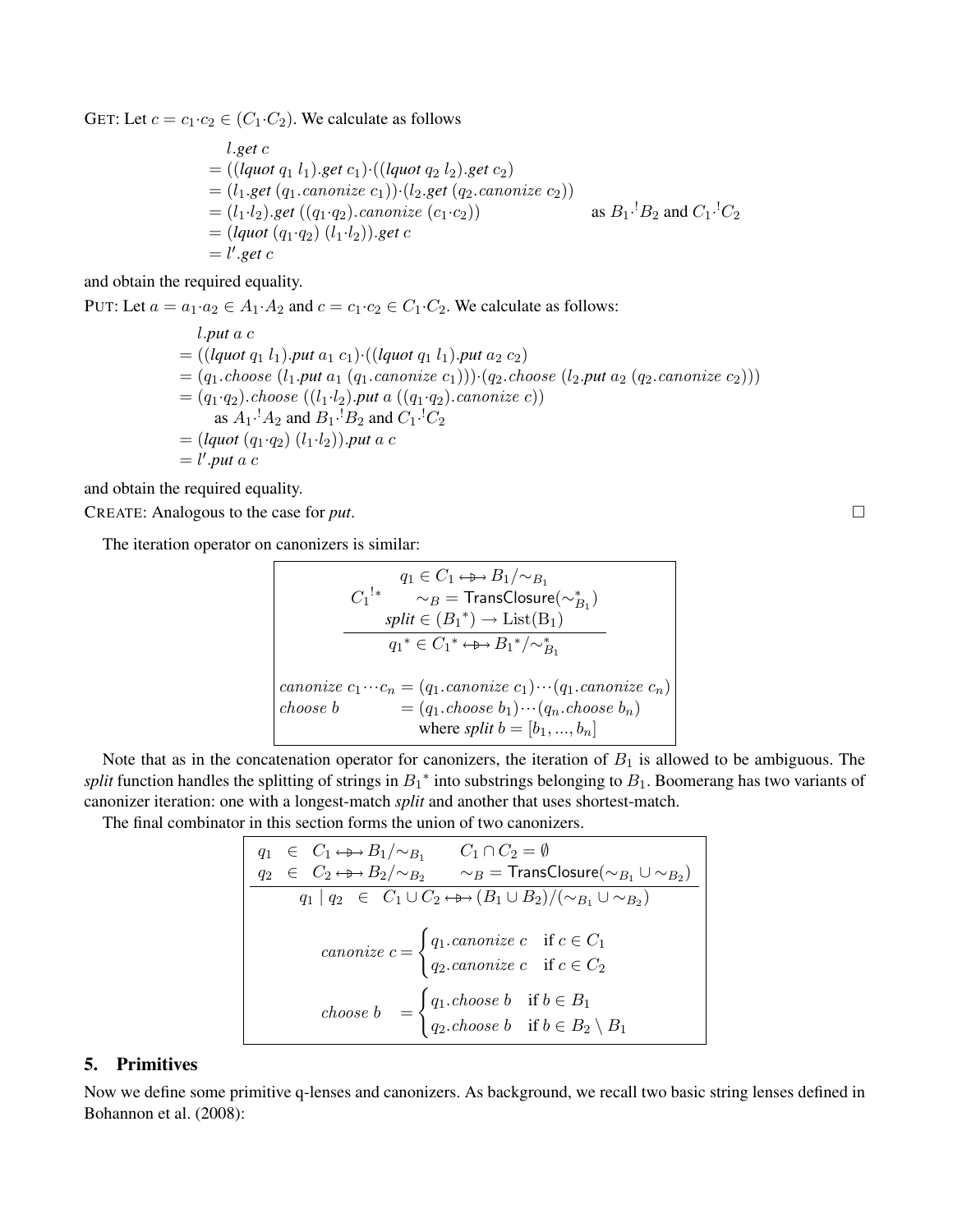GET: Let  $c = c_1 \cdot c_2 \in (C_1 \cdot C_2)$ . We calculate as follows

*l.get c*  
= ((*lquot q*<sub>1</sub> *l*<sub>1</sub>).*get c*<sub>1</sub>)·((*lquot q*<sub>2</sub> *l*<sub>2</sub>).*get c*<sub>2</sub>)  
= (*l*<sub>1</sub>.*get* (*q*<sub>1</sub>.*canonical c*<sub>1</sub>))·(*l*<sub>2</sub>.*get* (*q*<sub>2</sub>.*canonical c*<sub>2</sub>))  
= (*l*<sub>1</sub>·*l*<sub>2</sub>).*get* ((*q*<sub>1</sub>·*q*<sub>2</sub>).*canonical* (*c*<sub>1</sub>·*c*<sub>2</sub>)) as 
$$
B_1
$$
.<sup>1</sup> $B_2$  and  $C_1$ .<sup>1</sup> $C_2$   
= (*lquot* (*q*<sub>1</sub>·*q*<sub>2</sub>) (*l*<sub>1</sub>·*l*<sub>2</sub>)),*get c*  
= *l'*.*get c*

and obtain the required equality.

PUT: Let  $a = a_1 \cdot a_2 \in A_1 \cdot A_2$  and  $c = c_1 \cdot c_2 \in C_1 \cdot C_2$ . We calculate as follows:

$$
l. put a c
$$
  
= ((*lquot q*<sub>1</sub> *l*<sub>1</sub>).*put a*<sub>1</sub> *c*<sub>1</sub>)·((*lquot q*<sub>1</sub> *l*<sub>1</sub>).*put a*<sub>2</sub> *c*<sub>2</sub>)  
= (*q*<sub>1</sub>.*choose* (*l*<sub>1</sub>.*put a*<sub>1</sub> (*q*<sub>1</sub>.*canonical c*<sub>1</sub>)))(*q*<sub>2</sub>.*choose* (*l*<sub>2</sub>.*put a*<sub>2</sub> (*q*<sub>2</sub>.*canonical c*<sub>2</sub>))  
= (*q*<sub>1</sub>·*q*<sub>2</sub>).*choose* ((*l*<sub>1</sub>·*l*<sub>2</sub>).*put a* ((*q*<sub>1</sub>·*q*<sub>2</sub>).*canonical c*)  
as *A*<sub>1</sub>·*h*<sub>2</sub> and *B*<sub>1</sub>·*b*<sub>2</sub> and *C*<sub>1</sub>·*c*<sub>2</sub>  
= (*lquot* (*q*<sub>1</sub>·*q*<sub>2</sub>) (*l*<sub>1</sub>·*l*<sub>2</sub>)).*put a c*  
= *l'*.*put a c*

and obtain the required equality.

CREATE: Analogous to the case for *put*.

The iteration operator on canonizers is similar:

$$
q_1 \in C_1 \leftrightarrow B_1/\sim_{B_1}
$$
  
\n
$$
C_1^{1*} \sim_B = \text{TransClosure}(\sim_{B_1}^*)
$$
  
\n
$$
split \in (B_1^*) \to \text{List}(B_1)
$$
  
\n
$$
q_1^* \in C_1^* \leftrightarrow B_1^* / \sim_{B_1}^*
$$
  
\n
$$
canonize \ c_1 \cdots c_n = (q_1 \text{.} canonize \ c_1) \cdots (q_1 \text{.} canonize \ c_n)
$$
  
\n
$$
choose b \equiv (q_1 \text{.}choose b_1) \cdots (q_n \text{.}choose b_n)
$$
  
\nwhere split  $b = [b_1, \ldots, b_n]$ 

Note that as in the concatenation operator for canonizers, the iteration of  $B_1$  is allowed to be ambiguous. The *split* function handles the splitting of strings in  $B_1^*$  into substrings belonging to  $B_1$ . Boomerang has two variants of canonizer iteration: one with a longest-match *split* and another that uses shortest-match.

The final combinator in this section forms the union of two canonizers.

$$
q_1 \in C_1 \leftrightarrow B_1/\sim_{B_1} C_1 \cap C_2 = \emptyset
$$
  
\n
$$
q_2 \in C_2 \leftrightarrow B_2/\sim_{B_2} \sim_B = \text{TransClosure}(\sim_{B_1} \cup \sim_{B_2})
$$
  
\n
$$
q_1 | q_2 \in C_1 \cup C_2 \leftrightarrow (B_1 \cup B_2) / (\sim_{B_1} \cup \sim_{B_2})
$$
  
\n
$$
cannotize c = \begin{cases} q_1 \cdot cannotize \ c & \text{if } c \in C_1 \\ q_2 \cdot cannotize \ c & \text{if } c \in C_2 \end{cases}
$$
  
\n
$$
choose b = \begin{cases} q_1 \cdot choose \ b & \text{if } b \in B_1 \\ q_2 \cdot choose \ b & \text{if } b \in B_2 \setminus B_1 \end{cases}
$$

## 5. Primitives

Now we define some primitive q-lenses and canonizers. As background, we recall two basic string lenses defined in Bohannon et al. (2008):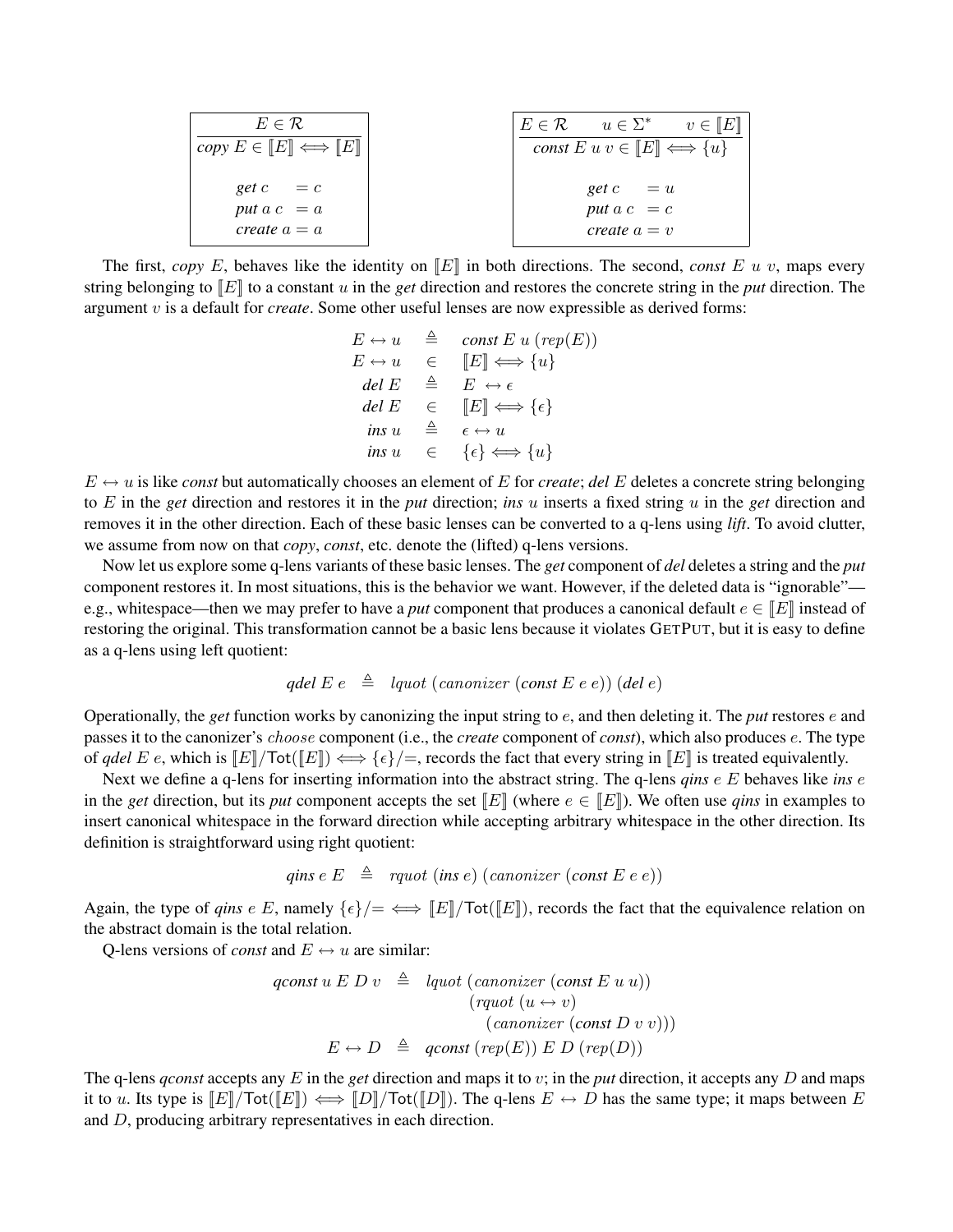| $E \in \mathcal{R}$         | $E \in \mathcal{R}$                    | $u \in \Sigma^*$ | $v \in [E]$ |
|-----------------------------|----------------------------------------|------------------|-------------|
| $copy \ E \in [E] \iff [E]$ | $const \ E \ u \ v \in [E] \iff \{u\}$ |                  |             |
| $get \ c \ = c$             | $get \ c \ = u$                        |                  |             |
| $put \ a \ c \ = a$         | $put \ a \ c \ = c$                    |                  |             |
| $create \ a = u$            | $put \ a \ c \ = c$                    |                  |             |

The first, *copy* E, behaves like the identity on  $\llbracket E \rrbracket$  in both directions. The second, *const* E u v, maps every string belonging to  $\llbracket E \rrbracket$  to a constant u in the *get* direction and restores the concrete string in the *put* direction. The argument v is a default for *create*. Some other useful lenses are now expressible as derived forms:

$$
E \leftrightarrow u \quad \triangleq \quad const \ E \ u \ (rep(E))
$$
  
\n
$$
E \leftrightarrow u \quad \in \quad [E] \iff \{u\}
$$
  
\n
$$
del \ E \quad \triangleq \quad E \leftrightarrow \epsilon
$$
  
\n
$$
del \ E \quad \in \quad [E] \iff \{\epsilon\}
$$
  
\n
$$
ins \ u \quad \triangleq \quad \epsilon \leftrightarrow u
$$
  
\n
$$
ins \ u \quad \in \quad \{\epsilon\} \iff \{u\}
$$

 $E \leftrightarrow u$  is like *const* but automatically chooses an element of E for *create*; *del* E deletes a concrete string belonging to E in the *get* direction and restores it in the *put* direction; *ins* u inserts a fixed string u in the *get* direction and removes it in the other direction. Each of these basic lenses can be converted to a q-lens using *lift*. To avoid clutter, we assume from now on that *copy*, *const*, etc. denote the (lifted) q-lens versions.

Now let us explore some q-lens variants of these basic lenses. The *get* component of *del* deletes a string and the *put* component restores it. In most situations, this is the behavior we want. However, if the deleted data is "ignorable" e.g., whitespace—then we may prefer to have a *put* component that produces a canonical default  $e \in [E]$  instead of restoring the original. This transformation cannot be a basic lens because it violates GETPUT, but it is easy to define as a q-lens using left quotient:

$$
qdel E e \triangleq lquot (canonizer (const E e e)) (del e)
$$

Operationally, the *get* function works by canonizing the input string to e, and then deleting it. The *put* restores e and passes it to the canonizer's choose component (i.e., the *create* component of *const*), which also produces e. The type of *qdel* E e, which is  $\llbracket E \rrbracket / \text{Tot}(\llbracket E \rrbracket) \Longleftrightarrow {\epsilon} / =$ , records the fact that every string in  $\llbracket E \rrbracket$  is treated equivalently.

Next we define a q-lens for inserting information into the abstract string. The q-lens *qins* e E behaves like *ins* e in the *get* direction, but its *put* component accepts the set  $\llbracket E \rrbracket$  (where  $e \in \llbracket E \rrbracket$ ). We often use *gins* in examples to insert canonical whitespace in the forward direction while accepting arbitrary whitespace in the other direction. Its definition is straightforward using right quotient:

$$
qins e E \triangleq \text{rquot (ins } e) \text{ (canonizer (const } E e e))
$$

Again, the type of *qins* e E, namely  $\{\epsilon\}/\epsilon \implies \llbracket E \rrbracket/\text{Tot}(\llbracket E \rrbracket)$ , records the fact that the equivalence relation on the abstract domain is the total relation.

Q-lens versions of *const* and  $E \leftrightarrow u$  are similar:

$$
qconst u \ E \ D \ v \triangleq \ lquot (canonizer \ (const \ E \ u \ u))
$$

$$
(rquot (u \leftrightarrow v) \ (canonizer \ (const \ D \ v \ v)))
$$

$$
E \leftrightarrow D \triangleq \ qconst (rep(E)) \ E \ D \ (rep(D))
$$

The q-lens *qconst* accepts any E in the *get* direction and maps it to v; in the *put* direction, it accepts any D and maps it to u. Its type is  $\llbracket E \rrbracket/\text{Tot}(\llbracket E \rrbracket) \iff \llbracket D \rrbracket/\text{Tot}(\llbracket D \rrbracket)$ . The q-lens  $E \leftrightarrow D$  has the same type; it maps between E and D, producing arbitrary representatives in each direction.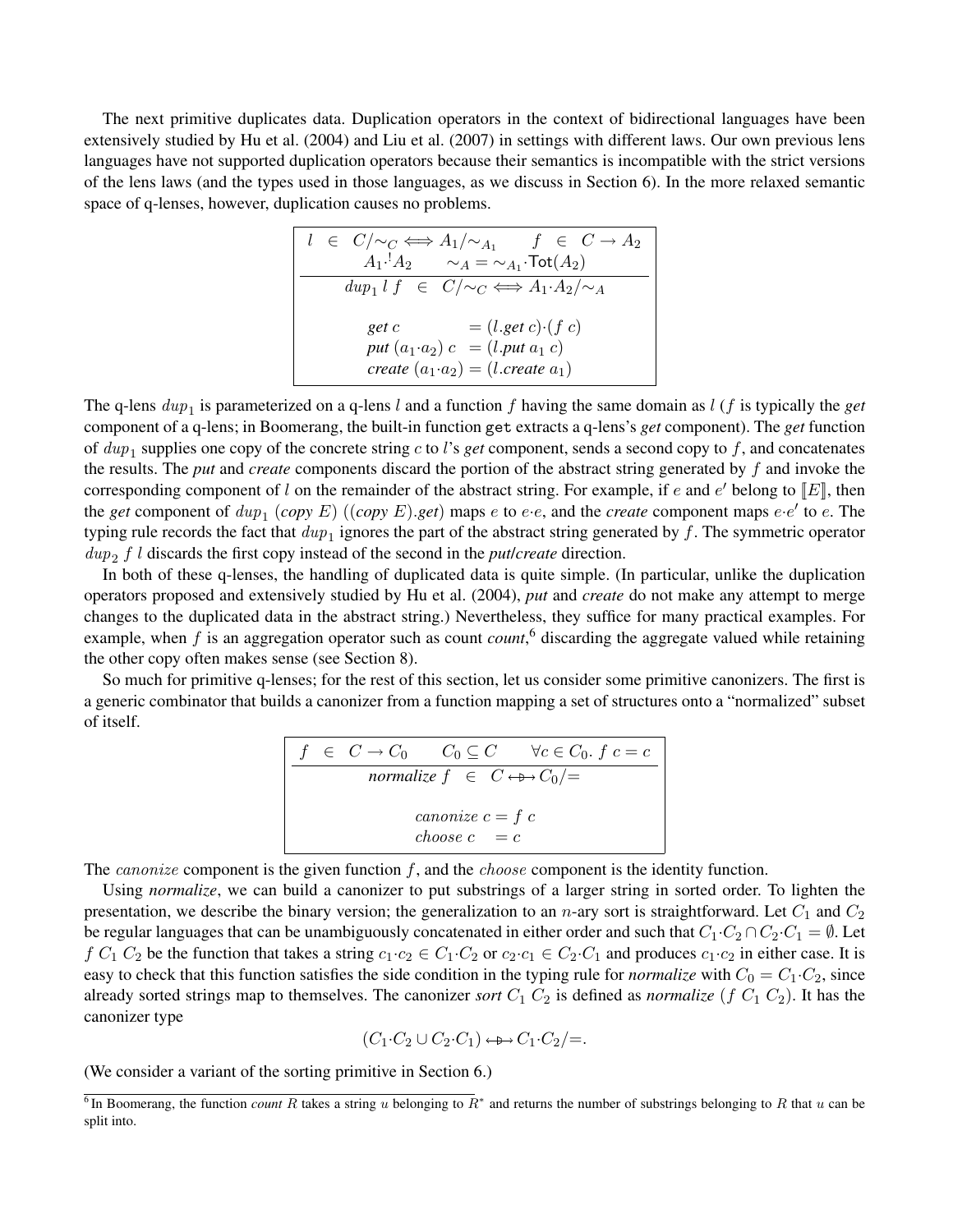The next primitive duplicates data. Duplication operators in the context of bidirectional languages have been extensively studied by Hu et al. (2004) and Liu et al. (2007) in settings with different laws. Our own previous lens languages have not supported duplication operators because their semantics is incompatible with the strict versions of the lens laws (and the types used in those languages, as we discuss in Section 6). In the more relaxed semantic space of q-lenses, however, duplication causes no problems.

$$
l \in C/\sim_C \Longleftrightarrow A_1/\sim_{A_1} f \in C \to A_2
$$
  
\n
$$
A_1 \cdot A_2 \sim_A = \sim_{A_1} \cdot \text{Tot}(A_2)
$$
  
\n
$$
dup_1 \mid f \in C/\sim_C \Longleftrightarrow A_1 \cdot A_2/\sim_A
$$
  
\n
$$
get \quad c \quad = (l.get \ c) \cdot (f \ c)
$$
  
\n
$$
put (a_1 \cdot a_2) \ c \quad = (l.put \ a_1 \ c)
$$
  
\n
$$
create (a_1 \cdot a_2) = (l.create \ a_1)
$$

The q-lens  $dup_1$  is parameterized on a q-lens l and a function f having the same domain as l (f is typically the *get* component of a q-lens; in Boomerang, the built-in function get extracts a q-lens's *get* component). The *get* function of  $dup_1$  supplies one copy of the concrete string  $c$  to  $l$ 's  $get$  component, sends a second copy to  $f$ , and concatenates the results. The *put* and *create* components discard the portion of the abstract string generated by f and invoke the corresponding component of l on the remainder of the abstract string. For example, if e and  $e'$  belong to  $[[E]]$ , then the *get* component of  $dup_1$  (*copy* E) ((*copy* E).*get*) maps *e* to *e*·*e*, and the *create* component maps  $e \cdot e'$  to *e*. The typing rule records the fact that  $dup_1$  ignores the part of the abstract string generated by f. The symmetric operator dup<sup>2</sup> f l discards the first copy instead of the second in the *put*/*create* direction.

In both of these q-lenses, the handling of duplicated data is quite simple. (In particular, unlike the duplication operators proposed and extensively studied by Hu et al. (2004), *put* and *create* do not make any attempt to merge changes to the duplicated data in the abstract string.) Nevertheless, they suffice for many practical examples. For example, when f is an aggregation operator such as count *count*,<sup>6</sup> discarding the aggregate valued while retaining the other copy often makes sense (see Section 8).

So much for primitive q-lenses; for the rest of this section, let us consider some primitive canonizers. The first is a generic combinator that builds a canonizer from a function mapping a set of structures onto a "normalized" subset of itself.

$$
\begin{array}{rcl}\nf & \in & C \rightarrow C_0 \qquad C_0 \subseteq C \qquad \forall c \in C_0, \ f \ c = c \\
\hline\n & \text{normalize } f \in & C \leftrightarrow \rightarrow C_0 / = \\
 & \text{canonical } c = f \ c \\
 & \text{choose } c = c\n\end{array}
$$

The *canonize* component is the given function  $f$ , and the *choose* component is the identity function.

Using *normalize*, we can build a canonizer to put substrings of a larger string in sorted order. To lighten the presentation, we describe the binary version; the generalization to an *n*-ary sort is straightforward. Let  $C_1$  and  $C_2$ be regular languages that can be unambiguously concatenated in either order and such that  $C_1 \cdot C_2 \cap C_2 \cdot C_1 = \emptyset$ . Let f  $C_1$   $C_2$  be the function that takes a string  $c_1 \cdot c_2 \in C_1 \cdot C_2$  or  $c_2 \cdot c_1 \in C_2 \cdot C_1$  and produces  $c_1 \cdot c_2$  in either case. It is easy to check that this function satisfies the side condition in the typing rule for *normalize* with  $C_0 = C_1 \cdot C_2$ , since already sorted strings map to themselves. The canonizer *sort*  $C_1$   $C_2$  is defined as *normalize* ( $f C_1 C_2$ ). It has the canonizer type

$$
(C_1 \cdot C_2 \cup C_2 \cdot C_1) \leftrightarrow C_1 \cdot C_2 \neq 0
$$

(We consider a variant of the sorting primitive in Section 6.)

<sup>&</sup>lt;sup>6</sup>In Boomerang, the function *count* R takes a string u belonging to  $R^*$  and returns the number of substrings belonging to R that u can be split into.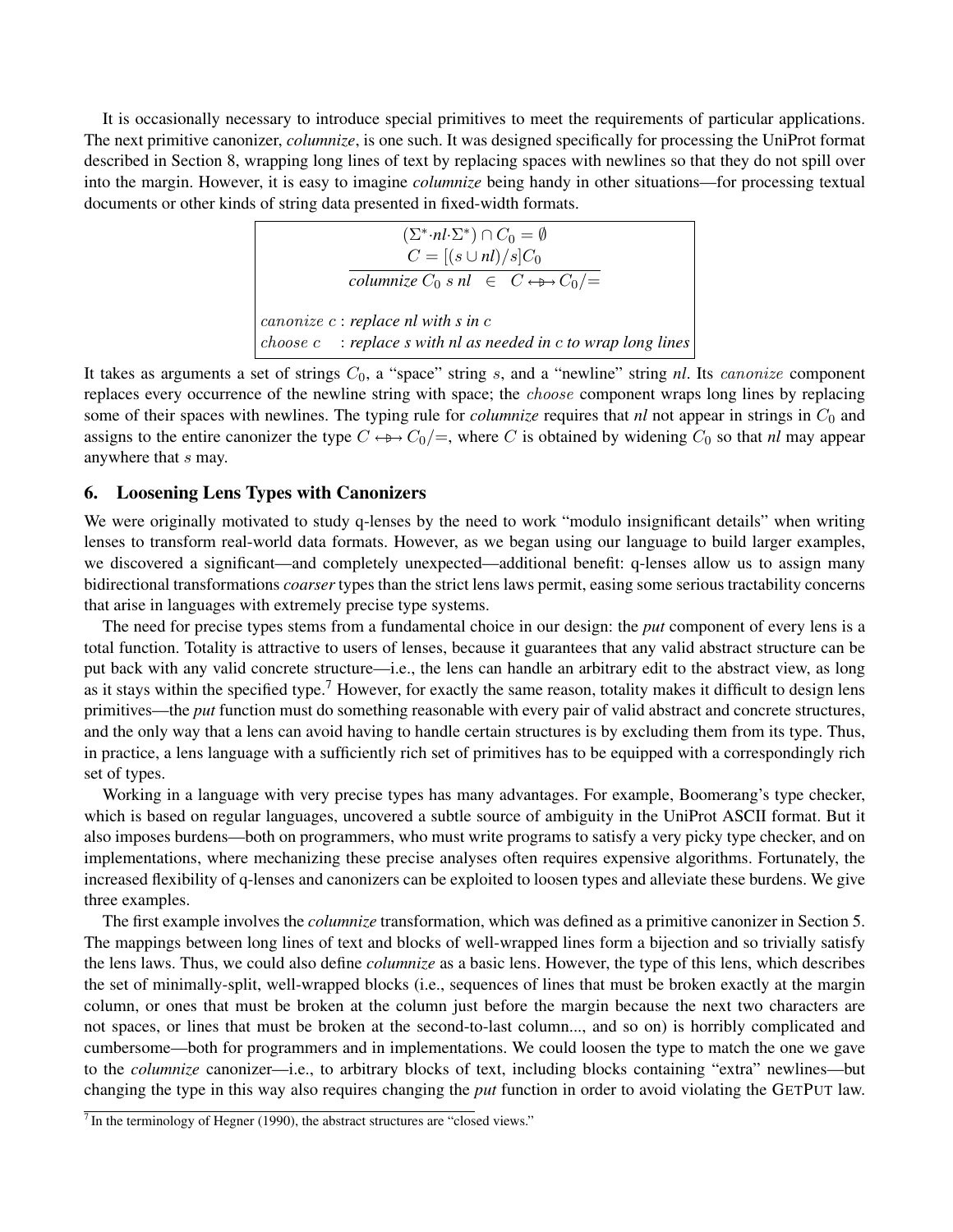It is occasionally necessary to introduce special primitives to meet the requirements of particular applications. The next primitive canonizer, *columnize*, is one such. It was designed specifically for processing the UniProt format described in Section 8, wrapping long lines of text by replacing spaces with newlines so that they do not spill over into the margin. However, it is easy to imagine *columnize* being handy in other situations—for processing textual documents or other kinds of string data presented in fixed-width formats.

$$
(\Sigma^* \cdot nl \cdot \Sigma^*) \cap C_0 = \emptyset
$$
  
\n
$$
C = [(s \cup nl)/s]C_0
$$
  
\n
$$
columnize C_0 \, s \, nl \in C \leftrightarrow C_0/=
$$
  
\n
$$
canonize \, c : replace \, nl \, with \, s \, in \, c
$$
  
\n
$$
choose \, c \, in \, c \, is \, the \, red \, end \, in \, c \, to \, wrap \, long \, lines
$$

It takes as arguments a set of strings  $C_0$ , a "space" string s, and a "newline" string *nl*. Its *canonize* component replaces every occurrence of the newline string with space; the choose component wraps long lines by replacing some of their spaces with newlines. The typing rule for *columnize* requires that  $nl$  not appear in strings in  $C_0$  and assigns to the entire canonizer the type  $C \leftrightarrow C_0/=$ , where C is obtained by widening  $C_0$  so that *nl* may appear anywhere that s may.

#### 6. Loosening Lens Types with Canonizers

We were originally motivated to study q-lenses by the need to work "modulo insignificant details" when writing lenses to transform real-world data formats. However, as we began using our language to build larger examples, we discovered a significant—and completely unexpected—additional benefit: q-lenses allow us to assign many bidirectional transformations *coarser* types than the strict lens laws permit, easing some serious tractability concerns that arise in languages with extremely precise type systems.

The need for precise types stems from a fundamental choice in our design: the *put* component of every lens is a total function. Totality is attractive to users of lenses, because it guarantees that any valid abstract structure can be put back with any valid concrete structure—i.e., the lens can handle an arbitrary edit to the abstract view, as long as it stays within the specified type.<sup>7</sup> However, for exactly the same reason, totality makes it difficult to design lens primitives—the *put* function must do something reasonable with every pair of valid abstract and concrete structures, and the only way that a lens can avoid having to handle certain structures is by excluding them from its type. Thus, in practice, a lens language with a sufficiently rich set of primitives has to be equipped with a correspondingly rich set of types.

Working in a language with very precise types has many advantages. For example, Boomerang's type checker, which is based on regular languages, uncovered a subtle source of ambiguity in the UniProt ASCII format. But it also imposes burdens—both on programmers, who must write programs to satisfy a very picky type checker, and on implementations, where mechanizing these precise analyses often requires expensive algorithms. Fortunately, the increased flexibility of q-lenses and canonizers can be exploited to loosen types and alleviate these burdens. We give three examples.

The first example involves the *columnize* transformation, which was defined as a primitive canonizer in Section 5. The mappings between long lines of text and blocks of well-wrapped lines form a bijection and so trivially satisfy the lens laws. Thus, we could also define *columnize* as a basic lens. However, the type of this lens, which describes the set of minimally-split, well-wrapped blocks (i.e., sequences of lines that must be broken exactly at the margin column, or ones that must be broken at the column just before the margin because the next two characters are not spaces, or lines that must be broken at the second-to-last column..., and so on) is horribly complicated and cumbersome—both for programmers and in implementations. We could loosen the type to match the one we gave to the *columnize* canonizer—i.e., to arbitrary blocks of text, including blocks containing "extra" newlines—but changing the type in this way also requires changing the *put* function in order to avoid violating the GETPUT law.

 $<sup>7</sup>$  In the terminology of Hegner (1990), the abstract structures are "closed views."</sup>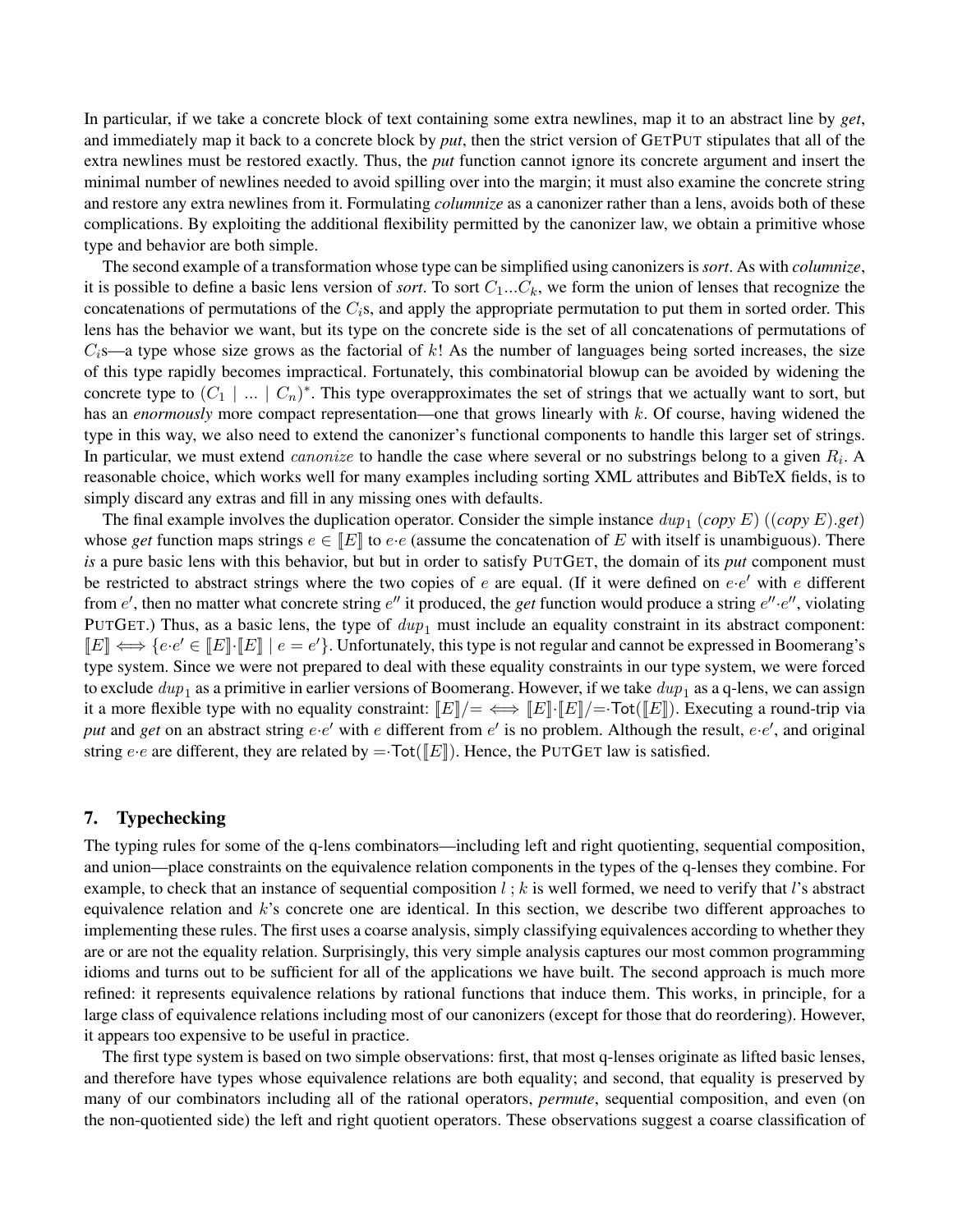In particular, if we take a concrete block of text containing some extra newlines, map it to an abstract line by *get*, and immediately map it back to a concrete block by *put*, then the strict version of GETPUT stipulates that all of the extra newlines must be restored exactly. Thus, the *put* function cannot ignore its concrete argument and insert the minimal number of newlines needed to avoid spilling over into the margin; it must also examine the concrete string and restore any extra newlines from it. Formulating *columnize* as a canonizer rather than a lens, avoids both of these complications. By exploiting the additional flexibility permitted by the canonizer law, we obtain a primitive whose type and behavior are both simple.

The second example of a transformation whose type can be simplified using canonizers is *sort*. As with *columnize*, it is possible to define a basic lens version of *sort*. To sort  $C_1...C_k$ , we form the union of lenses that recognize the concatenations of permutations of the  $C_i$ s, and apply the appropriate permutation to put them in sorted order. This lens has the behavior we want, but its type on the concrete side is the set of all concatenations of permutations of  $C<sub>i</sub>$ s—a type whose size grows as the factorial of k! As the number of languages being sorted increases, the size of this type rapidly becomes impractical. Fortunately, this combinatorial blowup can be avoided by widening the concrete type to  $(C_1 | ... | C_n)^*$ . This type overapproximates the set of strings that we actually want to sort, but has an *enormously* more compact representation—one that grows linearly with k. Of course, having widened the type in this way, we also need to extend the canonizer's functional components to handle this larger set of strings. In particular, we must extend *canonize* to handle the case where several or no substrings belong to a given  $R_i$ . A reasonable choice, which works well for many examples including sorting XML attributes and BibTeX fields, is to simply discard any extras and fill in any missing ones with defaults.

The final example involves the duplication operator. Consider the simple instance  $dup_1$  (*copy* E) ((*copy* E).get) whose *get* function maps strings  $e \in [E]$  to  $e \cdot e$  (assume the concatenation of E with itself is unambiguous). There *is* a pure basic lens with this behavior, but but in order to satisfy PUTGET, the domain of its *put* component must be restricted to abstract strings where the two copies of  $e$  are equal. (If it were defined on  $e \cdot e'$  with  $e$  different from  $e'$ , then no matter what concrete string  $e''$  it produced, the *get* function would produce a string  $e'' \cdot e''$ , violating PUTGET.) Thus, as a basic lens, the type of  $dup_1$  must include an equality constraint in its abstract component:  $\llbracket E \rrbracket \Longleftrightarrow \{e \cdot e' \in \llbracket E \rrbracket \cdot \llbracket E \rrbracket \mid e = e' \}$ . Unfortunately, this type is not regular and cannot be expressed in Boomerang's type system. Since we were not prepared to deal with these equality constraints in our type system, we were forced to exclude  $dup_1$  as a primitive in earlier versions of Boomerang. However, if we take  $dup_1$  as a q-lens, we can assign it a more flexible type with no equality constraint:  $||E||/|| \Leftrightarrow ||E||/|| \to \text{Tot}(\Vert E \Vert)$ . Executing a round-trip via put and get on an abstract string  $e \cdot e'$  with e different from  $e'$  is no problem. Although the result,  $e \cdot e'$ , and original string  $e \cdot e$  are different, they are related by  $= \text{Tot}(\llbracket E \rrbracket)$ . Hence, the PUTGET law is satisfied.

#### 7. Typechecking

The typing rules for some of the q-lens combinators—including left and right quotienting, sequential composition, and union—place constraints on the equivalence relation components in the types of the q-lenses they combine. For example, to check that an instance of sequential composition  $l$ ; k is well formed, we need to verify that l's abstract equivalence relation and k's concrete one are identical. In this section, we describe two different approaches to implementing these rules. The first uses a coarse analysis, simply classifying equivalences according to whether they are or are not the equality relation. Surprisingly, this very simple analysis captures our most common programming idioms and turns out to be sufficient for all of the applications we have built. The second approach is much more refined: it represents equivalence relations by rational functions that induce them. This works, in principle, for a large class of equivalence relations including most of our canonizers (except for those that do reordering). However, it appears too expensive to be useful in practice.

The first type system is based on two simple observations: first, that most q-lenses originate as lifted basic lenses, and therefore have types whose equivalence relations are both equality; and second, that equality is preserved by many of our combinators including all of the rational operators, *permute*, sequential composition, and even (on the non-quotiented side) the left and right quotient operators. These observations suggest a coarse classification of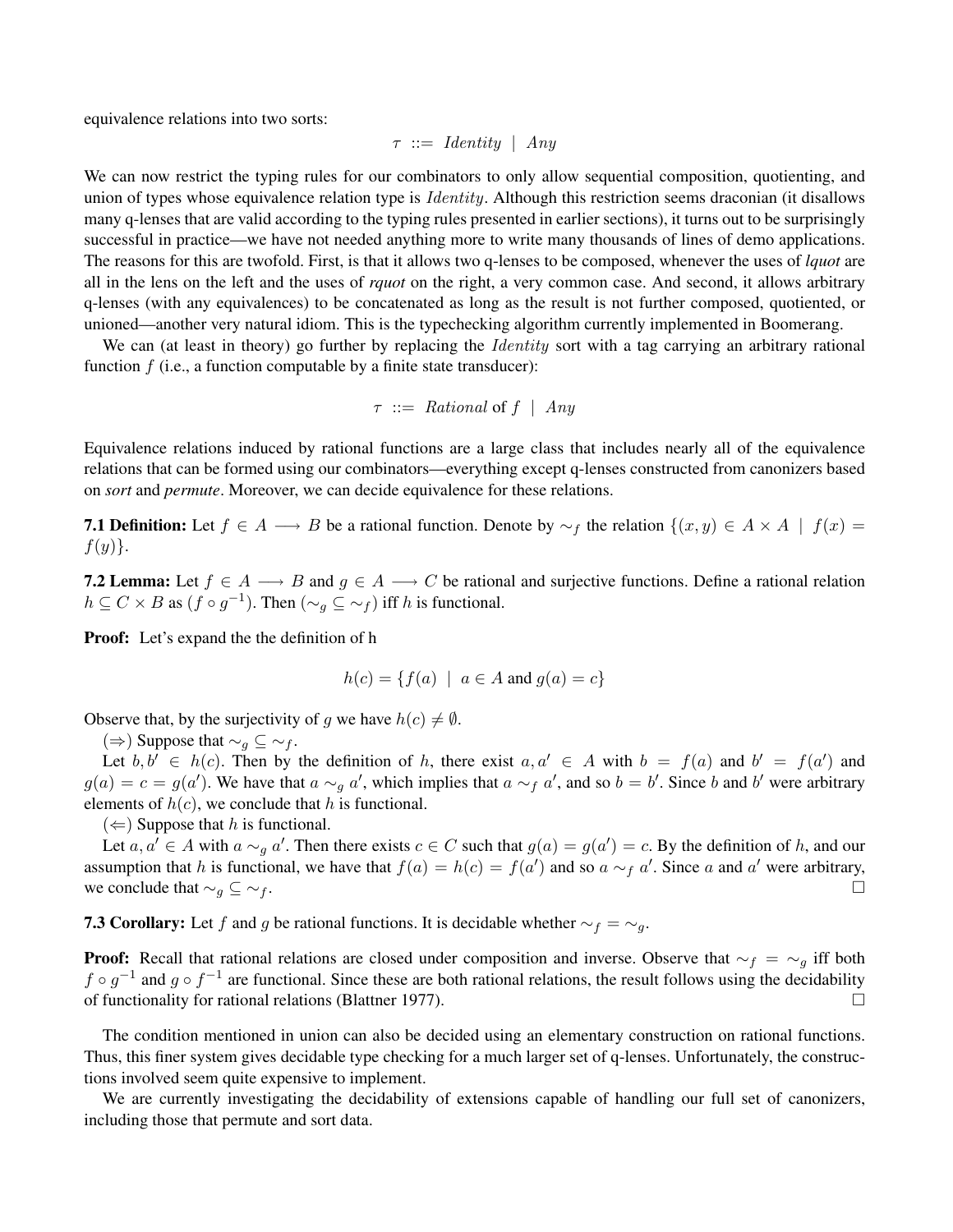equivalence relations into two sorts:

$$
\tau \ ::= \ Identity \ | \ Any
$$

We can now restrict the typing rules for our combinators to only allow sequential composition, quotienting, and union of types whose equivalence relation type is *Identity*. Although this restriction seems draconian (it disallows many q-lenses that are valid according to the typing rules presented in earlier sections), it turns out to be surprisingly successful in practice—we have not needed anything more to write many thousands of lines of demo applications. The reasons for this are twofold. First, is that it allows two q-lenses to be composed, whenever the uses of *lquot* are all in the lens on the left and the uses of *rquot* on the right, a very common case. And second, it allows arbitrary q-lenses (with any equivalences) to be concatenated as long as the result is not further composed, quotiented, or unioned—another very natural idiom. This is the typechecking algorithm currently implemented in Boomerang.

We can (at least in theory) go further by replacing the *Identity* sort with a tag carrying an arbitrary rational function  $f$  (i.e., a function computable by a finite state transducer):

$$
\tau \ ::= \ Rational \ of \ f \ | \ Any
$$

Equivalence relations induced by rational functions are a large class that includes nearly all of the equivalence relations that can be formed using our combinators—everything except q-lenses constructed from canonizers based on *sort* and *permute*. Moreover, we can decide equivalence for these relations.

**7.1 Definition:** Let  $f \in A \longrightarrow B$  be a rational function. Denote by  $\sim_f$  the relation  $\{(x, y) \in A \times A \mid f(x) = a\}$  $f(y)$ .

**7.2 Lemma:** Let  $f \in A \longrightarrow B$  and  $g \in A \longrightarrow C$  be rational and surjective functions. Define a rational relation  $h \subseteq C \times B$  as  $(f \circ g^{-1})$ . Then  $(\sim_g \subseteq \sim_f)$  iff h is functional.

Proof: Let's expand the the definition of h

$$
h(c) = \{f(a) \mid a \in A \text{ and } g(a) = c\}
$$

Observe that, by the surjectivity of g we have  $h(c) \neq \emptyset$ .

 $(\Rightarrow)$  Suppose that  $\sim_q$  ⊆  $\sim_f$ .

Let  $b, b' \in h(c)$ . Then by the definition of h, there exist  $a, a' \in A$  with  $b = f(a)$  and  $b' = f(a')$  and  $g(a) = c = g(a')$ . We have that  $a \sim_g a'$ , which implies that  $a \sim_f a'$ , and so  $b = b'$ . Since b and b' were arbitrary elements of  $h(c)$ , we conclude that h is functional.

 $(\Leftarrow)$  Suppose that h is functional.

Let  $a, a' \in A$  with  $a \sim_g a'$ . Then there exists  $c \in C$  such that  $g(a) = g(a') = c$ . By the definition of h, and our assumption that h is functional, we have that  $f(a) = h(c) = f(a')$  and so  $a \sim_f a'$ . Since a and a' were arbitrary, we conclude that  $\sim_g \subseteq \sim_f$ .

**7.3 Corollary:** Let f and g be rational functions. It is decidable whether  $\sim_f = \sim_g$ .

**Proof:** Recall that rational relations are closed under composition and inverse. Observe that  $∼_f = ∼_g$  iff both  $f \circ g^{-1}$  and  $g \circ f^{-1}$  are functional. Since these are both rational relations, the result follows using the decidability of functionality for rational relations (Blattner 1977).

The condition mentioned in union can also be decided using an elementary construction on rational functions. Thus, this finer system gives decidable type checking for a much larger set of q-lenses. Unfortunately, the constructions involved seem quite expensive to implement.

We are currently investigating the decidability of extensions capable of handling our full set of canonizers, including those that permute and sort data.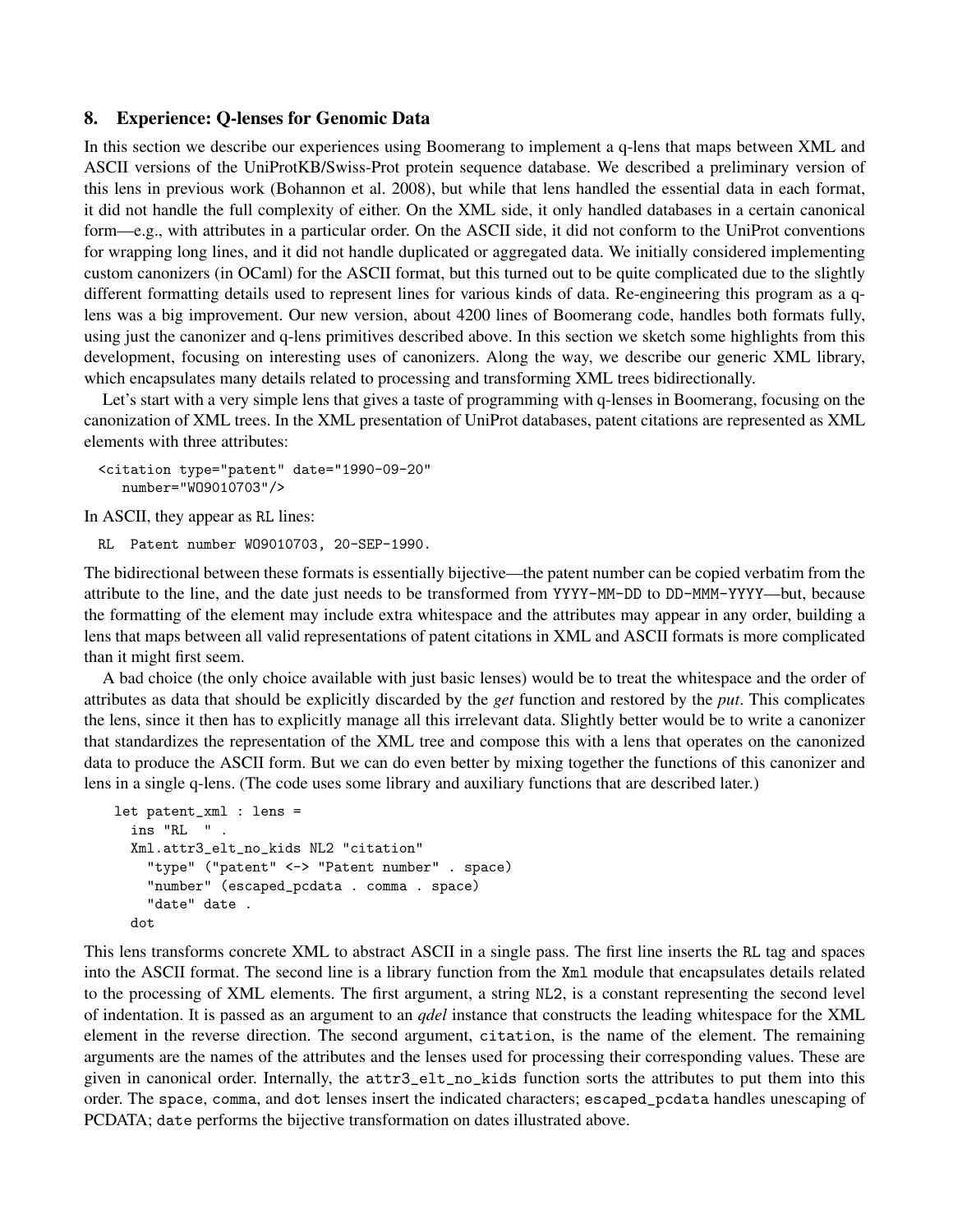## 8. Experience: Q-lenses for Genomic Data

In this section we describe our experiences using Boomerang to implement a q-lens that maps between XML and ASCII versions of the UniProtKB/Swiss-Prot protein sequence database. We described a preliminary version of this lens in previous work (Bohannon et al. 2008), but while that lens handled the essential data in each format, it did not handle the full complexity of either. On the XML side, it only handled databases in a certain canonical form—e.g., with attributes in a particular order. On the ASCII side, it did not conform to the UniProt conventions for wrapping long lines, and it did not handle duplicated or aggregated data. We initially considered implementing custom canonizers (in OCaml) for the ASCII format, but this turned out to be quite complicated due to the slightly different formatting details used to represent lines for various kinds of data. Re-engineering this program as a qlens was a big improvement. Our new version, about 4200 lines of Boomerang code, handles both formats fully, using just the canonizer and q-lens primitives described above. In this section we sketch some highlights from this development, focusing on interesting uses of canonizers. Along the way, we describe our generic XML library, which encapsulates many details related to processing and transforming XML trees bidirectionally.

Let's start with a very simple lens that gives a taste of programming with q-lenses in Boomerang, focusing on the canonization of XML trees. In the XML presentation of UniProt databases, patent citations are represented as XML elements with three attributes:

<citation type="patent" date="1990-09-20" number="WO9010703"/>

In ASCII, they appear as RL lines:

RL Patent number WO9010703, 20-SEP-1990.

The bidirectional between these formats is essentially bijective—the patent number can be copied verbatim from the attribute to the line, and the date just needs to be transformed from YYYY-MM-DD to DD-MMM-YYYY—but, because the formatting of the element may include extra whitespace and the attributes may appear in any order, building a lens that maps between all valid representations of patent citations in XML and ASCII formats is more complicated than it might first seem.

A bad choice (the only choice available with just basic lenses) would be to treat the whitespace and the order of attributes as data that should be explicitly discarded by the *get* function and restored by the *put*. This complicates the lens, since it then has to explicitly manage all this irrelevant data. Slightly better would be to write a canonizer that standardizes the representation of the XML tree and compose this with a lens that operates on the canonized data to produce the ASCII form. But we can do even better by mixing together the functions of this canonizer and lens in a single q-lens. (The code uses some library and auxiliary functions that are described later.)

```
let patent_xml : lens =
  ins "RL " .
  Xml.attr3_elt_no_kids NL2 "citation"
    "type" ("patent" <-> "Patent number" . space)
    "number" (escaped_pcdata . comma . space)
    "date" date .
  dot
```
This lens transforms concrete XML to abstract ASCII in a single pass. The first line inserts the RL tag and spaces into the ASCII format. The second line is a library function from the Xml module that encapsulates details related to the processing of XML elements. The first argument, a string NL2, is a constant representing the second level of indentation. It is passed as an argument to an *qdel* instance that constructs the leading whitespace for the XML element in the reverse direction. The second argument, citation, is the name of the element. The remaining arguments are the names of the attributes and the lenses used for processing their corresponding values. These are given in canonical order. Internally, the attr3\_elt\_no\_kids function sorts the attributes to put them into this order. The space, comma, and dot lenses insert the indicated characters; escaped\_pcdata handles unescaping of PCDATA; date performs the bijective transformation on dates illustrated above.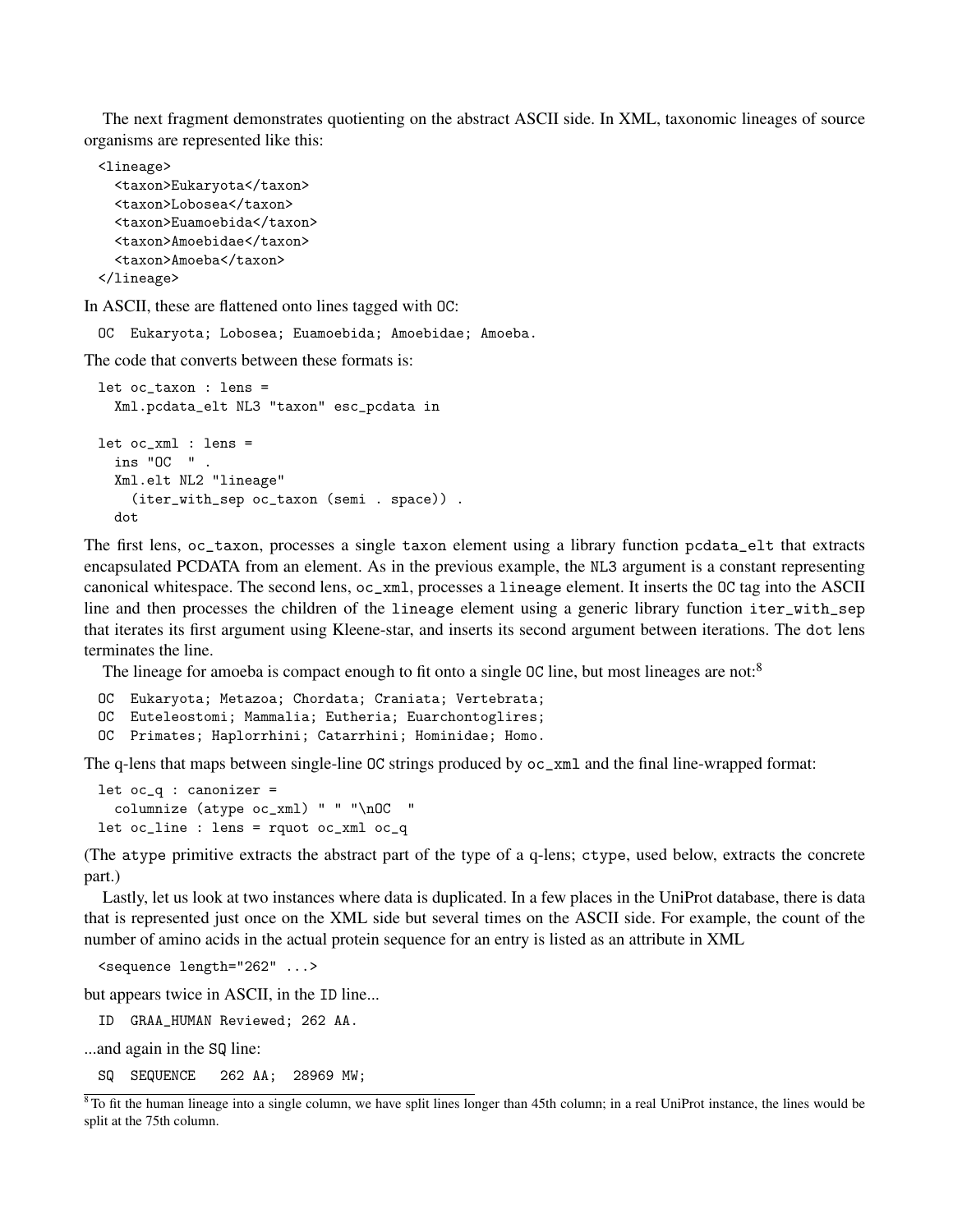The next fragment demonstrates quotienting on the abstract ASCII side. In XML, taxonomic lineages of source organisms are represented like this:

```
<lineage>
  <taxon>Eukaryota</taxon>
  <taxon>Lobosea</taxon>
  <taxon>Euamoebida</taxon>
  <taxon>Amoebidae</taxon>
  <taxon>Amoeba</taxon>
</lineage>
```
In ASCII, these are flattened onto lines tagged with OC:

OC Eukaryota; Lobosea; Euamoebida; Amoebidae; Amoeba.

The code that converts between these formats is:

```
let oc_taxon : lens =
  Xml.pcdata_elt NL3 "taxon" esc_pcdata in
let oc_xml : lens =
  ins "OC " .
  Xml.elt NL2 "lineage"
    (iter_with_sep oc_taxon (semi . space)) .
  dot
```
The first lens, oc\_taxon, processes a single taxon element using a library function pcdata\_elt that extracts encapsulated PCDATA from an element. As in the previous example, the NL3 argument is a constant representing canonical whitespace. The second lens, oc\_xml, processes a lineage element. It inserts the OC tag into the ASCII line and then processes the children of the lineage element using a generic library function iter\_with\_sep that iterates its first argument using Kleene-star, and inserts its second argument between iterations. The dot lens terminates the line.

The lineage for amoeba is compact enough to fit onto a single  $OC$  line, but most lineages are not:<sup>8</sup>

```
OC Eukaryota; Metazoa; Chordata; Craniata; Vertebrata;
OC Euteleostomi; Mammalia; Eutheria; Euarchontoglires;
OC Primates; Haplorrhini; Catarrhini; Hominidae; Homo.
```
The q-lens that maps between single-line OC strings produced by  $\sigma c$  xml and the final line-wrapped format:

```
let oc_q : canonizer =
  columnize (atype oc_xml) " " "\nOC "
let oc_line : lens = rquot oc_xml oc_q
```
(The atype primitive extracts the abstract part of the type of a q-lens; ctype, used below, extracts the concrete part.)

Lastly, let us look at two instances where data is duplicated. In a few places in the UniProt database, there is data that is represented just once on the XML side but several times on the ASCII side. For example, the count of the number of amino acids in the actual protein sequence for an entry is listed as an attribute in XML

<sequence length="262" ...>

but appears twice in ASCII, in the ID line...

ID GRAA\_HUMAN Reviewed; 262 AA.

...and again in the SQ line:

```
SQ SEQUENCE 262 AA; 28969 MW;
```
 $8$ To fit the human lineage into a single column, we have split lines longer than 45th column; in a real UniProt instance, the lines would be split at the 75th column.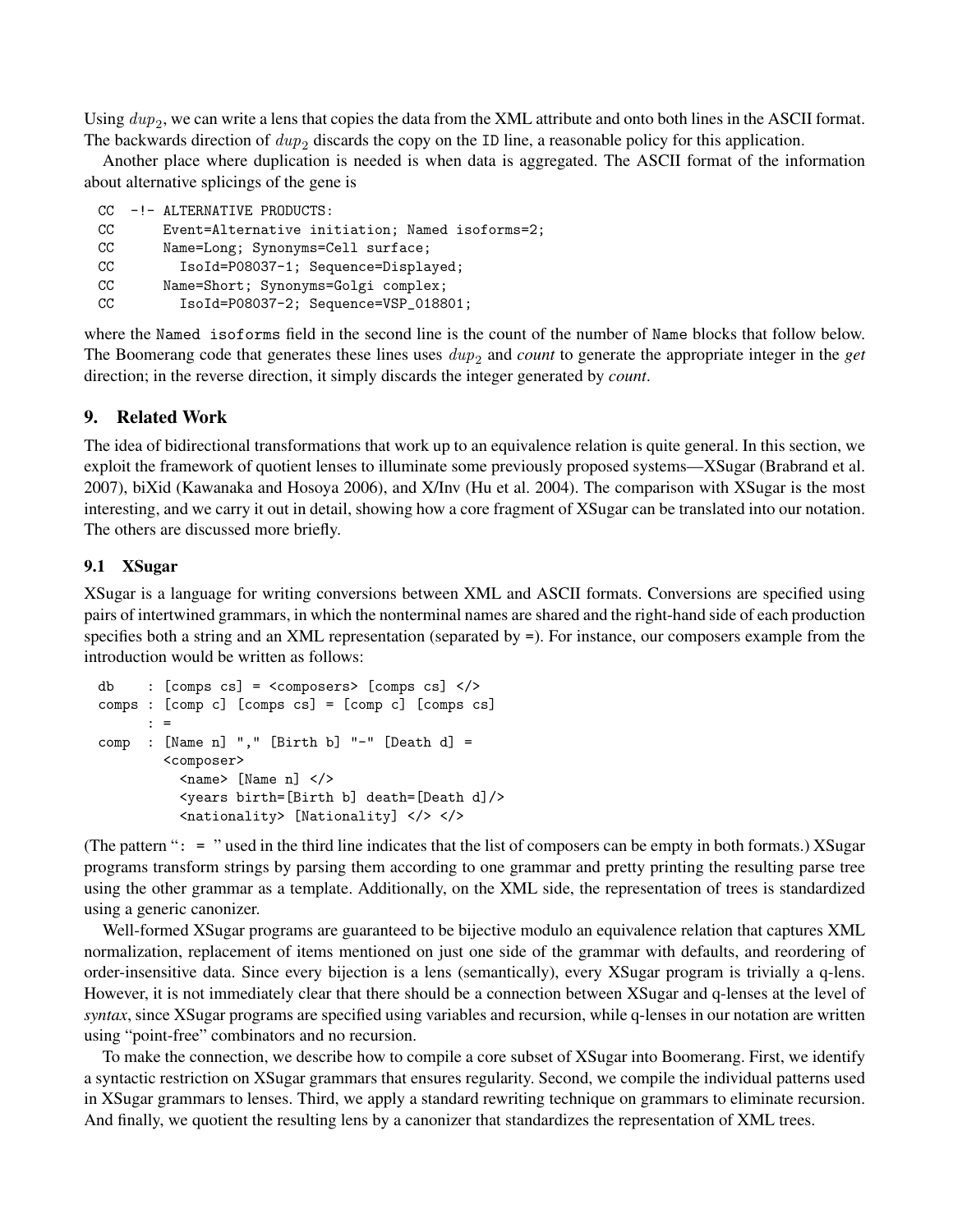Using  $dup_2$ , we can write a lens that copies the data from the XML attribute and onto both lines in the ASCII format. The backwards direction of  $dup_2$  discards the copy on the ID line, a reasonable policy for this application.

Another place where duplication is needed is when data is aggregated. The ASCII format of the information about alternative splicings of the gene is

| CC. | -!- ALTERNATIVE PRODUCTS:                       |
|-----|-------------------------------------------------|
| CC  | Event=Alternative initiation; Named isoforms=2; |
| CC  | Name=Long; Synonyms=Cell surface;               |
| CC  | IsoId=P08037-1; Sequence=Displayed;             |
| CC  | Name=Short; Synonyms=Golgi complex;             |
| CC  | $IsoId = P08037-2$ ; Sequence=VSP_018801;       |
|     |                                                 |

where the Named isoforms field in the second line is the count of the number of Name blocks that follow below. The Boomerang code that generates these lines uses  $dup_2$  and *count* to generate the appropriate integer in the *get* direction; in the reverse direction, it simply discards the integer generated by *count*.

## 9. Related Work

The idea of bidirectional transformations that work up to an equivalence relation is quite general. In this section, we exploit the framework of quotient lenses to illuminate some previously proposed systems—XSugar (Brabrand et al. 2007), biXid (Kawanaka and Hosoya 2006), and X/Inv (Hu et al. 2004). The comparison with XSugar is the most interesting, and we carry it out in detail, showing how a core fragment of XSugar can be translated into our notation. The others are discussed more briefly.

## 9.1 XSugar

XSugar is a language for writing conversions between XML and ASCII formats. Conversions are specified using pairs of intertwined grammars, in which the nonterminal names are shared and the right-hand side of each production specifies both a string and an XML representation (separated by =). For instance, our composers example from the introduction would be written as follows:

```
db : [comps cs] = <compsers> [comps cs] < />comps : [comp c] [comps cs] = [comp c] [comps cs]
      : =
comp : [Name n] "," [Birth b] "-" [Death d] =
        <composer>
          <name> [Name n] </>
          <years birth=[Birth b] death=[Death d]/>
          <nationality> [Nationality] </> </>
```
(The pattern ": = " used in the third line indicates that the list of composers can be empty in both formats.) XSugar programs transform strings by parsing them according to one grammar and pretty printing the resulting parse tree using the other grammar as a template. Additionally, on the XML side, the representation of trees is standardized using a generic canonizer.

Well-formed XSugar programs are guaranteed to be bijective modulo an equivalence relation that captures XML normalization, replacement of items mentioned on just one side of the grammar with defaults, and reordering of order-insensitive data. Since every bijection is a lens (semantically), every XSugar program is trivially a q-lens. However, it is not immediately clear that there should be a connection between XSugar and q-lenses at the level of *syntax*, since XSugar programs are specified using variables and recursion, while q-lenses in our notation are written using "point-free" combinators and no recursion.

To make the connection, we describe how to compile a core subset of XSugar into Boomerang. First, we identify a syntactic restriction on XSugar grammars that ensures regularity. Second, we compile the individual patterns used in XSugar grammars to lenses. Third, we apply a standard rewriting technique on grammars to eliminate recursion. And finally, we quotient the resulting lens by a canonizer that standardizes the representation of XML trees.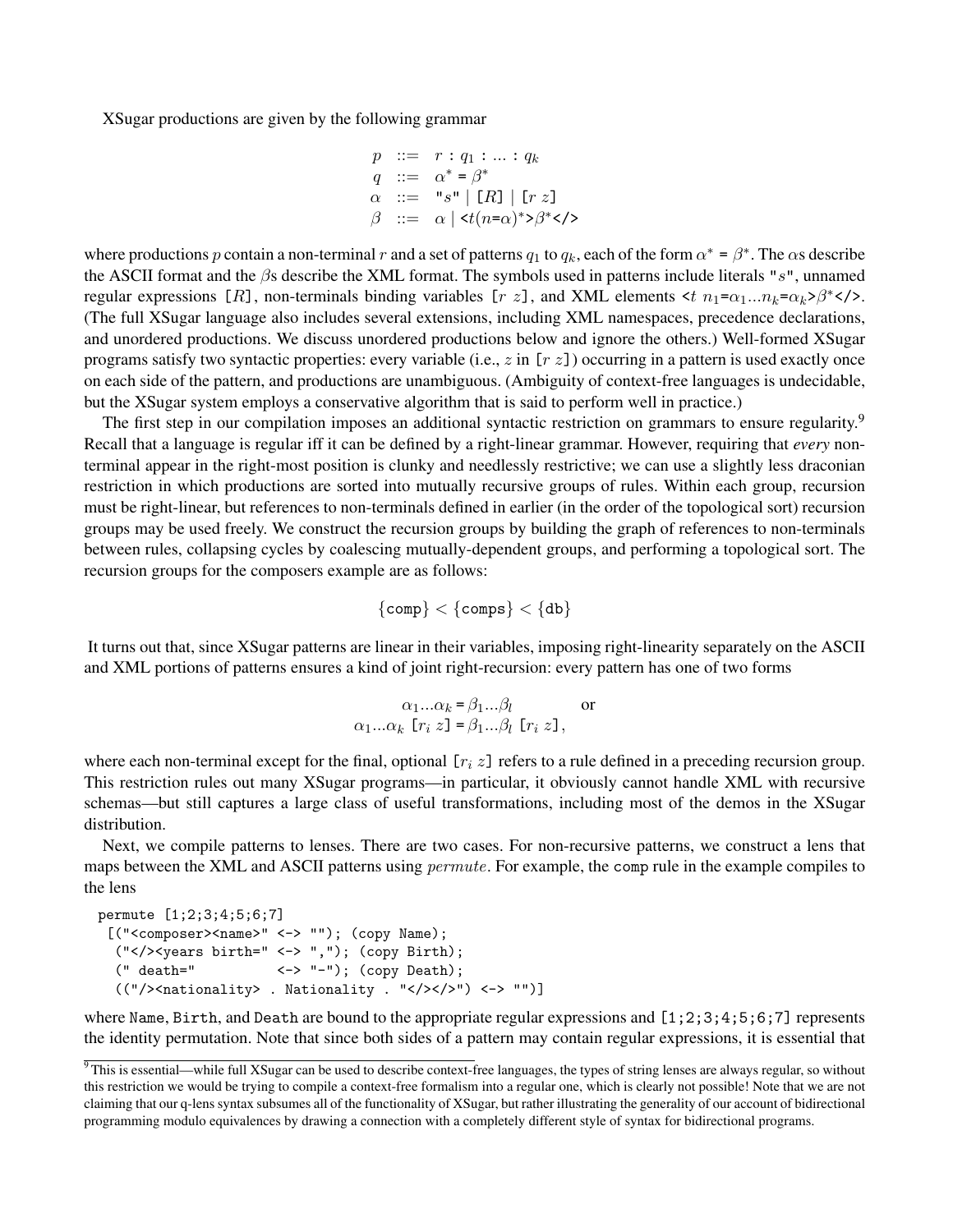XSugar productions are given by the following grammar

$$
p ::= r : q_1 : \dots : q_k
$$
  
\n
$$
q ::= \alpha^* = \beta^*
$$
  
\n
$$
\alpha ::= "s" | [R] | [r z]
$$
  
\n
$$
\beta ::= \alpha | \langle t(n = \alpha)^* \rangle \beta^* \langle t \rangle
$$

where productions p contain a non-terminal r and a set of patterns  $q_1$  to  $q_k$ , each of the form  $\alpha^* = \beta^*$ . The  $\alpha$ s describe the ASCII format and the  $\beta s$  describe the XML format. The symbols used in patterns include literals "s", unnamed regular expressions [R], non-terminals binding variables [r z], and XML elements  $\lt t$   $n_1 = \alpha_1 ... n_k = \alpha_k > \beta^* \lt / \gt$ . (The full XSugar language also includes several extensions, including XML namespaces, precedence declarations, and unordered productions. We discuss unordered productions below and ignore the others.) Well-formed XSugar programs satisfy two syntactic properties: every variable (i.e.,  $z$  in  $[r z]$ ) occurring in a pattern is used exactly once on each side of the pattern, and productions are unambiguous. (Ambiguity of context-free languages is undecidable, but the XSugar system employs a conservative algorithm that is said to perform well in practice.)

The first step in our compilation imposes an additional syntactic restriction on grammars to ensure regularity.<sup>9</sup> Recall that a language is regular iff it can be defined by a right-linear grammar. However, requiring that *every* nonterminal appear in the right-most position is clunky and needlessly restrictive; we can use a slightly less draconian restriction in which productions are sorted into mutually recursive groups of rules. Within each group, recursion must be right-linear, but references to non-terminals defined in earlier (in the order of the topological sort) recursion groups may be used freely. We construct the recursion groups by building the graph of references to non-terminals between rules, collapsing cycles by coalescing mutually-dependent groups, and performing a topological sort. The recursion groups for the composers example are as follows:

$$
\{\mathtt{comp}\} < \{\mathtt{comps}\} < \{\mathtt{db}\}
$$

It turns out that, since XSugar patterns are linear in their variables, imposing right-linearity separately on the ASCII and XML portions of patterns ensures a kind of joint right-recursion: every pattern has one of two forms

$$
\alpha_1...\alpha_k = \beta_1...\beta_l \quad \text{or} \\ \alpha_1...\alpha_k \quad [r_i \ z] = \beta_1...\beta_l \quad [r_i \ z],
$$

where each non-terminal except for the final, optional  $[r_i z]$  refers to a rule defined in a preceding recursion group. This restriction rules out many XSugar programs—in particular, it obviously cannot handle XML with recursive schemas—but still captures a large class of useful transformations, including most of the demos in the XSugar distribution.

Next, we compile patterns to lenses. There are two cases. For non-recursive patterns, we construct a lens that maps between the XML and ASCII patterns using *permute*. For example, the comp rule in the example compiles to the lens

```
permute [1;2;3;4;5;6;7]
 [("<composer><name>" <-> ""); (copy Name);
  ("</><years birth=" <-> ","); (copy Birth);
  (" death=" <-> "-"); (copy Death);
  ((\n    "/&gt; \text{mationality} > . \text{ Nationality} . "&lt;/&gt;") <-&gt; "")]
```
where Name, Birth, and Death are bound to the appropriate regular expressions and  $[1;2;3;4;5;6;7]$  represents the identity permutation. Note that since both sides of a pattern may contain regular expressions, it is essential that

 $\frac{9}{9}$ This is essential—while full XSugar can be used to describe context-free languages, the types of string lenses are always regular, so without this restriction we would be trying to compile a context-free formalism into a regular one, which is clearly not possible! Note that we are not claiming that our q-lens syntax subsumes all of the functionality of XSugar, but rather illustrating the generality of our account of bidirectional programming modulo equivalences by drawing a connection with a completely different style of syntax for bidirectional programs.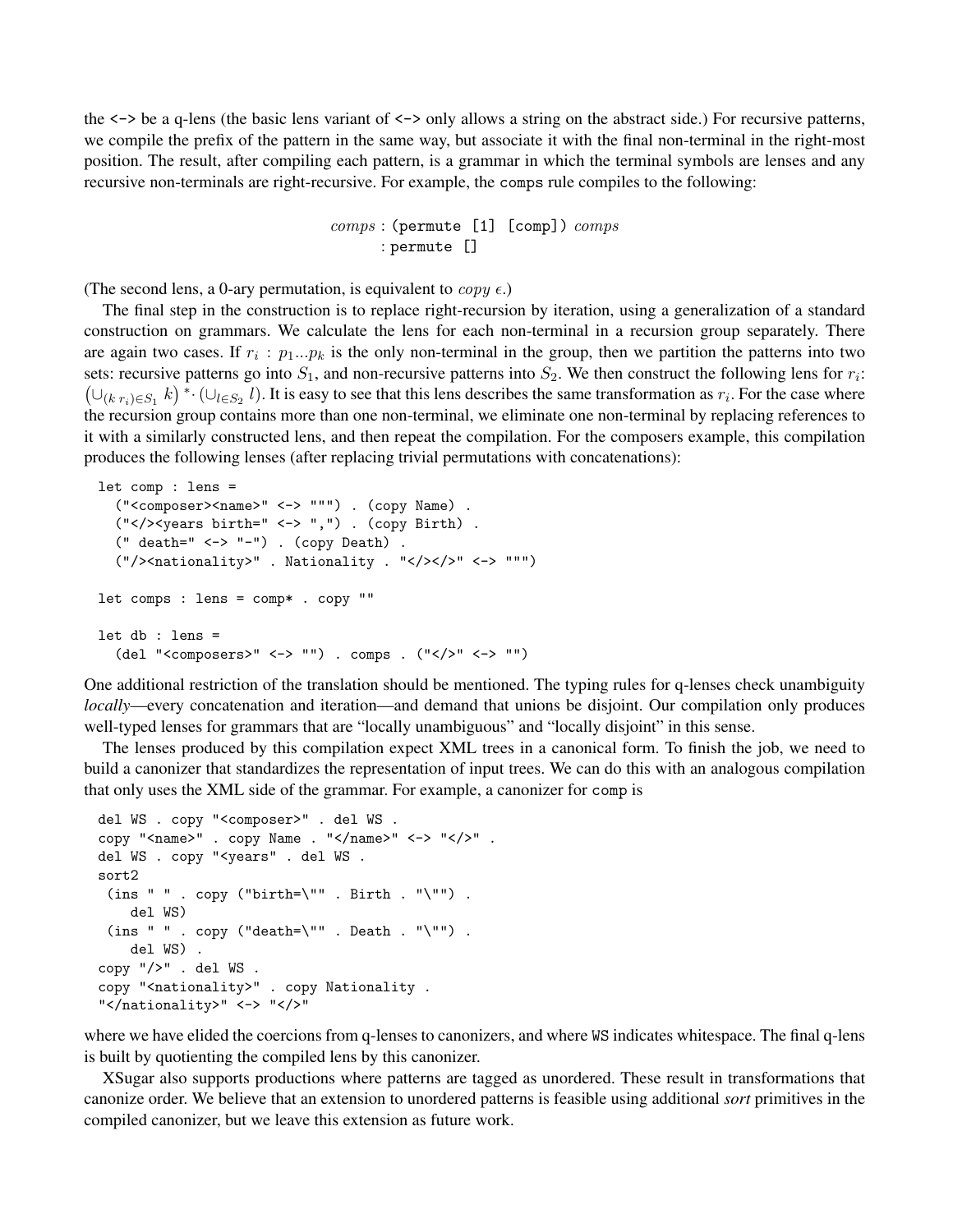the  $\langle -\rangle$  be a q-lens (the basic lens variant of  $\langle -\rangle$  only allows a string on the abstract side.) For recursive patterns, we compile the prefix of the pattern in the same way, but associate it with the final non-terminal in the right-most position. The result, after compiling each pattern, is a grammar in which the terminal symbols are lenses and any recursive non-terminals are right-recursive. For example, the comps rule compiles to the following:

```
comps : (permute [1] [comp]) comps: permute []
```
(The second lens, a 0-ary permutation, is equivalent to  $\langle \cos \theta \rangle$ )

The final step in the construction is to replace right-recursion by iteration, using a generalization of a standard construction on grammars. We calculate the lens for each non-terminal in a recursion group separately. There are again two cases. If  $r_i$ :  $p_1...p_k$  is the only non-terminal in the group, then we partition the patterns into two sets: recursive patterns go into  $S_1$ , and non-recursive patterns into  $S_2$ . We then construct the following lens for  $r_i$ :  $(\cup_{(k \, r_i) \in S_1} k)^* \cdot (\cup_{l \in S_2} l)$ . It is easy to see that this lens describes the same transformation as  $r_i$ . For the case where the recursion group contains more than one non-terminal, we eliminate one non-terminal by replacing references to it with a similarly constructed lens, and then repeat the compilation. For the composers example, this compilation produces the following lenses (after replacing trivial permutations with concatenations):

```
let comp : lens =
   ("<composer><name>" <-> """) . (copy Name) .
   (\sqrt{5} /// (\gamma // \gamma // \gamma // \gamma // \gamma // \gamma // \gamma // \gamma // \gamma // \gamma // \gamma // \gamma // \gamma // \gamma // \gamma // \gamma // \gamma // \gamma // \gamma // \gamma // \gamma // \gamma // \gamma // \gamma // \gamma // \gamma // 
   (" death=" <-> "-") . (copy Death) .
   ("/><nationality>" . Nationality . "</></>" <-> """)
let comps : lens = comp* . copy ""
let db : lens =
   (del "<composers>" <-> "") . comps . ("</>" <-> "")
```
One additional restriction of the translation should be mentioned. The typing rules for q-lenses check unambiguity *locally*—every concatenation and iteration—and demand that unions be disjoint. Our compilation only produces well-typed lenses for grammars that are "locally unambiguous" and "locally disjoint" in this sense.

The lenses produced by this compilation expect XML trees in a canonical form. To finish the job, we need to build a canonizer that standardizes the representation of input trees. We can do this with an analogous compilation that only uses the XML side of the grammar. For example, a canonizer for comp is

```
del WS . copy "<composer>" . del WS .
copy "<name>" . copy Name . "</name>" <-> "</>" .
del WS . copy "<years" . del WS .
sort2
 (ins " " . copy ("birth=\"" . Birth . "\"") .
    del WS)
 (ins " " . copy ("death=\"" . Death . "\"") .
   del WS) .
copy "/>" . del WS .
copy "<nationality>" . copy Nationality .
"</nationality>" <-> "</>"
```
where we have elided the coercions from q-lenses to canonizers, and where WS indicates whitespace. The final q-lens is built by quotienting the compiled lens by this canonizer.

XSugar also supports productions where patterns are tagged as unordered. These result in transformations that canonize order. We believe that an extension to unordered patterns is feasible using additional *sort* primitives in the compiled canonizer, but we leave this extension as future work.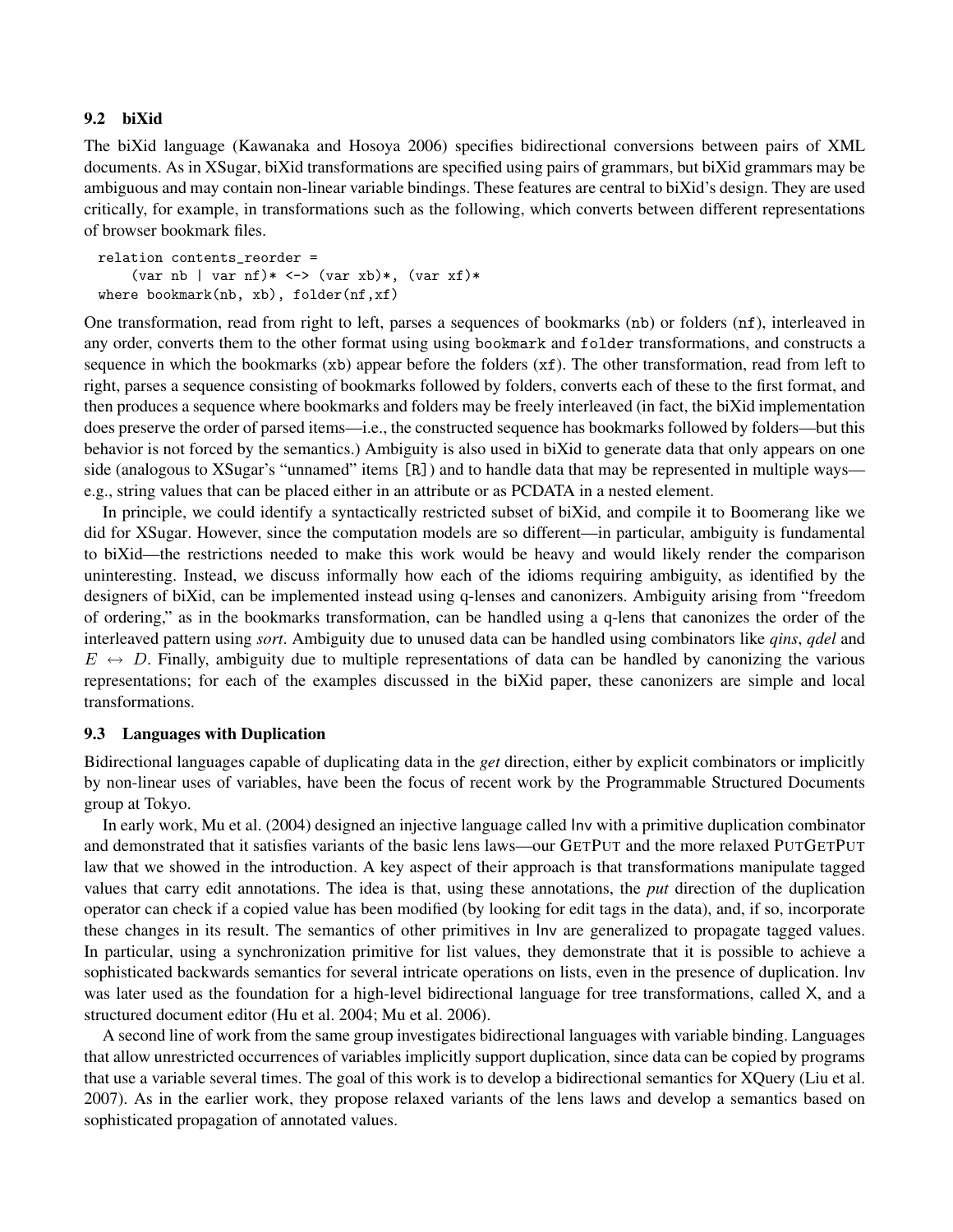## 9.2 biXid

The biXid language (Kawanaka and Hosoya 2006) specifies bidirectional conversions between pairs of XML documents. As in XSugar, biXid transformations are specified using pairs of grammars, but biXid grammars may be ambiguous and may contain non-linear variable bindings. These features are central to biXid's design. They are used critically, for example, in transformations such as the following, which converts between different representations of browser bookmark files.

```
relation contents_reorder =
      (var nb | var nf)* \leftarrow \left(\text{var } \text{xb}\right)*, \left(\text{var } \text{xf}\right)*
where bookmark(nb, xb), folder(nf,xf)
```
One transformation, read from right to left, parses a sequences of bookmarks (nb) or folders (nf), interleaved in any order, converts them to the other format using using bookmark and folder transformations, and constructs a sequence in which the bookmarks (xb) appear before the folders  $(xf)$ . The other transformation, read from left to right, parses a sequence consisting of bookmarks followed by folders, converts each of these to the first format, and then produces a sequence where bookmarks and folders may be freely interleaved (in fact, the biXid implementation does preserve the order of parsed items—i.e., the constructed sequence has bookmarks followed by folders—but this behavior is not forced by the semantics.) Ambiguity is also used in biXid to generate data that only appears on one side (analogous to XSugar's "unnamed" items [R]) and to handle data that may be represented in multiple ways e.g., string values that can be placed either in an attribute or as PCDATA in a nested element.

In principle, we could identify a syntactically restricted subset of biXid, and compile it to Boomerang like we did for XSugar. However, since the computation models are so different—in particular, ambiguity is fundamental to biXid—the restrictions needed to make this work would be heavy and would likely render the comparison uninteresting. Instead, we discuss informally how each of the idioms requiring ambiguity, as identified by the designers of biXid, can be implemented instead using q-lenses and canonizers. Ambiguity arising from "freedom of ordering," as in the bookmarks transformation, can be handled using a q-lens that canonizes the order of the interleaved pattern using *sort*. Ambiguity due to unused data can be handled using combinators like *qins*, *qdel* and  $E \leftrightarrow D$ . Finally, ambiguity due to multiple representations of data can be handled by canonizing the various representations; for each of the examples discussed in the biXid paper, these canonizers are simple and local transformations.

#### 9.3 Languages with Duplication

Bidirectional languages capable of duplicating data in the *get* direction, either by explicit combinators or implicitly by non-linear uses of variables, have been the focus of recent work by the Programmable Structured Documents group at Tokyo.

In early work, Mu et al. (2004) designed an injective language called Inv with a primitive duplication combinator and demonstrated that it satisfies variants of the basic lens laws—our GETPUT and the more relaxed PUTGETPUT law that we showed in the introduction. A key aspect of their approach is that transformations manipulate tagged values that carry edit annotations. The idea is that, using these annotations, the *put* direction of the duplication operator can check if a copied value has been modified (by looking for edit tags in the data), and, if so, incorporate these changes in its result. The semantics of other primitives in Inv are generalized to propagate tagged values. In particular, using a synchronization primitive for list values, they demonstrate that it is possible to achieve a sophisticated backwards semantics for several intricate operations on lists, even in the presence of duplication. Inv was later used as the foundation for a high-level bidirectional language for tree transformations, called X, and a structured document editor (Hu et al. 2004; Mu et al. 2006).

A second line of work from the same group investigates bidirectional languages with variable binding. Languages that allow unrestricted occurrences of variables implicitly support duplication, since data can be copied by programs that use a variable several times. The goal of this work is to develop a bidirectional semantics for XQuery (Liu et al. 2007). As in the earlier work, they propose relaxed variants of the lens laws and develop a semantics based on sophisticated propagation of annotated values.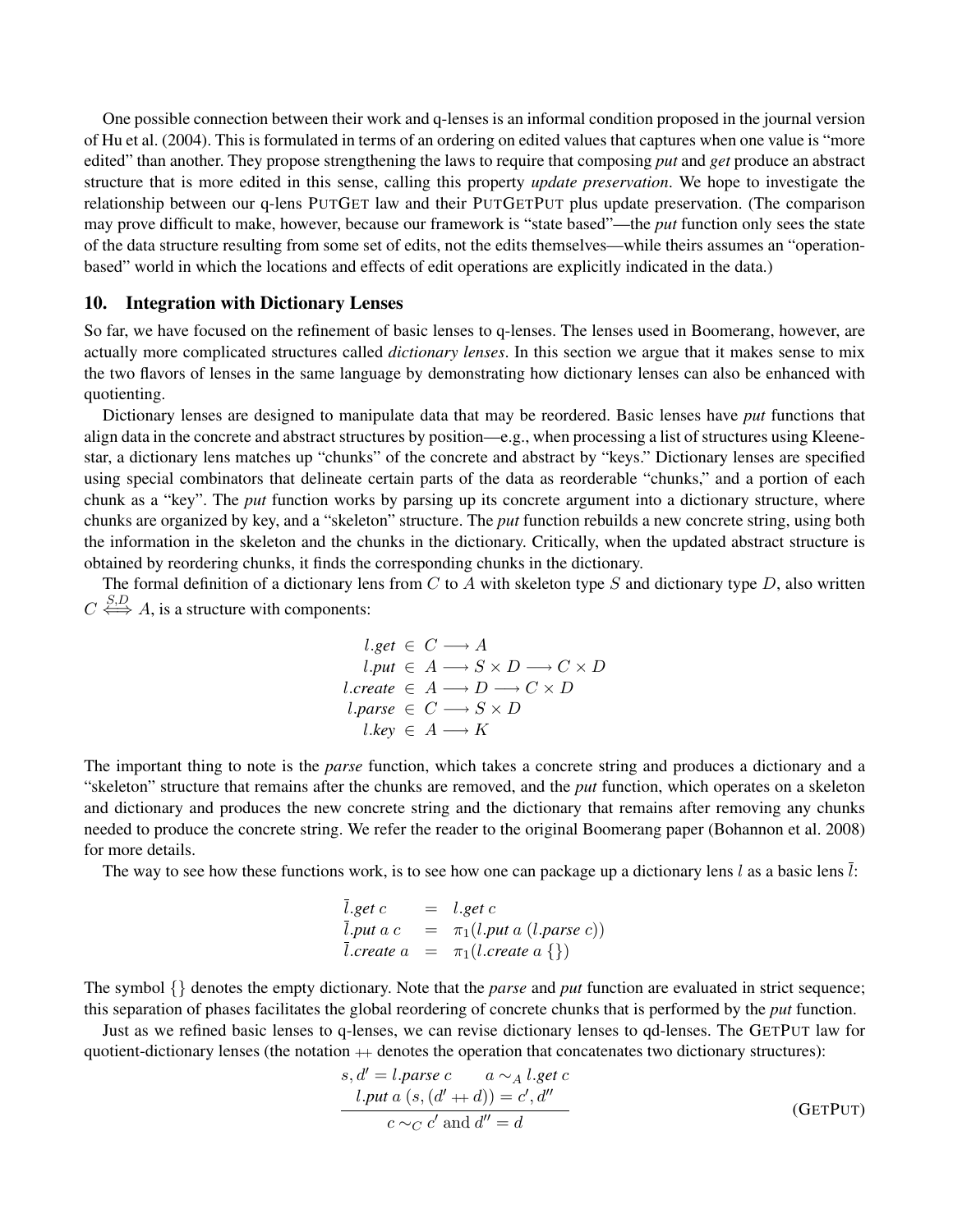One possible connection between their work and q-lenses is an informal condition proposed in the journal version of Hu et al. (2004). This is formulated in terms of an ordering on edited values that captures when one value is "more edited" than another. They propose strengthening the laws to require that composing *put* and *get* produce an abstract structure that is more edited in this sense, calling this property *update preservation*. We hope to investigate the relationship between our q-lens PUTGET law and their PUTGETPUT plus update preservation. (The comparison may prove difficult to make, however, because our framework is "state based"—the *put* function only sees the state of the data structure resulting from some set of edits, not the edits themselves—while theirs assumes an "operationbased" world in which the locations and effects of edit operations are explicitly indicated in the data.)

#### 10. Integration with Dictionary Lenses

So far, we have focused on the refinement of basic lenses to q-lenses. The lenses used in Boomerang, however, are actually more complicated structures called *dictionary lenses*. In this section we argue that it makes sense to mix the two flavors of lenses in the same language by demonstrating how dictionary lenses can also be enhanced with quotienting.

Dictionary lenses are designed to manipulate data that may be reordered. Basic lenses have *put* functions that align data in the concrete and abstract structures by position—e.g., when processing a list of structures using Kleenestar, a dictionary lens matches up "chunks" of the concrete and abstract by "keys." Dictionary lenses are specified using special combinators that delineate certain parts of the data as reorderable "chunks," and a portion of each chunk as a "key". The *put* function works by parsing up its concrete argument into a dictionary structure, where chunks are organized by key, and a "skeleton" structure. The *put* function rebuilds a new concrete string, using both the information in the skeleton and the chunks in the dictionary. Critically, when the updated abstract structure is obtained by reordering chunks, it finds the corresponding chunks in the dictionary.

The formal definition of a dictionary lens from C to A with skeleton type S and dictionary type D, also written  $C \stackrel{S, D}{\iff} A$ , is a structure with components:

$$
l.get \in C \longrightarrow A
$$
  
\n
$$
l.put \in A \longrightarrow S \times D \longrightarrow C \times D
$$
  
\n
$$
l.create \in A \longrightarrow D \longrightarrow C \times D
$$
  
\n
$$
l.parse \in C \longrightarrow S \times D
$$
  
\n
$$
lkey \in A \longrightarrow K
$$

The important thing to note is the *parse* function, which takes a concrete string and produces a dictionary and a "skeleton" structure that remains after the chunks are removed, and the *put* function, which operates on a skeleton and dictionary and produces the new concrete string and the dictionary that remains after removing any chunks needed to produce the concrete string. We refer the reader to the original Boomerang paper (Bohannon et al. 2008) for more details.

The way to see how these functions work, is to see how one can package up a dictionary lens l as a basic lens  $\overline{l}$ :

$$
\overline{l}.get c = l.get c
$$
  
\n
$$
\overline{l}.put a c = \pi_1(l.put a (l.parse c))
$$
  
\n
$$
\overline{l}.create a = \pi_1(l.create a \{\})
$$

The symbol {} denotes the empty dictionary. Note that the *parse* and *put* function are evaluated in strict sequence; this separation of phases facilitates the global reordering of concrete chunks that is performed by the *put* function.

Just as we refined basic lenses to q-lenses, we can revise dictionary lenses to qd-lenses. The GETPUT law for quotient-dictionary lenses (the notation  $+$  denotes the operation that concatenates two dictionary structures):

$$
s, d' = l.parse c \t a \sim_A l.get c
$$
  
\n
$$
l.put a (s, (d' + d)) = c', d''
$$
  
\n
$$
c \sim_C c' and d'' = d
$$
 (GETPUT)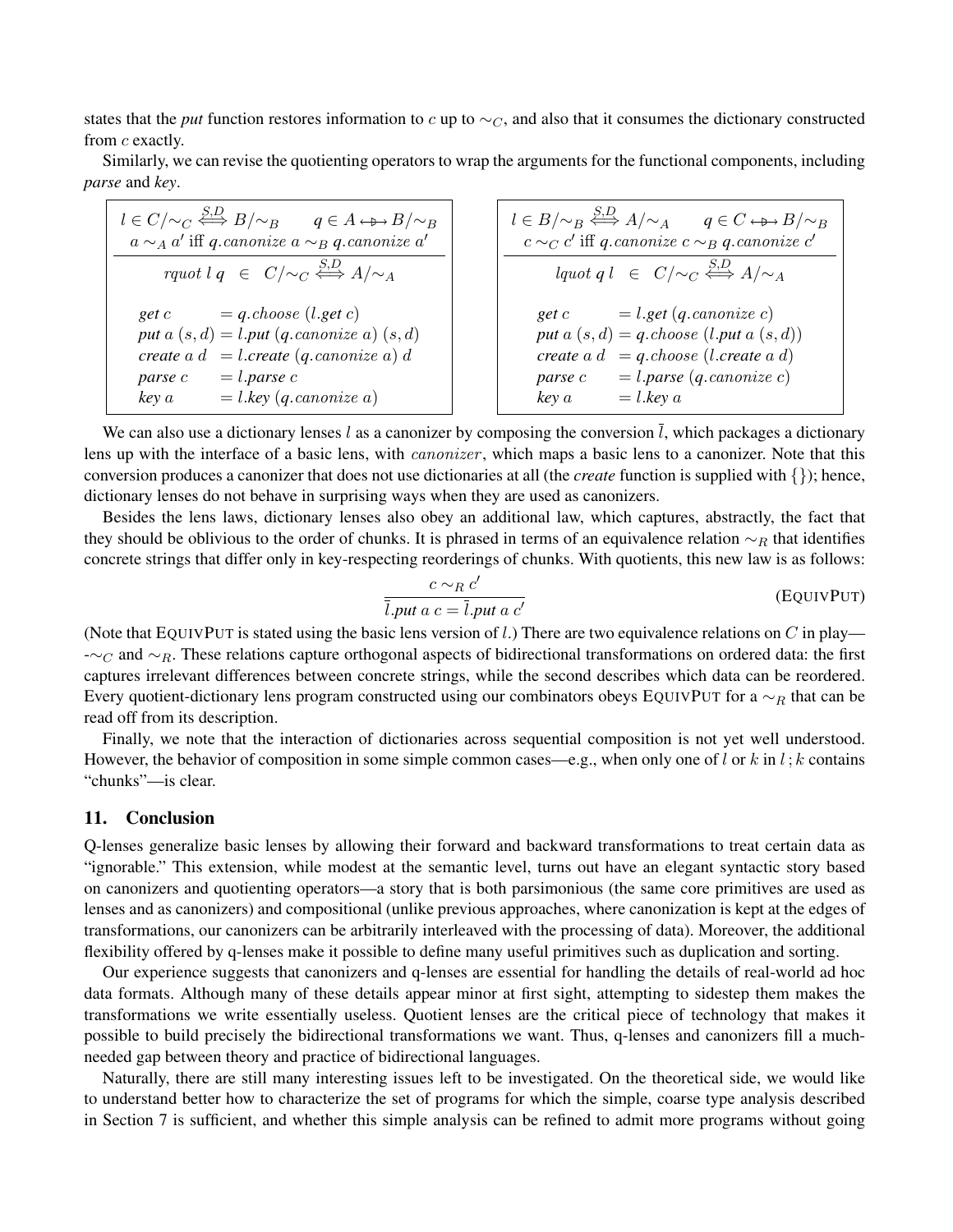states that the *put* function restores information to c up to  $\sim_C$ , and also that it consumes the dictionary constructed from c exactly.

Similarly, we can revise the quotienting operators to wrap the arguments for the functional components, including *parse* and *key*.

$$
\begin{array}{|rcl|} l\in C/\sim_C & \stackrel{S,D}{\Longleftrightarrow} B/\sim_B & q\in A \leftrightarrow B/\sim_B\\ a\sim_A a' \text{ iff } q.\text{canonical}\sim_B q.\text{canonical} \\ \hline\end{array}
$$
\n
$$
\begin{array}{rcl}\n\text{equot } l \ q\ \in \ C/\sim_C & \stackrel{S,D}{\Longleftrightarrow} A/\sim_A\\ \n\text{get } c & = q.\text{choose } (l.\text{get } c)\\ \n\text{put } a \ (s,d) = l.\text{put } (q.\text{canonical}) \ (s,d)\\ \n\text{create } a \ d & = l.\text{create } (q.\text{canonical}) \ d\\ \n\text{parse } c & = l.\text{parse } c\\ \n\text{key } a & = l.\text{key } (q.\text{canonical})\n\end{array}
$$

$$
l \in B/\sim_B \overset{S,D}{\Longleftrightarrow} A/\sim_A \qquad q \in C \leftrightarrow B/\sim_B
$$
  
\n
$$
c \sim_C c'
$$
 iff *q*.*canonical*  $c \sim_B q$ .*canonical*  $c'$   
\n
$$
lquot q l \in C/\sim_C \overset{S,D}{\Longleftrightarrow} A/\sim_A
$$
  
\nget  $c = l.get (q$ .*canonical*  $c$ )  
\nput  $a (s, d) = q$ .*choose (l.put a (s, d))*  
\ncreate  $a d = q$ .*choose (l.create a d)*  
\nparse  $c = l.parse (q$ .*canonical*  $c$ )  
\nkey  $a = l-key a$ 

We can also use a dictionary lenses l as a canonizer by composing the conversion  $\bar{l}$ , which packages a dictionary lens up with the interface of a basic lens, with *canonizer*, which maps a basic lens to a canonizer. Note that this conversion produces a canonizer that does not use dictionaries at all (the *create* function is supplied with {}); hence, dictionary lenses do not behave in surprising ways when they are used as canonizers.

Besides the lens laws, dictionary lenses also obey an additional law, which captures, abstractly, the fact that they should be oblivious to the order of chunks. It is phrased in terms of an equivalence relation  $\sim_R$  that identifies concrete strings that differ only in key-respecting reorderings of chunks. With quotients, this new law is as follows:

$$
\frac{c \sim_R c'}{\overline{l}.put\ a\ c = \overline{l}.put\ a\ c'}
$$
 (EQUIVPUT)

(Note that EQUIVPUT is stated using the basic lens version of l.) There are two equivalence relations on C in play—  $-\sim_C$  and  $\sim_R$ . These relations capture orthogonal aspects of bidirectional transformations on ordered data: the first captures irrelevant differences between concrete strings, while the second describes which data can be reordered. Every quotient-dictionary lens program constructed using our combinators obeys EQUIVPUT for a  $\sim_R$  that can be read off from its description.

Finally, we note that the interaction of dictionaries across sequential composition is not yet well understood. However, the behavior of composition in some simple common cases—e.g., when only one of l or k in l; k contains "chunks"—is clear.

#### 11. Conclusion

Q-lenses generalize basic lenses by allowing their forward and backward transformations to treat certain data as "ignorable." This extension, while modest at the semantic level, turns out have an elegant syntactic story based on canonizers and quotienting operators—a story that is both parsimonious (the same core primitives are used as lenses and as canonizers) and compositional (unlike previous approaches, where canonization is kept at the edges of transformations, our canonizers can be arbitrarily interleaved with the processing of data). Moreover, the additional flexibility offered by q-lenses make it possible to define many useful primitives such as duplication and sorting.

Our experience suggests that canonizers and q-lenses are essential for handling the details of real-world ad hoc data formats. Although many of these details appear minor at first sight, attempting to sidestep them makes the transformations we write essentially useless. Quotient lenses are the critical piece of technology that makes it possible to build precisely the bidirectional transformations we want. Thus, q-lenses and canonizers fill a muchneeded gap between theory and practice of bidirectional languages.

Naturally, there are still many interesting issues left to be investigated. On the theoretical side, we would like to understand better how to characterize the set of programs for which the simple, coarse type analysis described in Section 7 is sufficient, and whether this simple analysis can be refined to admit more programs without going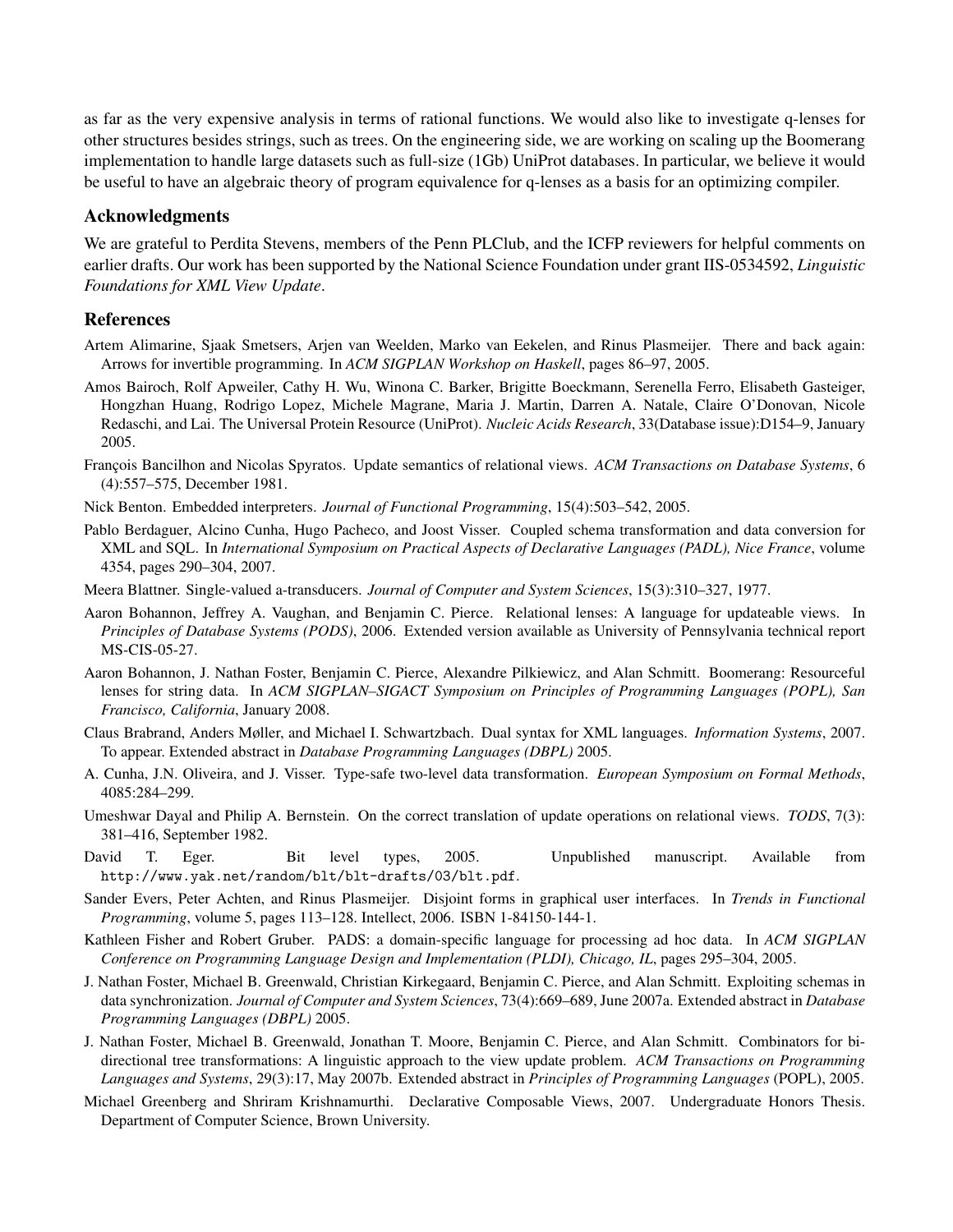as far as the very expensive analysis in terms of rational functions. We would also like to investigate q-lenses for other structures besides strings, such as trees. On the engineering side, we are working on scaling up the Boomerang implementation to handle large datasets such as full-size (1Gb) UniProt databases. In particular, we believe it would be useful to have an algebraic theory of program equivalence for q-lenses as a basis for an optimizing compiler.

## Acknowledgments

We are grateful to Perdita Stevens, members of the Penn PLClub, and the ICFP reviewers for helpful comments on earlier drafts. Our work has been supported by the National Science Foundation under grant IIS-0534592, *Linguistic Foundations for XML View Update*.

## References

- Artem Alimarine, Sjaak Smetsers, Arjen van Weelden, Marko van Eekelen, and Rinus Plasmeijer. There and back again: Arrows for invertible programming. In *ACM SIGPLAN Workshop on Haskell*, pages 86–97, 2005.
- Amos Bairoch, Rolf Apweiler, Cathy H. Wu, Winona C. Barker, Brigitte Boeckmann, Serenella Ferro, Elisabeth Gasteiger, Hongzhan Huang, Rodrigo Lopez, Michele Magrane, Maria J. Martin, Darren A. Natale, Claire O'Donovan, Nicole Redaschi, and Lai. The Universal Protein Resource (UniProt). *Nucleic Acids Research*, 33(Database issue):D154–9, January 2005.
- Francois Bancilhon and Nicolas Spyratos. Update semantics of relational views. *ACM Transactions on Database Systems*, 6 (4):557–575, December 1981.
- Nick Benton. Embedded interpreters. *Journal of Functional Programming*, 15(4):503–542, 2005.
- Pablo Berdaguer, Alcino Cunha, Hugo Pacheco, and Joost Visser. Coupled schema transformation and data conversion for XML and SQL. In *International Symposium on Practical Aspects of Declarative Languages (PADL), Nice France*, volume 4354, pages 290–304, 2007.
- Meera Blattner. Single-valued a-transducers. *Journal of Computer and System Sciences*, 15(3):310–327, 1977.
- Aaron Bohannon, Jeffrey A. Vaughan, and Benjamin C. Pierce. Relational lenses: A language for updateable views. In *Principles of Database Systems (PODS)*, 2006. Extended version available as University of Pennsylvania technical report MS-CIS-05-27.
- Aaron Bohannon, J. Nathan Foster, Benjamin C. Pierce, Alexandre Pilkiewicz, and Alan Schmitt. Boomerang: Resourceful lenses for string data. In *ACM SIGPLAN–SIGACT Symposium on Principles of Programming Languages (POPL), San Francisco, California*, January 2008.
- Claus Brabrand, Anders Møller, and Michael I. Schwartzbach. Dual syntax for XML languages. *Information Systems*, 2007. To appear. Extended abstract in *Database Programming Languages (DBPL)* 2005.
- A. Cunha, J.N. Oliveira, and J. Visser. Type-safe two-level data transformation. *European Symposium on Formal Methods*, 4085:284–299.
- Umeshwar Dayal and Philip A. Bernstein. On the correct translation of update operations on relational views. *TODS*, 7(3): 381–416, September 1982.
- David T. Eger. Bit level types, 2005. Unpublished manuscript. Available from http://www.yak.net/random/blt/blt-drafts/03/blt.pdf.
- Sander Evers, Peter Achten, and Rinus Plasmeijer. Disjoint forms in graphical user interfaces. In *Trends in Functional Programming*, volume 5, pages 113–128. Intellect, 2006. ISBN 1-84150-144-1.
- Kathleen Fisher and Robert Gruber. PADS: a domain-specific language for processing ad hoc data. In *ACM SIGPLAN Conference on Programming Language Design and Implementation (PLDI), Chicago, IL*, pages 295–304, 2005.
- J. Nathan Foster, Michael B. Greenwald, Christian Kirkegaard, Benjamin C. Pierce, and Alan Schmitt. Exploiting schemas in data synchronization. *Journal of Computer and System Sciences*, 73(4):669–689, June 2007a. Extended abstract in *Database Programming Languages (DBPL)* 2005.
- J. Nathan Foster, Michael B. Greenwald, Jonathan T. Moore, Benjamin C. Pierce, and Alan Schmitt. Combinators for bidirectional tree transformations: A linguistic approach to the view update problem. *ACM Transactions on Programming Languages and Systems*, 29(3):17, May 2007b. Extended abstract in *Principles of Programming Languages* (POPL), 2005.
- Michael Greenberg and Shriram Krishnamurthi. Declarative Composable Views, 2007. Undergraduate Honors Thesis. Department of Computer Science, Brown University.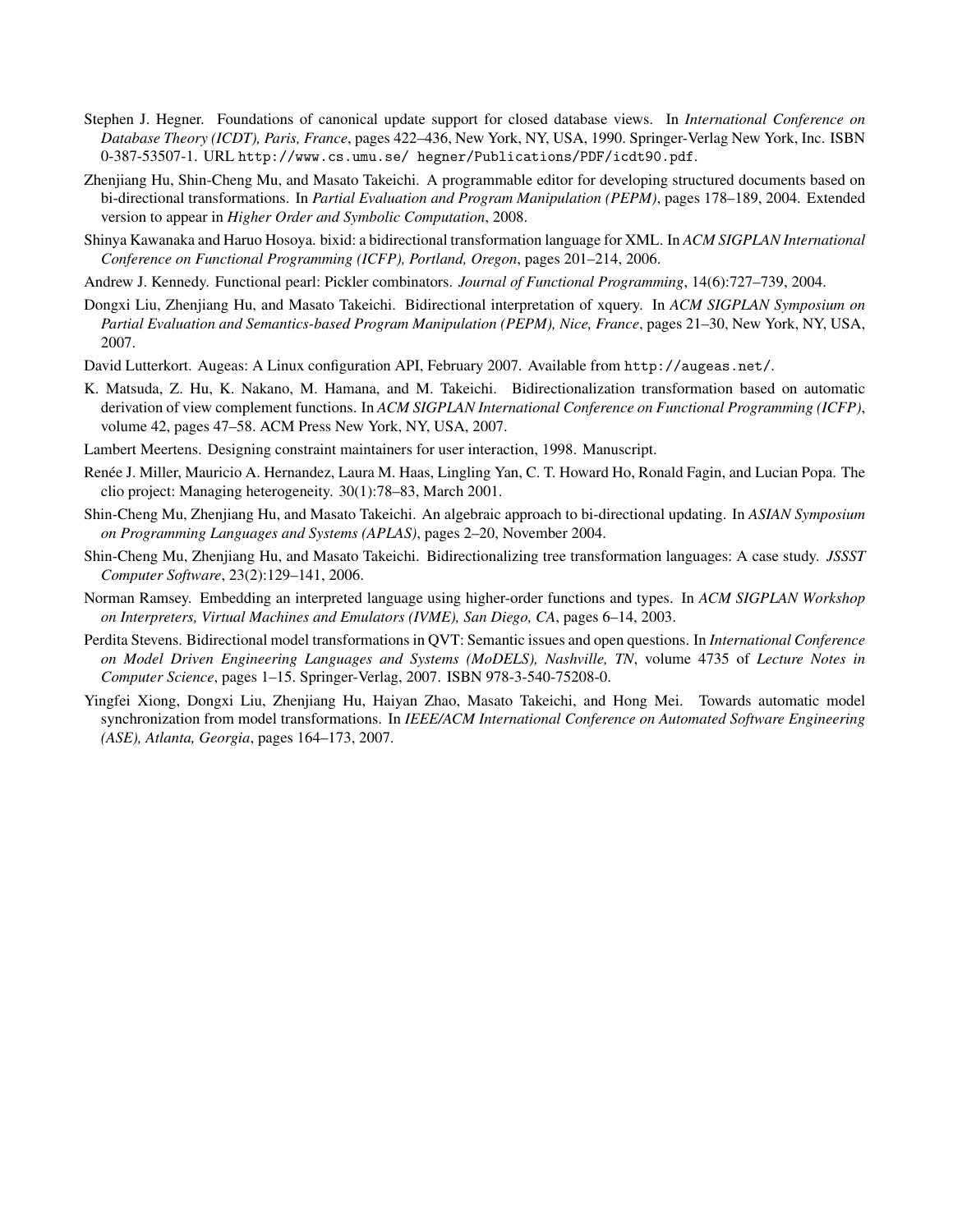- Stephen J. Hegner. Foundations of canonical update support for closed database views. In *International Conference on Database Theory (ICDT), Paris, France*, pages 422–436, New York, NY, USA, 1990. Springer-Verlag New York, Inc. ISBN 0-387-53507-1. URL http://www.cs.umu.se/ hegner/Publications/PDF/icdt90.pdf.
- Zhenjiang Hu, Shin-Cheng Mu, and Masato Takeichi. A programmable editor for developing structured documents based on bi-directional transformations. In *Partial Evaluation and Program Manipulation (PEPM)*, pages 178–189, 2004. Extended version to appear in *Higher Order and Symbolic Computation*, 2008.
- Shinya Kawanaka and Haruo Hosoya. bixid: a bidirectional transformation language for XML. In *ACM SIGPLAN International Conference on Functional Programming (ICFP), Portland, Oregon*, pages 201–214, 2006.
- Andrew J. Kennedy. Functional pearl: Pickler combinators. *Journal of Functional Programming*, 14(6):727–739, 2004.
- Dongxi Liu, Zhenjiang Hu, and Masato Takeichi. Bidirectional interpretation of xquery. In *ACM SIGPLAN Symposium on Partial Evaluation and Semantics-based Program Manipulation (PEPM), Nice, France*, pages 21–30, New York, NY, USA, 2007.
- David Lutterkort. Augeas: A Linux configuration API, February 2007. Available from http://augeas.net/.
- K. Matsuda, Z. Hu, K. Nakano, M. Hamana, and M. Takeichi. Bidirectionalization transformation based on automatic derivation of view complement functions. In *ACM SIGPLAN International Conference on Functional Programming (ICFP)*, volume 42, pages 47–58. ACM Press New York, NY, USA, 2007.
- Lambert Meertens. Designing constraint maintainers for user interaction, 1998. Manuscript.
- Renée J. Miller, Mauricio A. Hernandez, Laura M. Haas, Lingling Yan, C. T. Howard Ho, Ronald Fagin, and Lucian Popa. The clio project: Managing heterogeneity. 30(1):78–83, March 2001.
- Shin-Cheng Mu, Zhenjiang Hu, and Masato Takeichi. An algebraic approach to bi-directional updating. In *ASIAN Symposium on Programming Languages and Systems (APLAS)*, pages 2–20, November 2004.
- Shin-Cheng Mu, Zhenjiang Hu, and Masato Takeichi. Bidirectionalizing tree transformation languages: A case study. *JSSST Computer Software*, 23(2):129–141, 2006.
- Norman Ramsey. Embedding an interpreted language using higher-order functions and types. In *ACM SIGPLAN Workshop on Interpreters, Virtual Machines and Emulators (IVME), San Diego, CA*, pages 6–14, 2003.
- Perdita Stevens. Bidirectional model transformations in QVT: Semantic issues and open questions. In *International Conference on Model Driven Engineering Languages and Systems (MoDELS), Nashville, TN*, volume 4735 of *Lecture Notes in Computer Science*, pages 1–15. Springer-Verlag, 2007. ISBN 978-3-540-75208-0.
- Yingfei Xiong, Dongxi Liu, Zhenjiang Hu, Haiyan Zhao, Masato Takeichi, and Hong Mei. Towards automatic model synchronization from model transformations. In *IEEE/ACM International Conference on Automated Software Engineering (ASE), Atlanta, Georgia*, pages 164–173, 2007.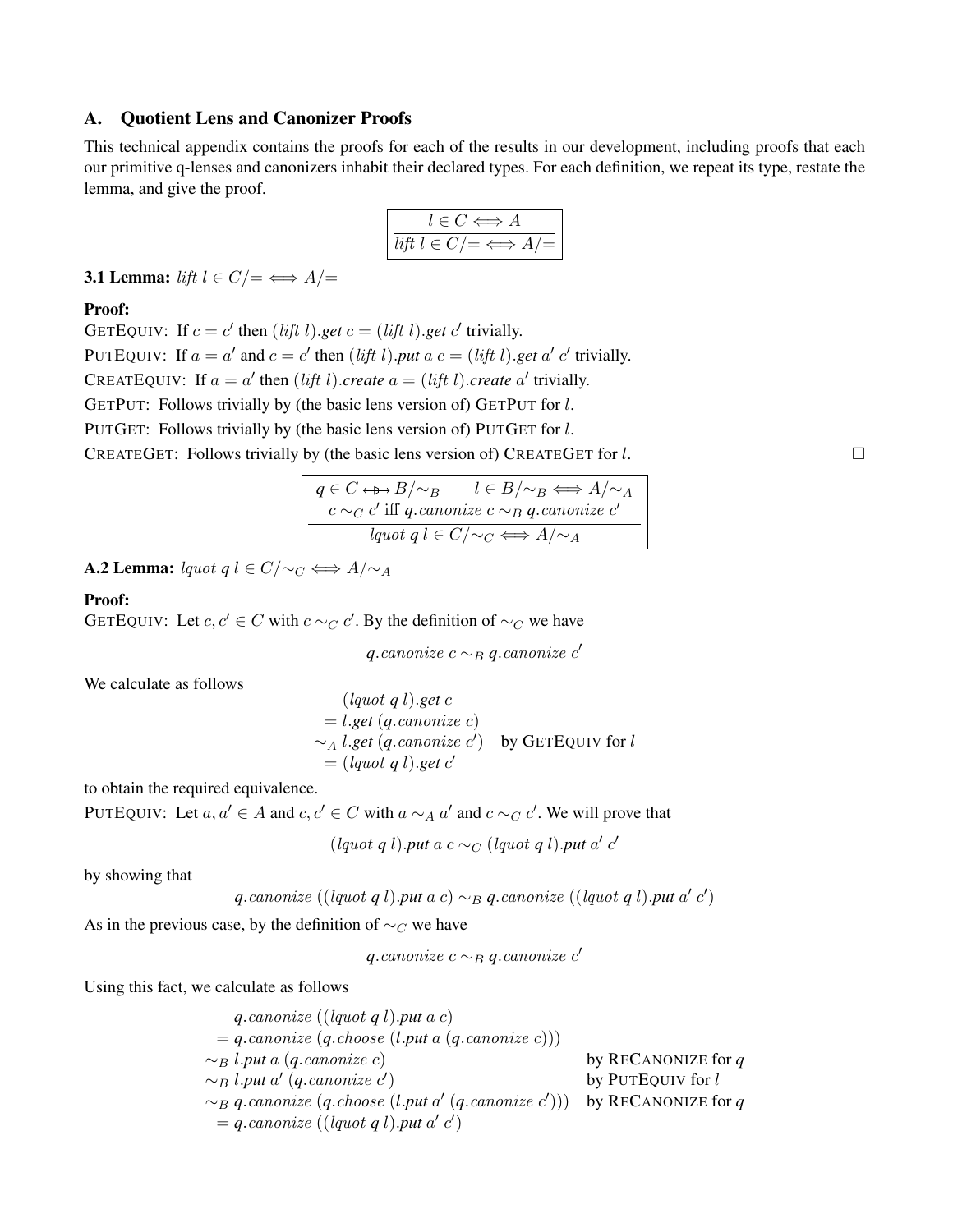## A. Quotient Lens and Canonizer Proofs

This technical appendix contains the proofs for each of the results in our development, including proofs that each our primitive q-lenses and canonizers inhabit their declared types. For each definition, we repeat its type, restate the lemma, and give the proof.

| $l \in C \Longleftrightarrow A$                                     |
|---------------------------------------------------------------------|
| $\vert \text{ lift } l \in C \vert = \Longleftrightarrow A \vert =$ |

**3.1 Lemma:** lift  $l \in C$   $\Longleftrightarrow$  A  $\neq$ 

#### Proof:

GETEQUIV: If  $c = c'$  then (*lift l*).get  $c = (lift \, l)$ .get  $c'$  trivially. PUTEQUIV: If  $a = a'$  and  $c = c'$  then (*lift l*).*put*  $a c = (lift \, l)$ .get  $a' c'$  trivially. CREATEQUIV: If  $a = a'$  then (*lift l*).*create*  $a = (lift \, l)$ .*create* a' trivially. GETPUT: Follows trivially by (the basic lens version of) GETPUT for l. PUTGET: Follows trivially by (the basic lens version of) PUTGET for l.

CREATEGET: Follows trivially by (the basic lens version of) CREATEGET for  $l$ .

| $q \in C \leftrightarrow B/\sim_B$                       | $l \in B/\sim_B \iff A/\sim_A$ |  |  |  |
|----------------------------------------------------------|--------------------------------|--|--|--|
| $c \sim_C c'$ iff q.canonize $c \sim_B q$ .canonize $c'$ |                                |  |  |  |
| lquot q $l \in C/\!\!\sim_C \iff A/\!\sim_A$             |                                |  |  |  |

**A.2 Lemma:** lquot  $q$  l ∈  $C/\sim_C$   $\Longleftrightarrow$  A/ $\sim_A$ 

#### Proof:

GETEQUIV: Let  $c, c' \in C$  with  $c \sim_C c'$ . By the definition of  $\sim_C$  we have

 $q.\mathit{canonical}\ c\sim_B q.\mathit{canonical}\ c'$ 

We calculate as follows

$$
(lquot q l).get c
$$
  
=  $l.get (q.canonize c)$   
 $\sim_A l.get (q.canonize c')$  by GETEQUIV for  $l$   
=  $(lquot q l).get c'$ 

to obtain the required equivalence.

PUTEQUIV: Let  $a, a' \in A$  and  $c, c' \in C$  with  $a \sim_A a'$  and  $c \sim_C c'$ . We will prove that

$$
(\mathit{lquot}\ q\ \mathit{l}).\mathit{put}\ a\ c \sim_C (\mathit{lquot}\ q\ \mathit{l}).\mathit{put}\ a'\ c'
$$

by showing that

q.*canonize* ((*lquot q l*).*put a c*) ~
$$
\sim_B
$$
q.*canonize* ((*lquot q l*).*put a' c'*)

As in the previous case, by the definition of  $\sim_C$  we have

 $q.\mathit{canonical}\ c\sim_B q.\mathit{canonical}\ c'$ 

Using this fact, we calculate as follows

q.*canonical* (
$$
(lquot q l)
$$
.put a c)  
\n $= q$ .*canonical* (q.*choose* (l.*put a* (q.*canonical* c))  
\n $\sim_B l$ .put a (q.*canonical* c)  
\n $\sim_B l$ .put a' (q.*canonical* c')  
\n $\sim_B q$ .*canonical* (q.*chaone* (l.*put a*' (q.*canonical* c'))  
\n $= q$ .*canonical* (l*quot q* l).put a' c')  
\nby PUTEQUIV for l  
\n $= q$ .*canonical* (l*quot q* l).put a' c') by RECANONIZE for q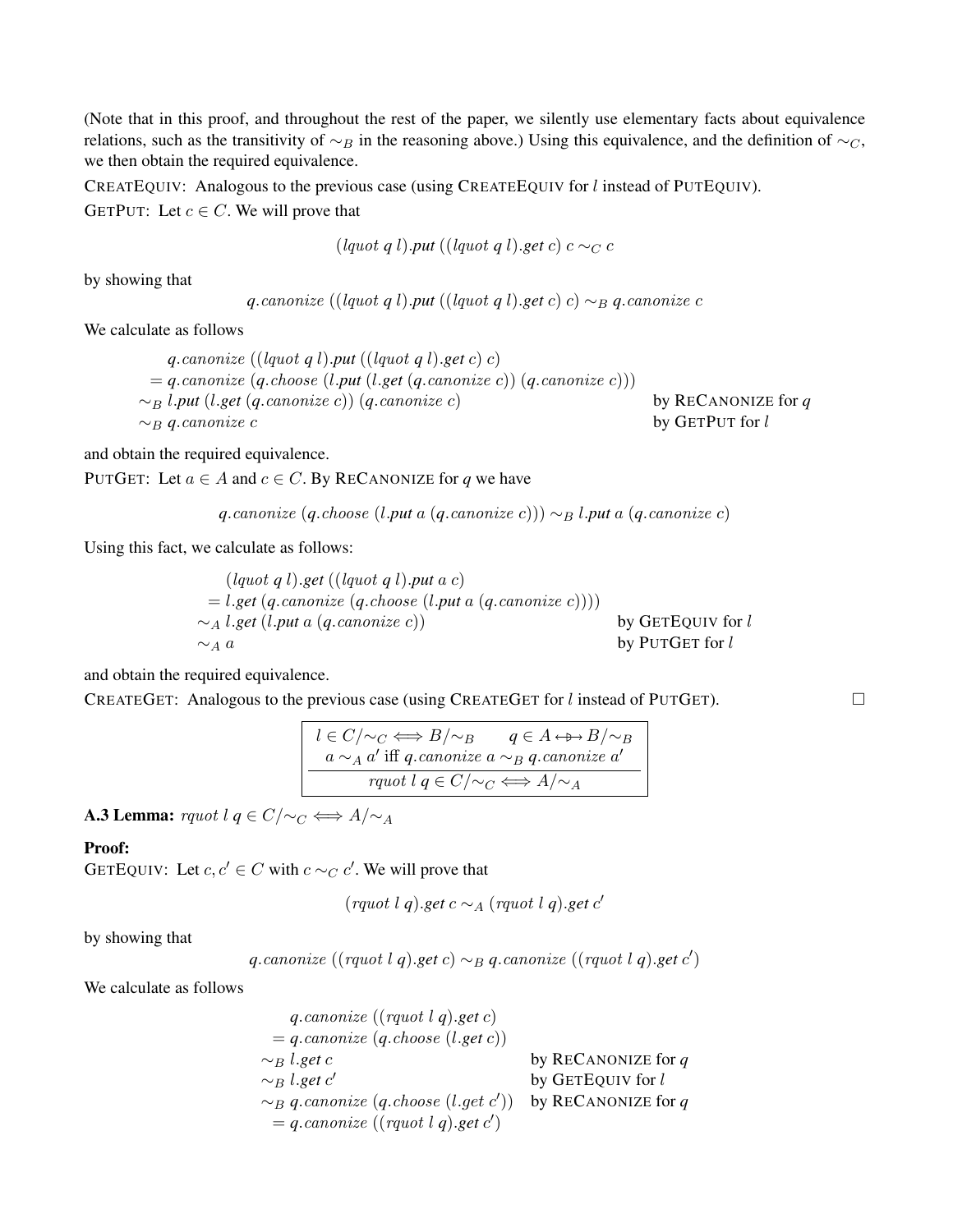(Note that in this proof, and throughout the rest of the paper, we silently use elementary facts about equivalence relations, such as the transitivity of  $\sim_B$  in the reasoning above.) Using this equivalence, and the definition of  $\sim_C$ , we then obtain the required equivalence.

CREATEQUIV: Analogous to the previous case (using CREATEEQUIV for l instead of PUTEQUIV).

GETPUT: Let  $c \in C$ . We will prove that

(lquot *q* l).put ((lquot *q* l).get c)  $c \sim_C c$ 

by showing that

*q*.canonize ((lquot *q* l).put ((lquot *q* l).get *c*)  $c$ ) ∼B *q*.canonize *c* 

We calculate as follows

*q*.canonize ((lquot *q* l).*put* ((lquot *q* l).*get* c) c)  $= q$ .canonize  $(q, choose (l, put (l.get (q, canonical (c)))$ ∼<sup>B</sup> l.*put* (l.*get* (*q*.canonize c)) (*q*.canonize c) by RECANONIZE for *q*  $\sim_B q$ .canonize c by GETPUT for l

and obtain the required equivalence.

PUTGET: Let  $a \in A$  and  $c \in C$ . By RECANONIZE for q we have

*q*.canonize (*q*.choose (*l.put* a (*q.canonize c*))) ∼B *l.put* a (*q.canonize c*)

Using this fact, we calculate as follows:

$$
(lquot q l).get ((lquot q l).put a c)
$$
  
= l.get (q.canonize (q.choose (l.put a (q.canonize c))))  

$$
\sim_A l.get (l.put a (q.canonize c))
$$
by GETEQUIV for l  

$$
\sim_A a
$$
by PUTGET for l

and obtain the required equivalence.

CREATEGET: Analogous to the previous case (using CREATEGET for  $l$  instead of PUTGET).

 $l \in C/\mathord{\sim}_C \Longleftrightarrow B/\mathord{\sim}_B \qquad q \in A \leftrightarrow B/\mathord{\sim}_B$ a ∼<sup>A</sup> a 0 iff *q*.canonize a ∼<sup>B</sup> *q*.canonize a 0 *rquot l*  $q \in C/\mathord{\sim}_C \Longleftrightarrow A/\mathord{\sim}_A$ 

**A.3 Lemma:** rquot l  $q \in C/\sim_C$   $\Longleftrightarrow$  A/ $\sim_A$ 

#### Proof:

GETEQUIV: Let  $c, c' \in C$  with  $c \sim_C c'$ . We will prove that

$$
(rquot l q).get c \sim_A (rquot l q).get c'
$$

by showing that

q.*canonize* ((*rquot* l q).*get* c) ~
$$
\sim_B
$$
q.*canonize* ((*rquot* l q).*get* c')

We calculate as follows

q.*canonical* 
$$
(\text{rquot } l \ q). \text{get } c)
$$
  
= q.*canonical*  $(q.\text{choose } (l.\text{get } c))$   
 $\sim_B l.\text{get } c$   
 $\sim_B l.\text{get } c'$   
 $\sim_B q.\text{canonical}$  by RECANONIZE for  $l$   
 $\sim_B q.\text{canonical}$   $(q.\text{choose } (l.\text{get } c'))$  by RECANONIZE for  $q$   
= q.*canonical*  $((\text{rquot } l \ q). \text{get } c')$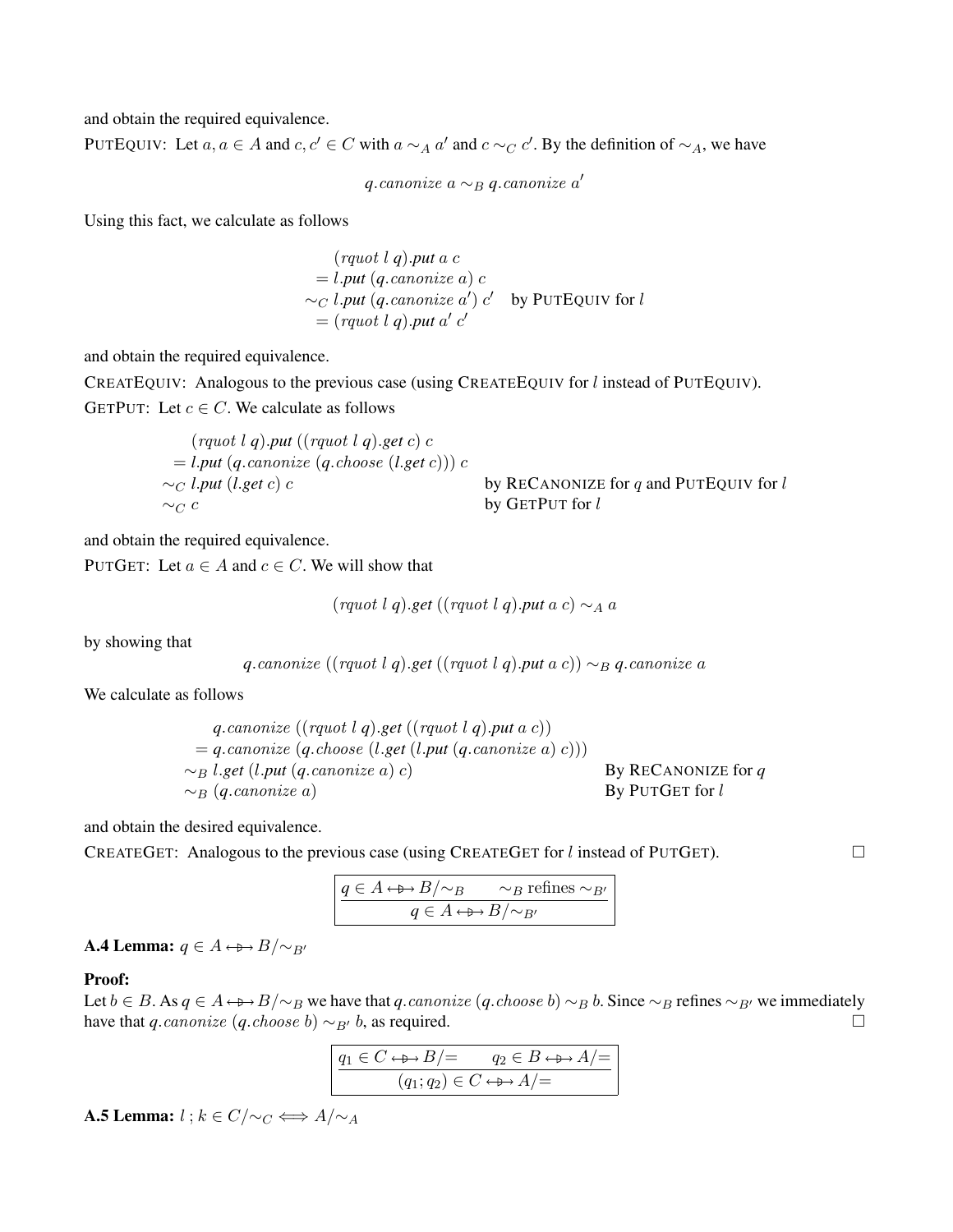and obtain the required equivalence.

PUTEQUIV: Let  $a, a \in A$  and  $c, c' \in C$  with  $a \sim_A a'$  and  $c \sim_C c'$ . By the definition of  $\sim_A$ , we have

*q*.canonize a ∼<sup>B</sup> *q*.canonize a 0

Using this fact, we calculate as follows

$$
(rquot l q).put a c
$$
  
=  $l.put (q.canonize a) c$   
~ $\sim_C l.put (q.canonize a') c'$  by PUTEQUIV for l  
=  $(rquot l q).put a' c'$ 

and obtain the required equivalence.

CREATEQUIV: Analogous to the previous case (using CREATEEQUIV for l instead of PUTEQUIV). GETPUT: Let  $c \in C$ . We calculate as follows

$$
(rquot l q).put ((rquot l q).get c) c
$$
  
= *l.put* (q. canonize (q. choose (l.get c))) c  
 $\sim_C l.put (l.get c) c$   
 $\sim_C c$   
by **RECANONIZE** for q and **PUTEQUIV** for l  
by **GETPUT** for l

and obtain the required equivalence.

PUTGET: Let  $a \in A$  and  $c \in C$ . We will show that

$$
(rquot l q).get ((rquot l q).put a c) \sim_A a
$$

by showing that

q.*canonize* ((*rquot* 
$$
l
$$
  $q$ ),*get* ((*rquot*  $l$   $q$ ),*put*  $a$   $c$ )) ~ $_B$  q.*canonize*  $a$ 

We calculate as follows

q.*canonical* 
$$
((quot l q).get ((rquot l q).put a c))
$$
\n $= q$ .*canonical*  $(q$ .*choose*  $(l.get (l.put (q.canonical) c)))$ \n $\sim_B l.get (l.put (q.canonical) c)$ \nBy RECANONIZE for  $q$ 

\n $\sim_B (q$ .*canonical*)\nBy PUTGET for  $l$ 

and obtain the desired equivalence.

CREATEGET: Analogous to the previous case (using CREATEGET for  $l$  instead of PUTGET).

$$
\left|\frac{q \in A \mathop{\leftrightarrow} \mathop{\rightarrow} B/\mathop{\sim}_B \quad \mathop{\sim}_B \mathop{\text{refines}} \mathop{\sim}_{B'} }{q \in A \mathop{\leftrightarrow} \mathop{\rightarrow} B/\mathop{\sim}_{B'}}\right|
$$

**A.4 Lemma:**  $q \in A \leftrightarrow B/\sim_{B'}$ 

### Proof:

Let  $b \in B$ . As  $q \in A \leftrightarrow B/\sim_B$  we have that *q*.canonize  $(q.choose b) \sim_B b$ . Since  $\sim_B$  refines  $\sim_{B'}$  we immediately have that *q*.canonize (*q*.choose b) ∼<sub>B'</sub> b, as required.  $\Box$ 

$$
q_1 \in C \leftrightarrow B/\!=\! q_2 \in B \leftrightarrow A/\!=\! (q_1; q_2) \in C \leftrightarrow A/\!=\!
$$

A.5 Lemma:  $l$ ;  $k \in C/\sim_C \Longleftrightarrow A/\sim_A$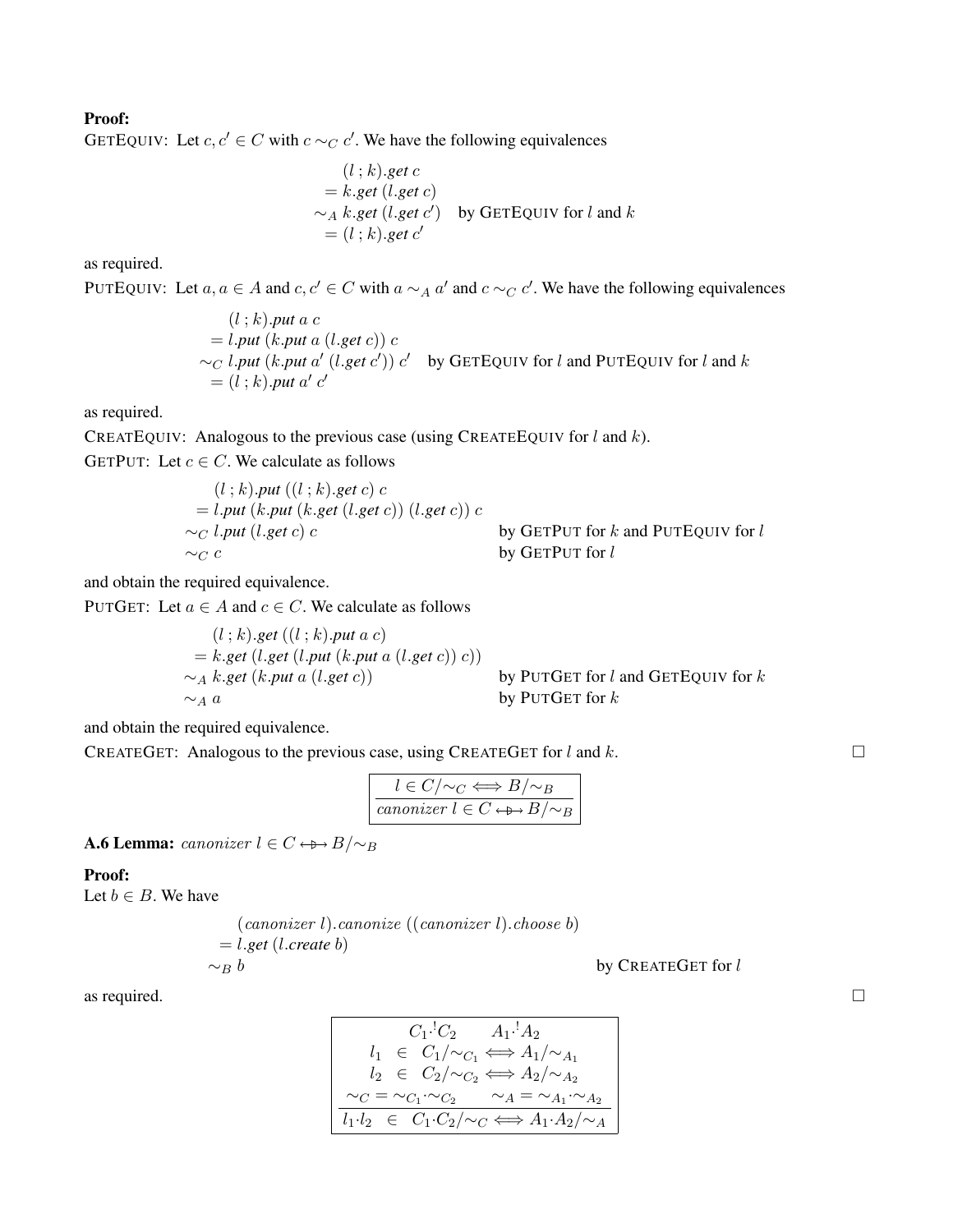## Proof:

GETEQUIV: Let  $c, c' \in C$  with  $c \sim_C c'$ . We have the following equivalences

$$
(l; k).get c
$$
  
= k.get (l.get c)  
 $\sim_A k.get (l.get c')$  by GETEQUIV for l and k  
= (l; k).get c'

as required.

PUTEQUIV: Let  $a, a \in A$  and  $c, c' \in C$  with  $a \sim_A a'$  and  $c \sim_C c'$ . We have the following equivalences

$$
(l; k).put a c
$$
  
= *l.put* (*k.put* a (*l.get* c)) c  
~ $\sim_C l.put$  (*k.put* a' (*l.get* c')) c' by GETEQUIV for *l* and PUTEQUIV for *l* and *k*  
= (*l*; *k*),*put* a' c'

as required.

CREATEQUIV: Analogous to the previous case (using CREATEEQUIV for  $l$  and  $k$ ).

GETPUT: Let  $c \in C$ . We calculate as follows

$$
(l; k).put ((l; k).get c) c
$$
  
= l.put (k.put (k.get (l.get c)) (l.get c)) c  
~ by GETPUT for k and PUTEQUIV for l  
~ b y GETPUT for l

and obtain the required equivalence.

PUTGET: Let  $a \in A$  and  $c \in C$ . We calculate as follows

$$
(l; k).get ((l; k).put a c)= k.get (l.get (l.put (k.put a (l.get c)) c))\simA k.get (k.put a (l.get c))\simA a by PUTGET for kby PUTGET for k
$$

∼<sup>A</sup> k.*get* (k.*put* a (l.*get* c)) by PUTGET for l and GETEQUIV for k

and obtain the required equivalence.

CREATEGET: Analogous to the previous case, using CREATEGET for  $l$  and  $k$ .

$$
\frac{l \in C/{\sim_C} \Longleftrightarrow B/{\sim_B}}{canonizer \ l \in C \longleftrightarrow B/{\sim_B}}
$$

**A.6 Lemma:** *canonizer*  $l \in C \leftrightarrow B/\sim_B$ 

#### Proof:

Let  $b \in B$ . We have

$$
(canonizer l). canonize ((canonizer l).choose b)
$$
  
= l.get (l.create b)  
 $\sim_B$  b

by CREATEGET for  $l$ 

as required.  $\Box$ 

$$
C_1 \cdot C_2 \qquad A_1 \cdot A_2
$$
  
\n
$$
l_1 \in C_1/\sim_{C_1} \iff A_1/\sim_{A_1}
$$
  
\n
$$
l_2 \in C_2/\sim_{C_2} \iff A_2/\sim_{A_2}
$$
  
\n
$$
\sim_C = \sim_{C_1} \cdot \sim_{C_2} \qquad \sim_A = \sim_{A_1} \cdot \sim_{A_2}
$$
  
\n
$$
l_1 \cdot l_2 \in C_1 \cdot C_2/\sim_C \iff A_1 \cdot A_2/\sim_A
$$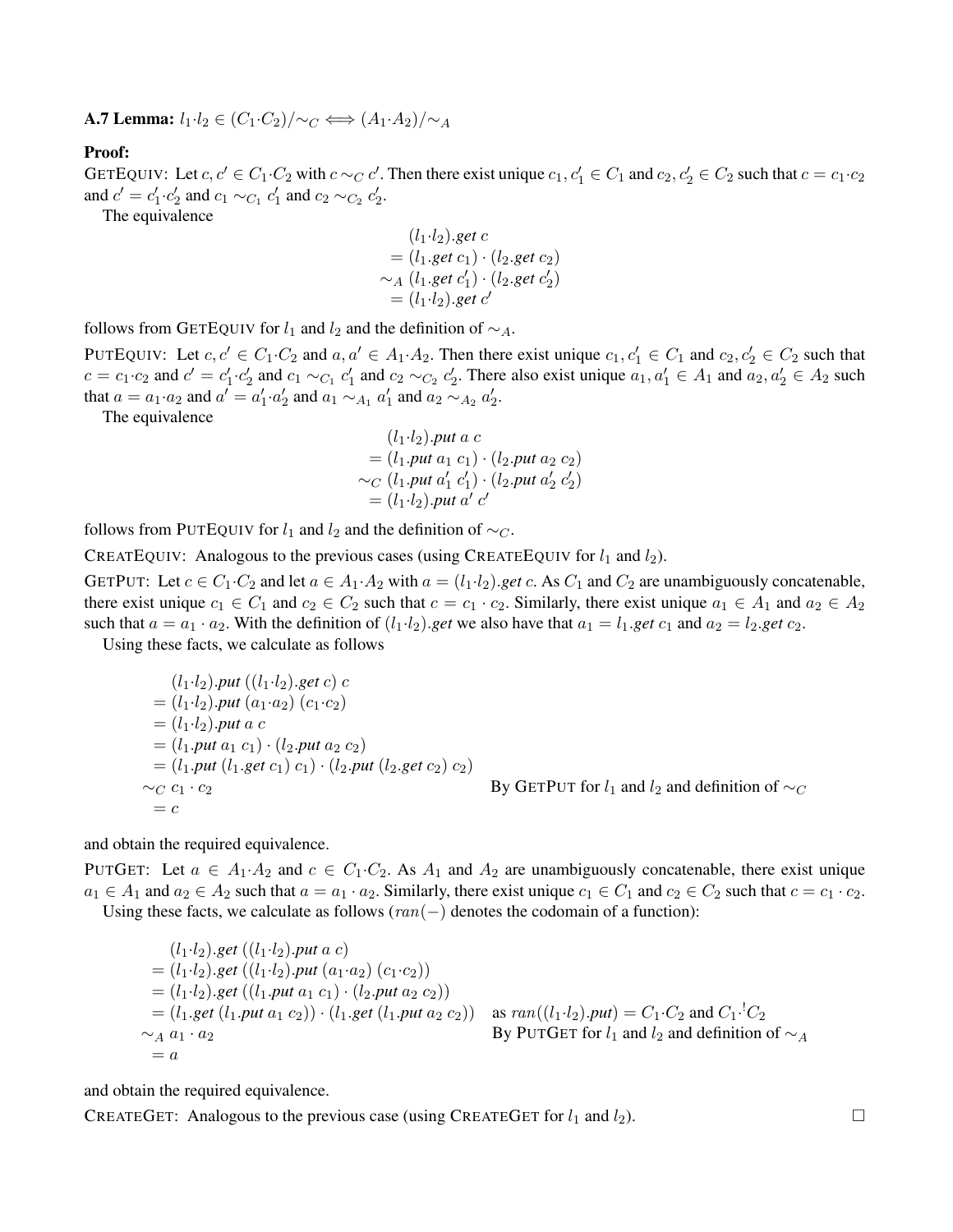A.7 Lemma:  $l_1·l_2 \in (C_1·C_2)/{\sim_C} \Longleftrightarrow (A_1·A_2)/{\sim_A}$ 

#### Proof:

GETEQUIV: Let  $c, c' \in C_1 \cdot C_2$  with  $c \sim_C c'$ . Then there exist unique  $c_1, c'_1 \in C_1$  and  $c_2, c'_2 \in C_2$  such that  $c = c_1 \cdot c_2$ and  $c' = c'_1 \cdot c'_2$  and  $c_1 \sim_{C_1} c'_1$  and  $c_2 \sim_{C_2} c'_2$ .

The equivalence

$$
(l_1 \cdot l_2).get\ c
$$
  
=  $(l_1.get\ c_1) \cdot (l_2.get\ c_2)$   
 $\sim_A (l_1.get\ c'_1) \cdot (l_2.get\ c'_2)$   
=  $(l_1 \cdot l_2).get\ c'$ 

follows from GETEQUIV for  $l_1$  and  $l_2$  and the definition of  $\sim_A$ .

PUTEQUIV: Let  $c, c' \in C_1 \cdot C_2$  and  $a, a' \in A_1 \cdot A_2$ . Then there exist unique  $c_1, c'_1 \in C_1$  and  $c_2, c'_2 \in C_2$  such that  $c = c_1 \cdot c_2$  and  $c' = c'_1 \cdot c'_2$  and  $c_1 \sim_{C_1} c'_1$  and  $c_2 \sim_{C_2} c'_2$ . There also exist unique  $a_1, a'_1 \in A_1$  and  $a_2, a'_2 \in A_2$  such that  $a = a_1 \cdot a_2$  and  $a' = a'_1 \cdot a'_2$  and  $a_1 \sim_{A_1} a'_1$  and  $a_2 \sim_{A_2} a'_2$ .

The equivalence

$$
(l_1 \cdot l_2).put a c
$$
  
=  $(l_1.put a_1 c_1) \cdot (l_2.put a_2 c_2)$   
~ $\sim_C (l_1.put a'_1 c'_1) \cdot (l_2.put a'_2 c'_2)$   
=  $(l_1 \cdot l_2).put a' c'$ 

follows from PUTEQUIV for  $l_1$  and  $l_2$  and the definition of  $\sim_C$ .

CREATEQUIV: Analogous to the previous cases (using CREATEEQUIV for  $l_1$  and  $l_2$ ).

GETPUT: Let  $c \in C_1 \cdot C_2$  and let  $a \in A_1 \cdot A_2$  with  $a = (l_1 \cdot l_2)$ . *get* c. As  $C_1$  and  $C_2$  are unambiguously concatenable, there exist unique  $c_1 \in C_1$  and  $c_2 \in C_2$  such that  $c = c_1 \cdot c_2$ . Similarly, there exist unique  $a_1 \in A_1$  and  $a_2 \in A_2$ such that  $a = a_1 \cdot a_2$ . With the definition of  $(l_1 \cdot l_2)$  *get* we also have that  $a_1 = l_1$  *get*  $c_1$  and  $a_2 = l_2$  *get*  $c_2$ *.* 

Using these facts, we calculate as follows

$$
(l_1 \cdot l_2).put ((l_1 \cdot l_2).get c) c
$$
  
=  $(l_1 \cdot l_2).put (a_1 \cdot a_2) (c_1 \cdot c_2)$   
=  $(l_1 \cdot l_2).put a c$   
=  $(l_1.put a_1 c_1) \cdot (l_2.put a_2 c_2)$   
=  $(l_1.put (l_1.get c_1) c_1) \cdot (l_2.put (l_2.get c_2) c_2)$   
 $\sim_C c_1 \cdot c_2$   
= c  
By GETPUT for  $l_1$  and  $l_2$  and definition of  $\sim_C$   
= c

and obtain the required equivalence.

PUTGET: Let  $a \in A_1 \cdot A_2$  and  $c \in C_1 \cdot C_2$ . As  $A_1$  and  $A_2$  are unambiguously concatenable, there exist unique  $a_1 \in A_1$  and  $a_2 \in A_2$  such that  $a = a_1 \cdot a_2$ . Similarly, there exist unique  $c_1 \in C_1$  and  $c_2 \in C_2$  such that  $c = c_1 \cdot c_2$ . Using these facts, we calculate as follows  $ran(-)$  denotes the codomain of a function):

$$
(l_1 \cdot l_2).get ((l_1 \cdot l_2).put a c)
$$
  
=  $(l_1 \cdot l_2).get ((l_1 \cdot l_2).put (a_1 \cdot a_2) (c_1 \cdot c_2))$   
=  $(l_1 \cdot l_2).get ((l_1.put a_1 c_1) \cdot (l_2.put a_2 c_2))$   
=  $(l_1.get (l_1.put a_1 c_2)) \cdot (l_1.get (l_1.put a_2 c_2))$  as  $ran((l_1 \cdot l_2).put) = C_1 \cdot C_2$  and  $C_1 \cdot C_2$   
 $\sim_A a_1 \cdot a_2$  By PUTGET for  $l_1$  and  $l_2$  and definition of  $\sim_A$   
= a

and obtain the required equivalence.

CREATEGET: Analogous to the previous case (using CREATEGET for  $l_1$  and  $l_2$ ).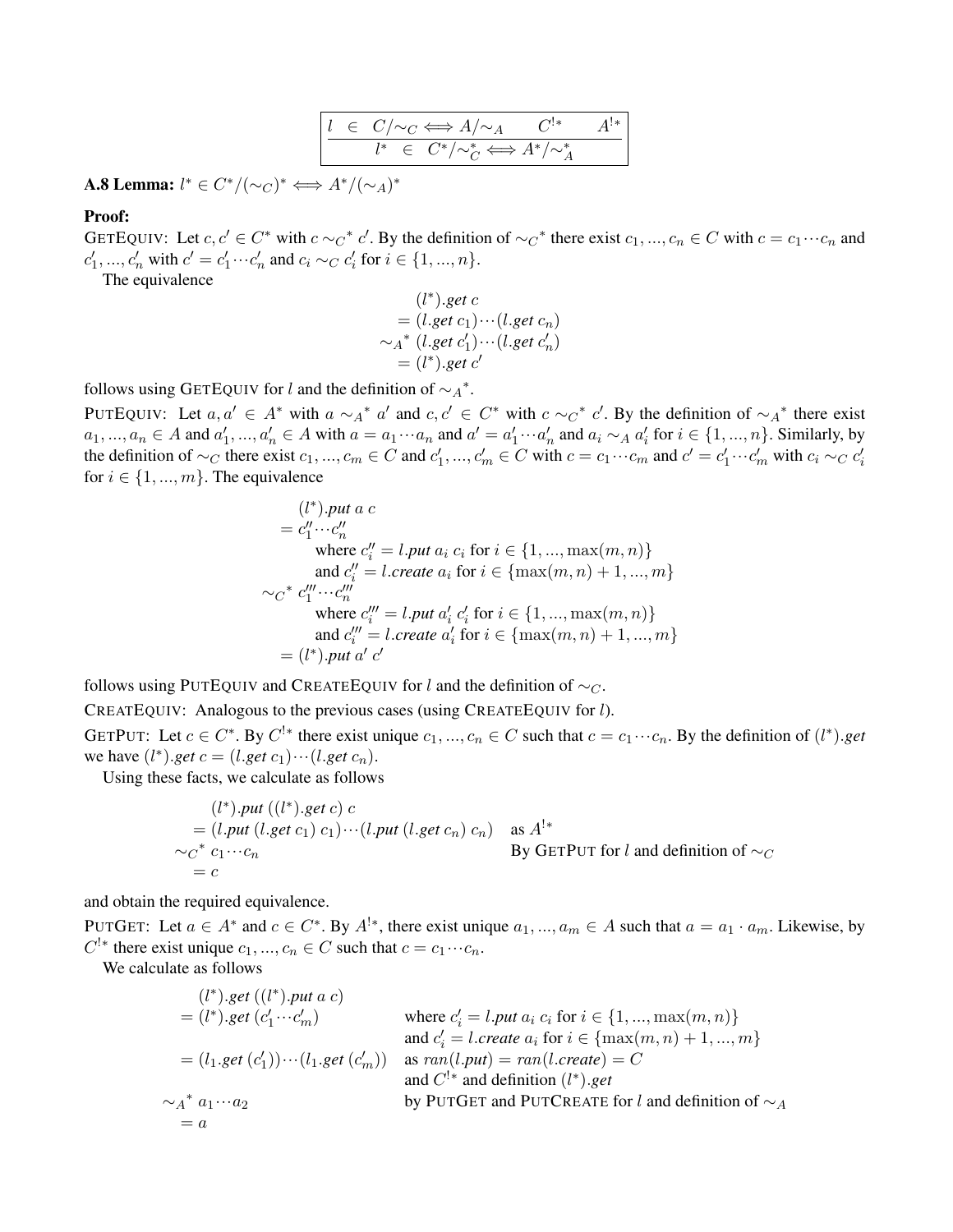|  |  | $l l \in C/\!\!\sim_C \Longleftrightarrow A/\!\!\sim_A C^{!*}$ | $A^{!*}$ |
|--|--|----------------------------------------------------------------|----------|
|  |  | $l^* \in C^*/\sim_C^* \iff A^*/\sim_A^*$                       |          |

A.8 Lemma:  $l^* \in C^*/(\sim_C)^* \Longleftrightarrow A^*/(\sim_A)^*$ 

#### Proof:

GETEQUIV: Let  $c, c' \in C^*$  with  $c \sim_C^* c'$ . By the definition of  $\sim_C^*$  there exist  $c_1, ..., c_n \in C$  with  $c = c_1 \cdots c_n$  and  $c'_1, ..., c'_n$  with  $c' = c'_1 \cdots c'_n$  and  $c_i \sim_C c'_i$  for  $i \in \{1, ..., n\}$ .

The equivalence

$$
(l^*).get c
$$
  
=  $(l.get c_1) \cdots (l.get c_n)$   
 $\sim_A^* (l.get c'_1) \cdots (l.get c'_n)$   
=  $(l^*).get c'$ 

follows using GETEQUIV for l and the definition of  $\sim_A^*$ .

PUTEQUIV: Let  $a, a' \in A^*$  with  $a \sim_A^* a'$  and  $c, c' \in C^*$  with  $c \sim_C^* c'$ . By the definition of  $\sim_A^*$  there exist  $a_1, ..., a_n \in A$  and  $a'_1, ..., a'_n \in A$  with  $a = a_1 \cdots a_n$  and  $a' = a'_1 \cdots a'_n$  and  $a_i \sim_A a'_i$  for  $i \in \{1, ..., n\}$ . Similarly, by the definition of  $\sim_C$  there exist  $c_1, ..., c_m \in C$  and  $c'_1, ..., c'_m \in C$  with  $c = c_1 \cdots c_m$  and  $c' = c'_1 \cdots c'_m$  with  $c_i \sim_C c'_i$ for  $i \in \{1, ..., m\}$ . The equivalence

$$
(l^*)\text{.}put a c
$$
\n
$$
= c''_1 \cdots c''_n
$$
\nwhere  $c''_i = l.\text{}put a_i c_i \text{ for } i \in \{1, ..., \max(m, n)\}$   
\nand  $c''_i = l.\text{create } a_i \text{ for } i \in \{\max(m, n) + 1, ..., m\}$   
\n
$$
\sim c^* c'''_1 \cdots c'''_m
$$
\nwhere  $c'''_i = l.\text{}put a'_i c'_i \text{ for } i \in \{1, ..., \max(m, n)\}$   
\nand  $c'''_i = l.\text{create } a'_i \text{ for } i \in \{\max(m, n) + 1, ..., m\}$   
\n
$$
= (l^*)\text{.}put a' c'
$$

follows using PUTEQUIV and CREATEEQUIV for l and the definition of  $~\sim_C$ .

CREATEQUIV: Analogous to the previous cases (using CREATEEQUIV for l).

GETPUT: Let  $c \in C^*$ . By  $C^{!*}$  there exist unique  $c_1, ..., c_n \in C$  such that  $c = c_1 \cdots c_n$ . By the definition of  $(l^*)$ . *get* we have  $(l^*)$ .*get*  $c = (l.get \, c_1) \cdots (l.get \, c_n)$ .

Using these facts, we calculate as follows

$$
(l^*).put ((l^*).get c) c
$$
  
= (l.put (l.get c<sub>1</sub>) c<sub>1</sub>)···(l.put (l.get c<sub>n</sub>) c<sub>n</sub>) as A<sup>1\*</sup>  
∼<sub>C</sub><sup>\*</sup> c<sub>1</sub>···c<sub>n</sub>  
= c

and obtain the required equivalence.

PUTGET: Let  $a \in A^*$  and  $c \in C^*$ . By  $A^{!*}$ , there exist unique  $a_1, ..., a_m \in A$  such that  $a = a_1 \cdot a_m$ . Likewise, by  $C^{!*}$  there exist unique  $c_1, ..., c_n \in C$  such that  $c = c_1 \cdots c_n$ .

We calculate as follows

$$
(l^*).get ((l^*).put a c)
$$
  
\n
$$
= (l^*).get (c'_1 \cdots c'_m)
$$
  
\n
$$
= (l_1.get (c'_1)) \cdots (l_1.get (c'_m))
$$
  
\n
$$
\sim_A^* a_1 \cdots a_2
$$
  
\n
$$
= a
$$
  
\nwhere  $c'_i = l.put a_i c_i$  for  $i \in \{1, ..., \max(m, n)\}$   
\n
$$
= (l_1.get (c'_1)) \cdots (l_1.get (c'_m))
$$
  
\nas  $ran(l.put) = ran(l.create) = C$   
\nand  $C^{!*}$  and definition ( $l^*).$ get  
\nby PUTGET and PUTCREATE for l and definition of ~ $A$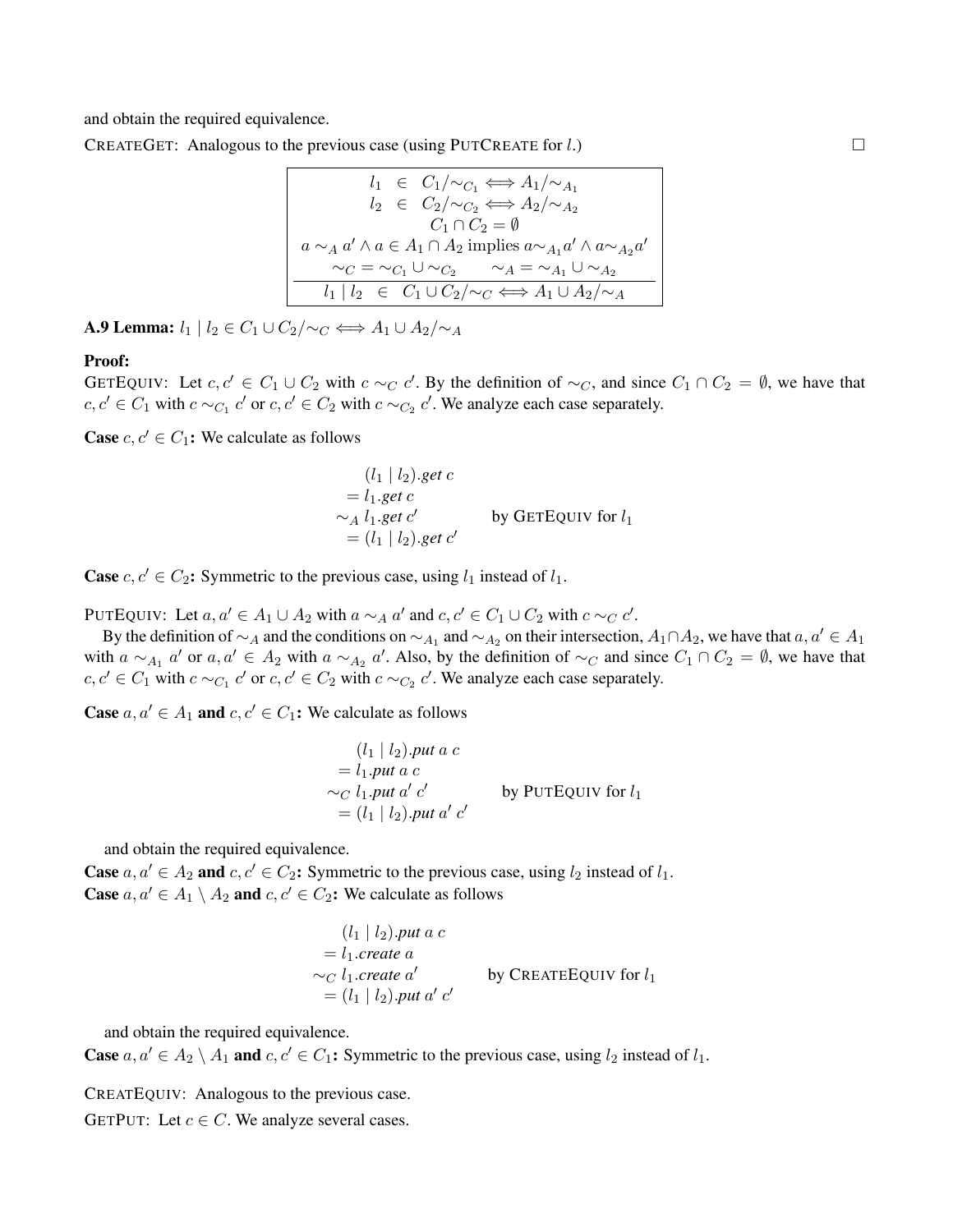and obtain the required equivalence.

CREATEGET: Analogous to the previous case (using PUTCREATE for  $l$ .)

$$
l_1 \in C_1/\sim_{C_1} \iff A_1/\sim_{A_1}
$$
  
\n
$$
l_2 \in C_2/\sim_{C_2} \iff A_2/\sim_{A_2}
$$
  
\n
$$
C_1 \cap C_2 = \emptyset
$$
  
\n
$$
a \sim_A a' \land a \in A_1 \cap A_2 \text{ implies } a \sim_{A_1} a' \land a \sim_{A_2} a'
$$
  
\n
$$
\sim_C = \sim_{C_1} \cup \sim_{C_2} \quad \sim_A = \sim_{A_1} \cup \sim_{A_2}
$$
  
\n
$$
l_1 \mid l_2 \in C_1 \cup C_2/\sim_C \iff A_1 \cup A_2/\sim_A
$$

A.9 Lemma:  $l_1 \mid l_2 \in C_1 \cup C_2 / \sim_C \Longleftrightarrow A_1 \cup A_2 / \sim_A$ 

#### Proof:

GETEQUIV: Let  $c, c' \in C_1 \cup C_2$  with  $c \sim_C c'$ . By the definition of  $\sim_C$ , and since  $C_1 \cap C_2 = \emptyset$ , we have that  $c, c' \in C_1$  with  $c \sim_{C_1} c'$  or  $c, c' \in C_2$  with  $c \sim_{C_2} c'$ . We analyze each case separately.

**Case**  $c, c' \in C_1$ : We calculate as follows

$$
(l_1 | l_2).get c
$$
  
= l<sub>1</sub>.get c  
 $\sim_A l_1$ .get c' by GETEQUIV for l<sub>1</sub>  
= (l<sub>1</sub> | l<sub>2</sub>).get c'

**Case**  $c, c' \in C_2$ : Symmetric to the previous case, using  $l_1$  instead of  $l_1$ .

PUTEQUIV: Let  $a, a' \in A_1 \cup A_2$  with  $a \sim_A a'$  and  $c, c' \in C_1 \cup C_2$  with  $c \sim_C c'$ .

By the definition of  $\sim_A$  and the conditions on  $\sim_{A_1}$  and  $\sim_{A_2}$  on their intersection,  $A_1 \cap A_2$ , we have that  $a, a' \in A_1$ with  $a \sim_{A_1} a'$  or  $a, a' \in A_2$  with  $a \sim_{A_2} a'$ . Also, by the definition of  $\sim_C$  and since  $C_1 \cap C_2 = \emptyset$ , we have that  $c, c' \in C_1$  with  $c \sim_{C_1} c'$  or  $c, c' \in C_2$  with  $c \sim_{C_2} c'$ . We analyze each case separately.

**Case**  $a, a' \in A_1$  and  $c, c' \in C_1$ : We calculate as follows

$$
(l_1 | l_2).put a c
$$
  
=  $l_1.put a c$   
 $\sim_C l_1.put a' c'$  by PUTEQUIV for  $l_1$   
=  $(l_1 | l_2).put a' c'$ 

and obtain the required equivalence.

**Case**  $a, a' \in A_2$  and  $c, c' \in C_2$ : Symmetric to the previous case, using  $l_2$  instead of  $l_1$ . **Case**  $a, a' \in A_1 \setminus A_2$  and  $c, c' \in C_2$ : We calculate as follows

$$
(l_1 | l_2).put a c
$$
  
= l<sub>1</sub>.create a  
 $\sim_C l_1$ .create a' by CREATEEQUIV for l<sub>1</sub>  
= (l<sub>1</sub> | l<sub>2</sub>).put a' c'

and obtain the required equivalence.

**Case**  $a, a' \in A_2 \setminus A_1$  and  $c, c' \in C_1$ : Symmetric to the previous case, using  $l_2$  instead of  $l_1$ .

CREATEQUIV: Analogous to the previous case.

GETPUT: Let  $c \in C$ . We analyze several cases.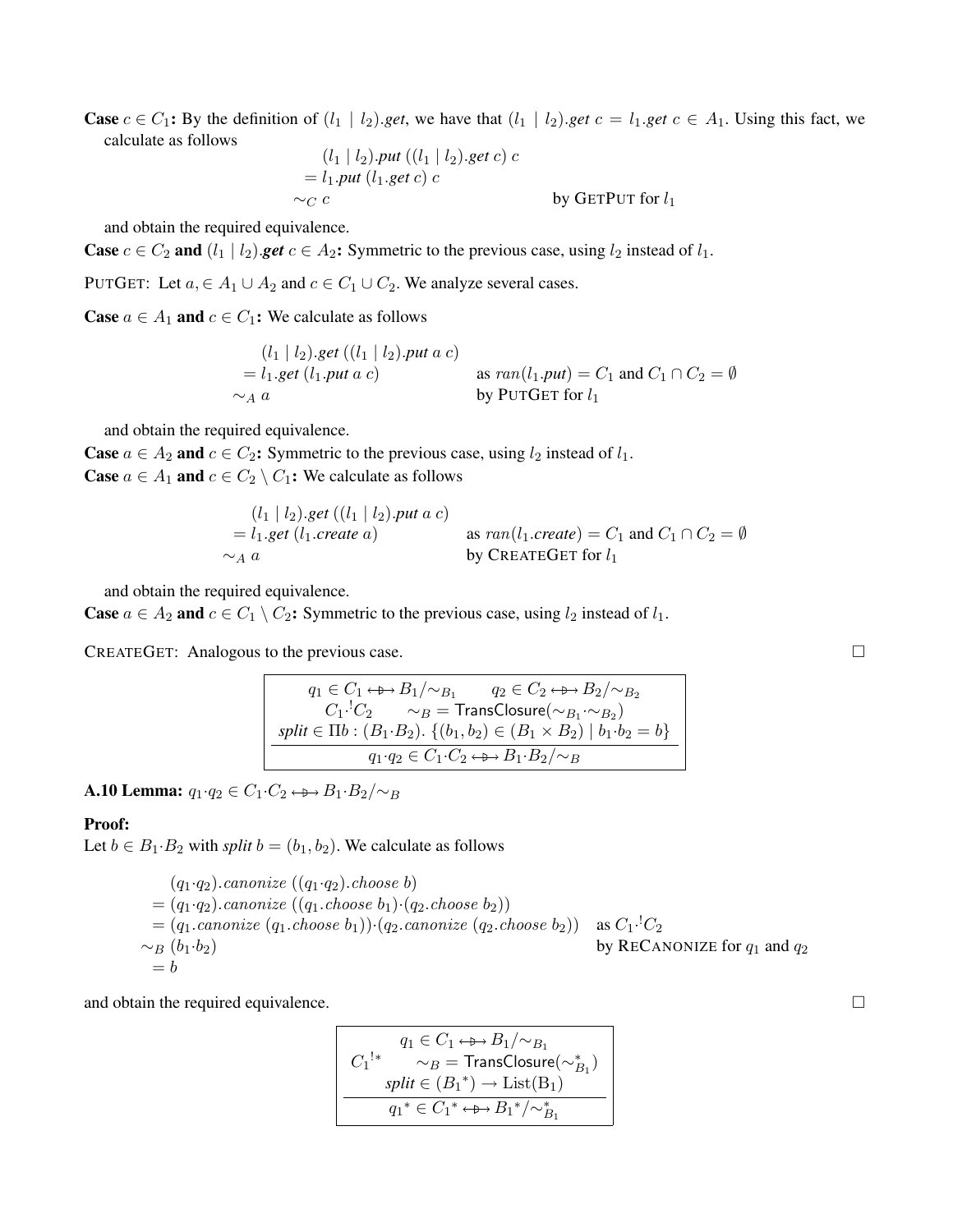**Case**  $c \in C_1$ : By the definition of  $(l_1 \mid l_2)$ *.get*, we have that  $(l_1 \mid l_2)$ *.get*  $c = l_1$ *.get*  $c \in A_1$ *.* Using this fact, we calculate as follows  $(1 \mid 1)$ .*put<sup>((1</sup>)* $(1 \mid 1)$ .*e*)

$$
(l_1 | l_2).put ((l_1 | l_2).get c) c
$$
  
= l<sub>1</sub>.put (l<sub>1</sub>.get c) c  
 $\sim_C c$  by GETPUT for l<sub>1</sub>

and obtain the required equivalence.

**Case**  $c \in C_2$  and  $(l_1 | l_2)$  *get*  $c \in A_2$ : Symmetric to the previous case, using  $l_2$  instead of  $l_1$ .

PUTGET: Let  $a_1 \in A_1 \cup A_2$  and  $c \in C_1 \cup C_2$ . We analyze several cases.

**Case**  $a \in A_1$  and  $c \in C_1$ : We calculate as follows

$$
(l_1 | l_2).get ((l_1 | l_2).put a c)
$$
  
= l<sub>1</sub>.get (l<sub>1</sub>.put a c)  

$$
\sim_A a
$$
 as ran(l<sub>1</sub>.put) = C<sub>1</sub> and C<sub>1</sub>  $\cap$  C<sub>2</sub> =  $\emptyset$   
by PUTGET for l<sub>1</sub>

and obtain the required equivalence.

**Case**  $a \in A_2$  and  $c \in C_2$ : Symmetric to the previous case, using  $l_2$  instead of  $l_1$ . **Case**  $a \in A_1$  and  $c \in C_2 \setminus C_1$ : We calculate as follows

$$
(l_1 | l_2).get ((l_1 | l_2).put a c)
$$
  
= l<sub>1</sub>.get (l<sub>1</sub>.create a) as ran(l<sub>1</sub>.create) = C<sub>1</sub> and C<sub>1</sub>  $\cap$  C<sub>2</sub> =  $\emptyset$   
by CREATEGET for l<sub>1</sub>

and obtain the required equivalence.

**Case**  $a \in A_2$  and  $c \in C_1 \setminus C_2$ : Symmetric to the previous case, using  $l_2$  instead of  $l_1$ .

CREATEGET: Analogous to the previous case.

$$
q_1 \in C_1 \leftrightarrow B_1/\sim_{B_1} \qquad q_2 \in C_2 \leftrightarrow B_2/\sim_{B_2}
$$
  
\n
$$
C_1 \cdot C_2 \qquad \sim_B = \text{TransClosure}(\sim_{B_1} \sim_{B_2})
$$
  
\n
$$
split \in \text{IIb} : (B_1 \cdot B_2) \cdot \{(b_1, b_2) \in (B_1 \times B_2) \mid b_1 \cdot b_2 = b\}
$$
  
\n
$$
q_1 \cdot q_2 \in C_1 \cdot C_2 \leftrightarrow B_1 \cdot B_2/\sim_B
$$

A.10 Lemma:  $q_1 \cdot q_2 \in C_1 \cdot C_2 \leftrightarrow B_1 \cdot B_2 / \sim_B$ 

#### Proof:

Let  $b \in B_1 \cdot B_2$  with *split*  $b = (b_1, b_2)$ . We calculate as follows

$$
(q_1 \tcdot q_2). \text{canonical } ((q_1 \tcdot q_2). \text{choose } b)
$$
\n
$$
= (q_1 \tcdot q_2). \text{canonical } ((q_1 \tcdot \text{choose } b_1) \cdot (q_2. \text{choose } b_2))
$$
\n
$$
= (q_1. \text{canonical } (q_1. \text{choose } b_1)) \cdot (q_2. \text{canonical } (q_2. \text{choose } b_2))
$$
\n
$$
\sim_B (b_1 \tcdot b_2)
$$
\n
$$
\sim_B (b_1 \tcdot b_2)
$$
\n
$$
= b
$$
\nby RECANONIZE for  $q_1$  and  $q_2$ 

and obtain the required equivalence.

$$
q_1 \in C_1 \longleftrightarrow B_1/\sim_{B_1}
$$
  
\n
$$
C_1^{1*} \sim_B = \text{TransClosure}(\sim_{B_1}^*)
$$
  
\n
$$
split \in (B_1^*) \to \text{List}(B_1)
$$
  
\n
$$
q_1^* \in C_1^* \longleftrightarrow B_1^* / \sim_{B_1}^*
$$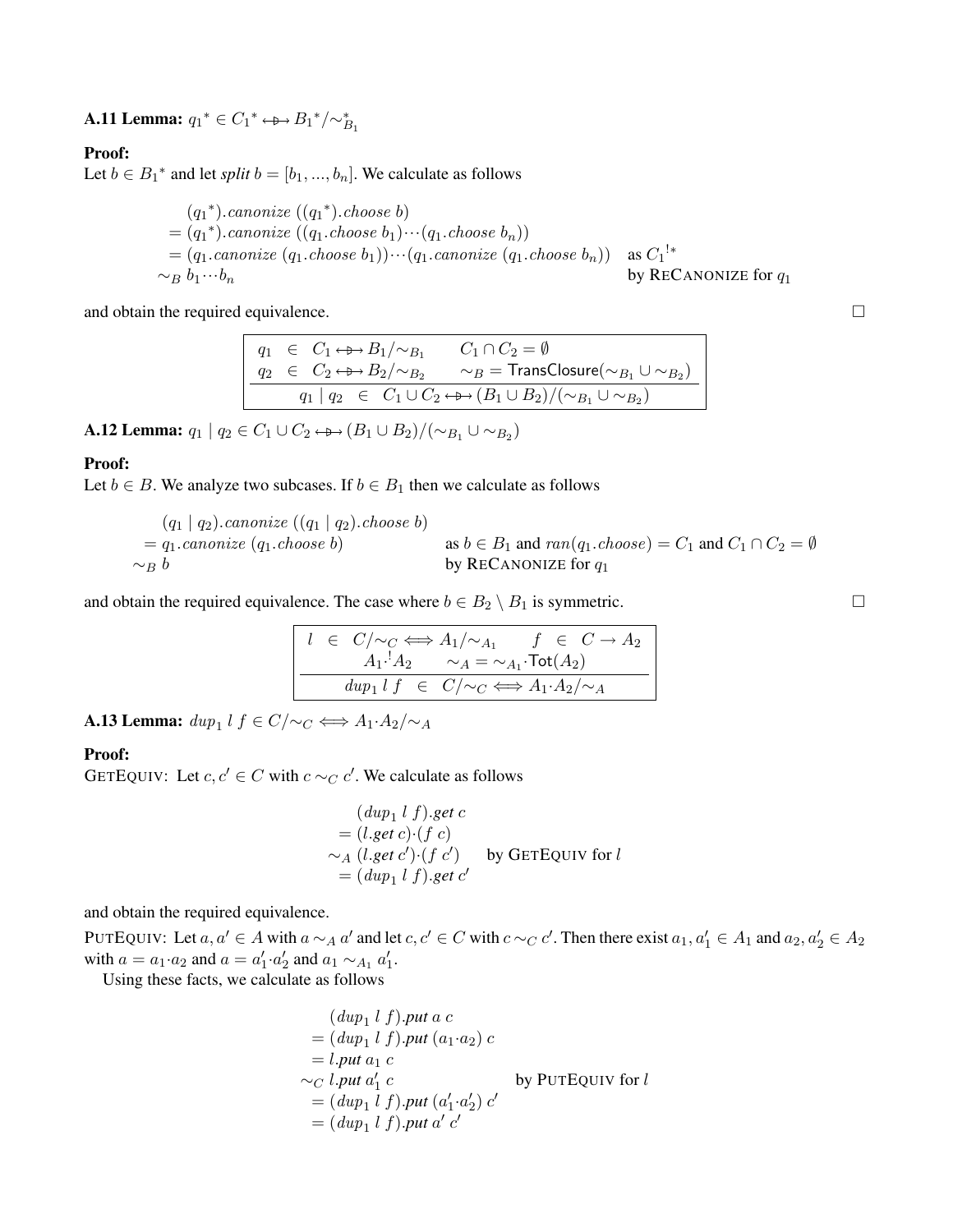**A.11 Lemma:**  $q_1^* \in C_1^* \leftrightarrow B_1^* / \sim_{B_1}^*$ 

## Proof:

Let  $b \in B_1^*$  and let *split*  $b = [b_1, ..., b_n]$ . We calculate as follows

 $(q_1^*)$ .canonize  $((q_1^*)$ .choose b)  $=(q_1^*)$ .canonize  $((q_1 \text{.choose } b_1) \cdots (q_1 \text{.choose } b_n))$  $=(q_1.\textit{canonical} (q_1.\textit{choose } b_1))\cdots (q_1.\textit{canonical} (q_1.\textit{choose } b_n))$  as  $C_1^{1*}$  $\sim_B b_1 \cdots b_n$  by RECANONIZE for  $q_1$ 

and obtain the required equivalence.

$$
\begin{array}{|rcl|} \hline q_1 &\in & C_1 \leftrightarrow B_1/\sim_{B_1} & C_1 \cap C_2 = \emptyset \\ \hline q_2 &\in & C_2 \leftrightarrow B_2/\sim_{B_2} & \sim_B = \text{TransClosure}(\sim_{B_1} \cup \sim_{B_2}) \\ \hline q_1 \mid q_2 &\in & C_1 \cup C_2 \leftrightarrow \rightarrow (B_1 \cup B_2)/(\sim_{B_1} \cup \sim_{B_2}) \end{array}
$$

**A.12 Lemma:**  $q_1 | q_2 \in C_1 \cup C_2 \leftrightarrow (B_1 \cup B_2) / (\sim_{B_1} \cup \sim_{B_2})$ 

#### Proof:

Let  $b \in B$ . We analyze two subcases. If  $b \in B_1$  then we calculate as follows

$$
(q_1 | q_2).\text{ cannotize } ((q_1 | q_2).\text{choose } b)
$$
\n
$$
= q_1.\text{canonize } (q_1.\text{choose } b)
$$
\n
$$
\sim_B b
$$
\n
$$
(q_1 | q_2).\text{choose } b
$$
\n
$$
\approx_b \text{B} \text{ and } \text{ran}(q_1.\text{choose}) = C_1 \text{ and } C_1 \cap C_2 = \emptyset
$$
\n
$$
\sim_B b
$$
\n
$$
(q_1 | q_2). \text{choose } b
$$

and obtain the required equivalence. The case where  $b \in B_2 \setminus B_1$  is symmetric.

$$
l \in C/\sim_C \Longleftrightarrow A_1/\sim_{A_1} f \in C \to A_2
$$
  

$$
A_1 \cdot A_2 \sim_A = \sim_{A_1} \cdot \text{Tot}(A_2)
$$
  

$$
dw_{1} l f \in C/\sim_C \Longleftrightarrow A_1 \cdot A_2/\sim_A
$$

**A.13 Lemma:**  $dup_1$  *l*  $f \in C/\sim_C \Longleftrightarrow A_1 \cdot A_2/\sim_A$ 

#### Proof:

GETEQUIV: Let  $c, c' \in C$  with  $c \sim_C c'$ . We calculate as follows

$$
(dup1 l f).get c
$$
  
= (l.get c)·(f c)  

$$
\sim_A (l.get c')·(f c')
$$
 by GETEQUIV for l  
= (dup<sub>1</sub> l f).get c'

and obtain the required equivalence.

PUTEQUIV: Let  $a, a' \in A$  with  $a \sim_A a'$  and let  $c, c' \in C$  with  $c \sim_C c'$ . Then there exist  $a_1, a'_1 \in A_1$  and  $a_2, a'_2 \in A_2$ with  $a = a_1 \cdot a_2$  and  $a = a'_1 \cdot a'_2$  and  $a_1 \sim_{A_1} a'_1$ .

Using these facts, we calculate as follows

$$
(dup_1 l f).put a c
$$
  
=  $(dup_1 l f).put (a_1 \cdot a_2) c$   
=  $l.put a_1 c$   
 $\sim_C l.put a'_1 c$  by PUTEQUIV for  $l$   
=  $(dup_1 l f).put (a'_1 \cdot a'_2) c'$   
=  $(dup_1 l f).put a' c'$